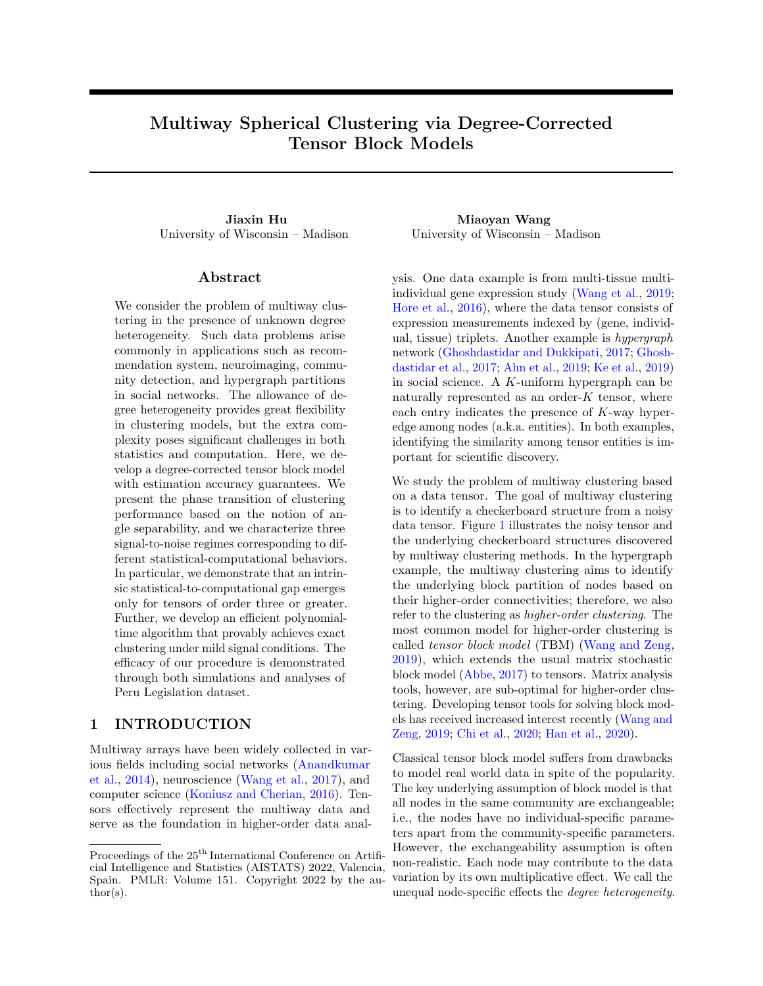# <span id="page-0-0"></span>Multiway Spherical Clustering via Degree-Corrected Tensor Block Models

University of Wisconsin – Madison University of Wisconsin – Madison

# Abstract

We consider the problem of multiway clustering in the presence of unknown degree heterogeneity. Such data problems arise commonly in applications such as recommendation system, neuroimaging, community detection, and hypergraph partitions in social networks. The allowance of degree heterogeneity provides great flexibility in clustering models, but the extra complexity poses significant challenges in both statistics and computation. Here, we develop a degree-corrected tensor block model with estimation accuracy guarantees. We present the phase transition of clustering performance based on the notion of angle separability, and we characterize three signal-to-noise regimes corresponding to different statistical-computational behaviors. In particular, we demonstrate that an intrinsic statistical-to-computational gap emerges only for tensors of order three or greater. Further, we develop an efficient polynomialtime algorithm that provably achieves exact clustering under mild signal conditions. The efficacy of our procedure is demonstrated through both simulations and analyses of Peru Legislation dataset.

# 1 INTRODUCTION

Multiway arrays have been widely collected in various fields including social networks [\(Anandkumar](#page-9-0) [et al.,](#page-9-0) [2014\)](#page-9-0), neuroscience [\(Wang et al.,](#page-9-1) [2017\)](#page-9-1), and computer science [\(Koniusz and Cherian,](#page-9-2) [2016\)](#page-9-2). Tensors effectively represent the multiway data and serve as the foundation in higher-order data anal-

Jiaxin Hu Miaoyan Wang

ysis. One data example is from multi-tissue multiindividual gene expression study [\(Wang et al.,](#page-9-3) [2019;](#page-9-3) [Hore et al.,](#page-9-4) [2016\)](#page-9-4), where the data tensor consists of expression measurements indexed by (gene, individual, tissue) triplets. Another example is hypergraph network [\(Ghoshdastidar and Dukkipati,](#page-9-5) [2017;](#page-9-5) [Ghosh](#page-9-6)[dastidar et al.,](#page-9-6) [2017;](#page-9-6) [Ahn et al.,](#page-9-7) [2019;](#page-9-7) [Ke et al.,](#page-9-8) [2019\)](#page-9-8) in social science. A K-uniform hypergraph can be naturally represented as an order- $K$  tensor, where each entry indicates the presence of K-way hyperedge among nodes (a.k.a. entities). In both examples, identifying the similarity among tensor entities is important for scientific discovery.

We study the problem of multiway clustering based on a data tensor. The goal of multiway clustering is to identify a checkerboard structure from a noisy data tensor. Figure [1](#page-1-0) illustrates the noisy tensor and the underlying checkerboard structures discovered by multiway clustering methods. In the hypergraph example, the multiway clustering aims to identify the underlying block partition of nodes based on their higher-order connectivities; therefore, we also refer to the clustering as higher-order clustering. The most common model for higher-order clustering is called tensor block model (TBM) [\(Wang and Zeng,](#page-9-9) [2019\)](#page-9-9), which extends the usual matrix stochastic block model [\(Abbe,](#page-9-10) [2017\)](#page-9-10) to tensors. Matrix analysis tools, however, are sub-optimal for higher-order clustering. Developing tensor tools for solving block models has received increased interest recently [\(Wang and](#page-9-9) [Zeng,](#page-9-9) [2019;](#page-9-9) [Chi et al.,](#page-9-11) [2020;](#page-9-11) [Han et al.,](#page-9-12) [2020\)](#page-9-12).

Classical tensor block model suffers from drawbacks to model real world data in spite of the popularity. The key underlying assumption of block model is that all nodes in the same community are exchangeable; i.e., the nodes have no individual-specific parameters apart from the community-specific parameters. However, the exchangeability assumption is often non-realistic. Each node may contribute to the data variation by its own multiplicative effect. We call the unequal node-specific effects the degree heterogeneity.

Proceedings of the  $25<sup>th</sup>$  International Conference on Artificial Intelligence and Statistics (AISTATS) 2022, Valencia, Spain. PMLR: Volume 151. Copyright 2022 by the au- $\text{thor}(s)$ .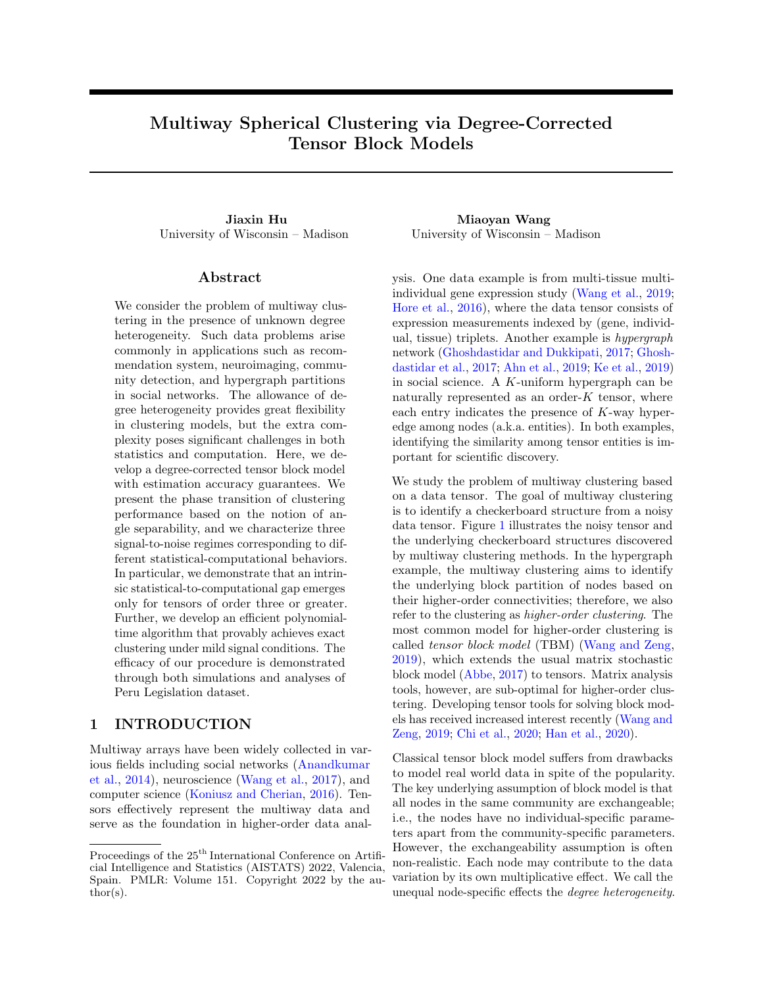<span id="page-1-0"></span>

Figure 1: Examples for order-3 TBM with and without degree correction. Both TBM and dTBM have four communities on each mode, while dTBM allows a richer structure with degree heterogeneity.

Such degree heterogeneity appears commonly in social networks. Ignoring the degree heterogeneity may seriously mislead the clustering results. For example, regular block model fails to model the member affiliation in Karate Club network [\(Bickel and Chen,](#page-9-13) [2009\)](#page-9-13) without addressing degree heterogeneity.

The degree-corrected tensor block model (dTBM) has been proposed recently to account for the degree heterogeneity [\(Ke et al.,](#page-9-8) [2019\)](#page-9-8). The dTBM combines a higher-order checkerboard structure with degree parameter  $= ( (1), \ldots, (p))^T$  to allow heterogeneity among  $p$  nodes. Figure [1](#page-1-0) compares the underlying structures of TBM and dTBM with the same number of communities. The dTBM allows varying values within the same community, thereby allowing a richer structure. To solve dTBM, we project clustering objects to a unit sphere and perform iterative clustering based on angle similarity. We refer to the algorithm as the spherical clustering; detailed procedures are in Section [4.](#page-5-0) The spherical clustering avoids the estimation of nuisance degree heterogeneity. The usage of angle similarity brings new challenges to the theoretical results, and we develop new polar-coordinate based techniques in the proofs.

Our Contributions. The primary goal of this paper is to provide both statistical and computational guarantees for dTBM. Our main contributions are summarized below.

• We develop a general dTBM and establish the identifiability for the uniqueness of clustering using the notion of angle separability.

• We present the phase transition of clustering performance with respect to three different statistical and computational behaviors. We characterize, for the first time, the critical signal-to-noise (SNR) thresholds in dTBMs, revealing the intrinsic distinctions among (vector) one-dimensional clustering, (matrix) biclustering, and (tensor) higher-order clustering. Specific SNR thresholds and algorithm behaviors are depicted in Figure [2.](#page-2-0)

• We provide an angle-based algorithm that achieves exact clustering in polynomial time under mild conditions. Simulation and data studies demonstrate the outperformance of our algorithm compared with existing higher-order clustering algorithms.

The last two contributions, to our best knowledge, are new to the literature of dTBMs.

Related Work. Our work is closely related to but also distinct from several lines of existing research. Table [1](#page-2-1) summarizes the most relevant models.

Block model. Block models such as stochastic block model (SBM) and degree-corrected SBM have been widely used for matrix clustering problems. See the review paper [\(Abbe,](#page-9-10) [2017\)](#page-9-10) and the references therein. The (non-degree) tensor block model (TBM) is a higher-order extension of SBM, and its statisticalcomputational properties are investigated in recent literatures [\(Wang and Zeng,](#page-9-9) [2019;](#page-9-9) [Han et al.,](#page-9-12) [2020;](#page-9-12) [Ghoshdastidar et al.,](#page-9-6) [2017\)](#page-9-6). Extending results from non-degree to degree-corrected model is highly challenging. Our dTBM parameter space is equipped with angle-based similarity and nuisance degree parameters. The extra complexity makes the Cartesian coordinates based analysis [\(Han et al.,](#page-9-12) [2020\)](#page-9-12) nonapplicable to our setting. Towards this goal, we have developed a new polar coordinates based analysis to control the model complexity. We also develop a new angle-based iteration algorithm to achieve optimal clustering rates without the need of estimating nuisance degree parameters.

Degree-corrected block model. The hypergraph degreecorrected block model (hDCBM) and its variant have been proposed in the literature [\(Ke et al.,](#page-9-8) [2019;](#page-9-8) [Yuan](#page-10-0) [et al.,](#page-10-0) [2018\)](#page-10-0). For this popular model, however, the optimal statistical-computational rates remain an open problem. Our main contribution is to provide a sharp statistical and computational critical phase transition in dTBM literature. In addition, our algorithm results in a faster exponential error rate, in contrast to the polynomial rate in [Ke et al.](#page-9-8) [\(2019\)](#page-9-8). The original hDCBM [\(Ke et al.,](#page-9-8) [2019\)](#page-9-8) is designed for binary observations only, and we extend the model to both continuous and binary observations. We believe our results are novel and helpful to the community. See Figure [2](#page-2-0) for overview of our results.

Global-to-local algorithm strategy. Our methods gen-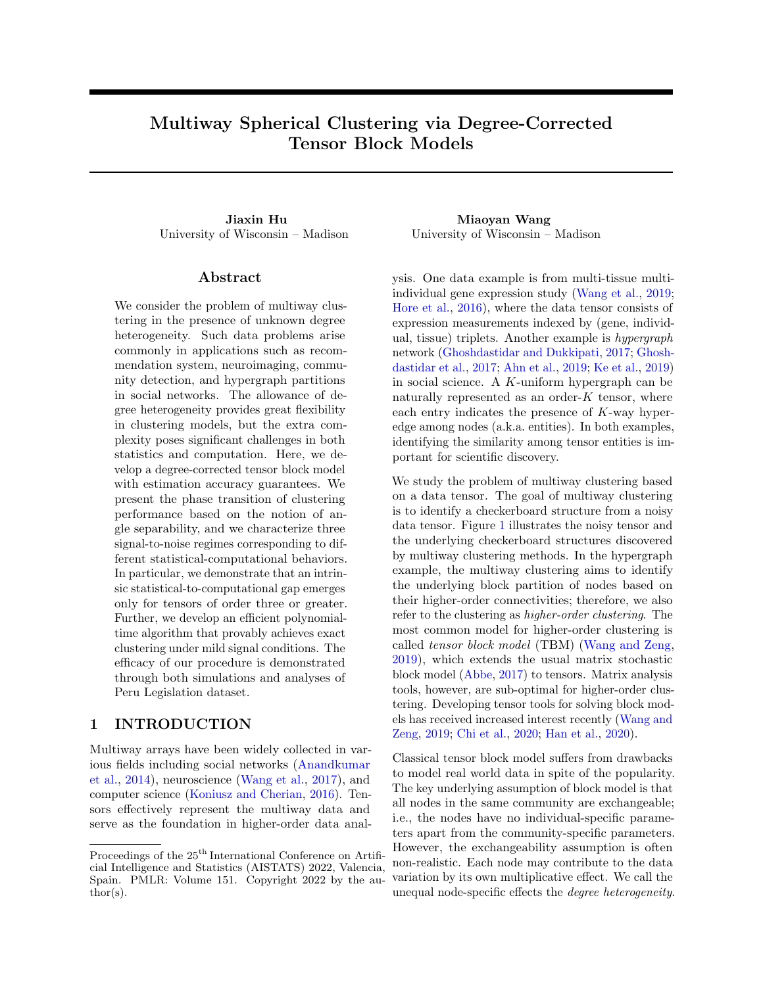<span id="page-2-0"></span>

| statistically impossible | statistically possible but computationally inefficient | computationally efficient |  |
|--------------------------|--------------------------------------------------------|---------------------------|--|
|                          | $\mathcal{O}(p^{-(K-1)})$                              | $\mathcal{O}(n^{-K/2})$   |  |

Figure 2: SNR thresholds for statistical and computational limits in order-K dTBM with dimension  $(p; \ldots; p)$  and  $K$  2. The SNR gap between statistical possibility and computational efficiency exists only for tensors with  $K$  3.

<span id="page-2-1"></span>

|                                     | Gao et al. (2018) | Han et al. $(2020)$ | Ghoshdastidar et al. (2017) | $K$ e et al. $(2019)$ | Ours              |
|-------------------------------------|-------------------|---------------------|-----------------------------|-----------------------|-------------------|
| Allow tensors of arbitrary order    |                   |                     |                             |                       |                   |
| Allow degree heterogeneity          |                   |                     |                             |                       |                   |
| Singular-value gap-free clustering  |                   |                     |                             |                       |                   |
| Misclustering rate (for order $K$ ) |                   | $n^{K/2}$<br>exp(   |                             |                       | $n^{K/2}$<br>exp( |

Table 1: Comparison between previous methods with our method. We list the result for order-K tensors with  $K = 3$ and general number of communities  $r = O(1)$ .

eralize the recent global-to-local strategy for matrix learning [\(Gao et al.,](#page-9-14) [2018;](#page-9-14) [Chi et al.,](#page-9-15) [2019;](#page-9-15) [Yun](#page-10-1) [and Proutiere,](#page-10-1) [2016\)](#page-10-1) to tensors [\(Han et al.,](#page-9-12) [2020;](#page-9-12) [Ahn et al.,](#page-9-16) [2018;](#page-9-16) [Kim et al.,](#page-9-17) [2018\)](#page-9-17). Despite the conceptual similarity, we address several fundamental challenges associated with this non-convex, noncontinuous problem. We show the insufficiency of the conventional tensor HOSVD [\(De Lathauwer et al.,](#page-9-18) [2000\)](#page-9-18), and we develop a weighted higher-order initialization that relaxes the singular-value gap separation condition. Furthermore, our local iteration leverages the angle-based clustering in order to avoid explicit estimation of degree heterogeneity. Our bounds reveal the interesting interplay between the computational and statistical errors. We show that our final estimate *provably* achieves the exact clustering within only polynomial-time complexity.

**Notation.** We use lower-case letters  $(e.g., a, b)$ for scalars, lower-case boldface letters (e.g.,  $a$ , ) for vectors, upper-case boldface letters (e.g.,  $X, Y$ ) for matrices, and calligraphy letters (e.g.,  $X, Y$ ) for tensors of order three or greater. We use  $\mathbf{1}_p$  to denote a vector of length  $p$  with all entries to be 1. We use  $j \neq j$  for the cardinality of a set and  $1 f g$  for the indicator function. For an integer  $p \nvert 2 \mathbb{N}_+$ , we use the shorthand  $[p] = f_1, 2, ..., p$ . For a length-p vector  $a$ , we use  $a(i)$   $\supseteq R$  to denote the *i*-th entry of **a**, and use  $a_I$  to denote the subvector by restricting the indices in the set  $I$  [p]. We use  $k$ **a** $k = \sqrt{\sum_i a^2(i)}$  to denote the  $\ell_2$ -norm,  $k$ **a** $k_1 = \sum_i j a_i j$  to denote the  $\ell_1$  norm of **a**. For two vector  $a, b$  of the same dimension, we denote the angle between  $a, b$  by  $\cos(a, b) = h a, b i / k a k k b k$ , where  $h\mathbf{a}, \mathbf{b}$  is the inner product of two vectors and  $\cos(\mathbf{a}, \mathbf{b})$  2 [ 1, 1]. We make the convention that  $\cos(\mathbf{a}, \mathbf{b}) = \cos(\mathbf{a}^T, \mathbf{b}^T)$ . Let  $Y \supseteq \mathbb{R}^{p_1}$ p<sup>K</sup> be an order- $K(p_1, ..., p_K)$ -dimensional tensor. We use  $Y(i_1, \ldots, i_K)$  to denote the  $(i_1, \ldots, i_K)$ -th entry of Y. The multilinear multiplication of a tensor

 $S \supseteq R^{r_1}$ <sup>rK</sup> by matrices  $\mathcal{M}_k$  2 R<sup>pk</sup> <sup>rk</sup> results in an order-d  $(p_1, \ldots, p_K)$ -dimensional tensor X

$$
X = S_{1} \mathbf{M}_{1} \qquad K \mathbf{M}_{K},
$$

where the entries of X are defined by  $X(i_1, \ldots, i_K) =$  $\sum_{(j_1,...,j_K)} S(j_1,...,j_K) M_1(i_1,j_1) \quad M_K(i_K,j_K).$ For a matrix **Y**, we use **Y**<sub>i</sub>: (respectively, **Y**<sub>i</sub>) to denote the  $i$ -th row (respectively,  $i$ -th column) of the matrix. Similarly, for an order-3 tensor, we use  $Y_{::i}$  to denote the *i*-th matrix slide of the tensor. We use Ave( ) to denote the operation of taking averages across elements and  $\text{Mat}_k()$  to denote the unfolding operation that reshapes the tensor along mode  $k$  into a matrix. For a symmetric tensor  $Y \nvert 2 \rvert \mathbb{R}^p$   $\frac{p}{\kappa}$  we omit the subscript and use Mat(Y) 2  $\mathbb{R}^{p}$   $p^{K-1}$  to denote the unfolding. For two sequences  $f a_p g$ ,  $f b_p g$ , we denote  $a_p$  .  $b_p$ <br>or  $a_p = O(b_p)$  if  $\lim_{p \to \infty} a_p/b_p$  c for some or  $a_p = O(b_p)$  if  $\lim_{p \downarrow} q_p/b_p$ constant c 0,  $a_p = o(b_p)$  if  $\lim_{p \to 1} a_p/b_p = 0$ , and  $a_p = \Omega(b_p)$  if both  $b_p$ .  $a_p$  and  $a_p$ .  $b_p$ . Throughout the paper, we use the terms "community" and "clusters" exchangeably.

### 2 MODEL FORMULATION

# 2.1 Degree-corrected Tensor Block Model

Suppose we have an order- $K$  data tensor  $Y$  2  $\mathbb{R}^p$  $\frac{p}{p}$ . For ease of notation, we focus on symmetric tensors in this section. Assume there exist  $r-2$  disjoint communities among the  $p$  nodes. We represent the community assignment by a function  $z: [p] \not\sqsubseteq [r]$ , where  $z(i) = a$  for *i*-th node that belongs to the a-th community. Then,  $z^{-1}(a) = \overline{a} \cdot z(p) : z(i) = a$ g denotes the set of nodes that belong to the a-th community, and  $jz^{-1}(a)j$  denotes the number of nodes in the a-th community. Let  $= (\theta(1), \ldots, \theta(p))^T$ denote the degree heterogeneity for  $p$  nodes. We con-sider the order-K dTBM [\(Ke et al.,](#page-9-8) [2019\)](#page-9-8),

$$
Y(i_1;\ldots;i_K)=S(z(i_1);\ldots;z(i_K))\prod_{k=1}^K i_k+E(i_1;\ldots;i_K);
$$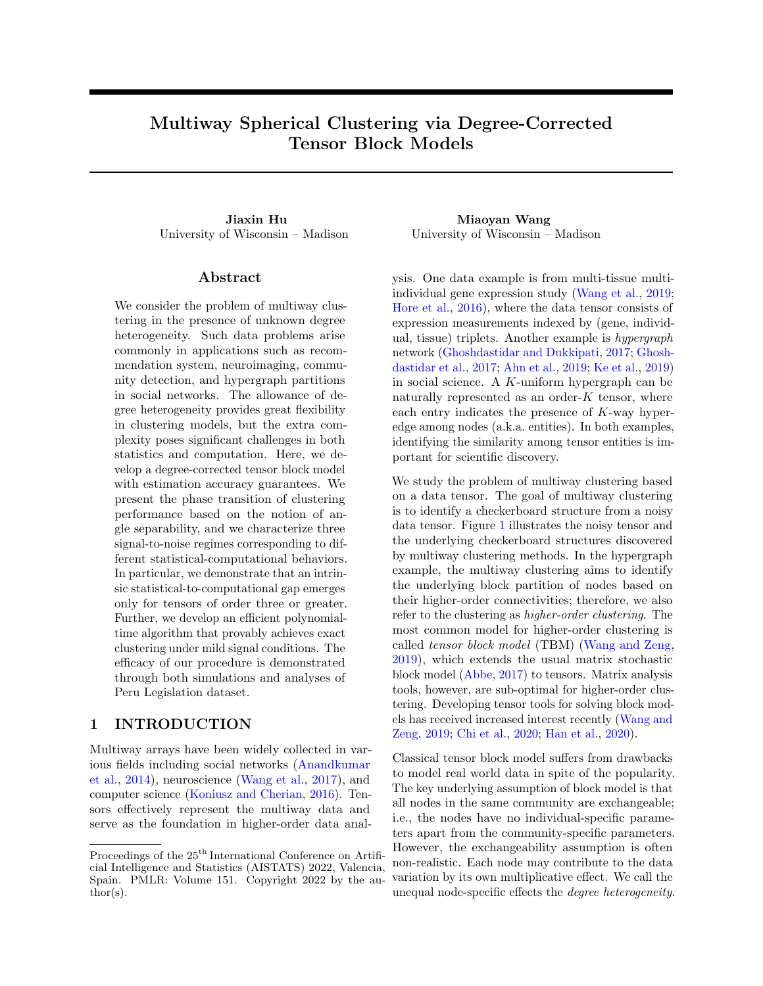where  $S \supseteq R^r$  <sup>r</sup> is an order-K tensor collecting the block means among communities, and  $E \,$  $\mathsf{R}^p$  $\frac{p}{q}$  is a noise tensor consisting of independent zero-mean sub-Gaussian entries with variance bounded by  $\sigma^2$ . The unknown parameters are z, S, and . The dTBM can be equivalently written in a compact form of tensor-matrix product:

$$
EY = S_{1} \Theta M_{2} \qquad K \Theta M, \qquad (1)
$$

where  $\mathbf{\Theta} = \text{diag}(\theta(1), ..., \theta(p)) \geq \mathbb{R}^{p-p}$  is a diagonal matrix,  $\mathcal{M}$  2  $\hat{\tau}$ 0, 1 $\hat{g}^{p-r}$  is the membership matrix associated with community assignment z such that  $\mathbf{M}(i, j) = \mathbf{1} fz(i) = jg$ . By definition, each row of  $M$  has one copy of 1's and 0's elsewhere. Note that the discrete nature of  $M$  renders our model  $(1)$ more challenging than Tucker decomposition. We call a tensor  $Y$  an r-block tensor with degree if  $Y$  admits (1). We are particularly interested in We are particularly interested in high-dimensional regime where  $p$  grows whereas  $r =$  $O(1)$ . The extension to general asymmetrical dTBM is obtained via replacing  $(M, \Theta)$  in [\(1\)](#page-3-0) by modespecific parameters  $(M_k, \Theta_k)$  for every mode  $k \n\geq [K]$ . Here, we give two special cases of dTBM.

**Example 1** (Gaussian TBM). Let  $\theta(i) = 1$  for all  $i \n\in [p]$  and E be a noise tensor with i.i.d.  $N(0, \sigma^2)$ entries. Our dTBM reduces to a non-degree Gaussian TBM [\(Wang and Zeng,](#page-9-9) [2019;](#page-9-9) [Han et al.,](#page-9-12) [2020\)](#page-9-12), which is widely used in previous clustering algorithms [\(Wang and Zeng,](#page-9-9) [2019;](#page-9-9) [Chi et al.,](#page-9-11) [2020\)](#page-9-11).

Example 2 (Binary dTBM). Consider a K-uniform hypergraph  $H = (V, E)$ , where  $V = [p]$  collects the nodes with  $r$  disjoint communities and  $E$  collects all the K-way hyperedges. Let  $Y \supseteq \text{f0}, 10^p$  $\frac{p}{q}$  denote the adjacency tensor, where the entries encode the presence or absence of hyperdeges among p nodes. Specifically, let  $Y(i_1, ..., i_K) = 1$  if  $(i_1, ..., i_K) \nvert 2E$ , otherwise,  $Y(i_1, ..., i_K) = 0$ , for all  $(i_1, ..., i_K)$  2  $[p]^K$ . The equation [\(1\)](#page-3-0) models  $\in Y$  with degree heterogeneity and subgaussianity parameter  $\sigma^2 = 1/4$ .

# 2.2 Identifiability under Angle Gap

The goal of clustering is to estimate the partition function  $z$  from model  $(1)$ . For ease of notation, we focus on symmetric tensors; the extension to nonsymmetric tensors are similar. We use  $P$  to denote the following parameter space for  $(z, S, \cdot)$ ,

$$
P = \left\{ (z; S; \boldsymbol{\theta}) : \boldsymbol{\theta} \ 2 \mathbb{R}^p_+; \text{for a } 2 [r]; \frac{c_1 p}{r} \quad jz^{-1}(a)j \quad \frac{c_2 p}{r} \right\}
$$

<span id="page-3-1"></span>;

$$
c_3 \quad k\text{Mat}(S)_{a:} k \quad c_4; ||\boldsymbol{\theta}_{z^{-1}(a)}||_1 = jz^{-1}(a)j \Big\}; \tag{2}
$$

where  $c_i > 0$ 's are universal constants. We briefly describe the rationale of the constraints in [\(2\)](#page-3-1). First,

<span id="page-3-0"></span>the entrywise positivity constraint on  $\frac{p}{+}$  is imposed to avoid sign ambiguity between entries in  $z^{-1}(a)$  and S. This constraint allows the trigonometric cos to describe the angle similarity in the Assumption [1](#page-3-2) below and Sub-algorithm [2](#page-6-0) in Section [4.](#page-5-0) Note that the positivity constraint can be achieved without sacrificing model flexibility, by using a slightly larger dimension of S in the factorization  $(1)$ ; see Supple-ment [A.1.](#page-11-0) Second, recall that the quantity  $jz^{-1}(a)$ denotes the number of nodes in a-th community. The constants  $c_1, c_2$  in the  $jz^{-1}(a)j$  bound assume the roughly balanced size across  $r$  communities. Third, the constants  $c_3, c_4$  in the magnitude of  $\text{Mat}(S)_{a}$ . requires no purely zero slide in S, so the core tensor S is not trivially reduced to a lower rank. Lastly, the  $\ell_1$  normalization  $k_{z-1}(a)k_1 = jz^{-1}(a)j$  is imposed to avoid the scalar ambiguity between  $z^{-1}(a)$  and S. This constraint, again, incurs no restriction to model flexibility but makes our presentation cleaner. See Supplement [A.2](#page-11-1) for the parameter space comparison with previous work [\(Gao et al.,](#page-9-14) [2018;](#page-9-14) [Han et al.,](#page-9-12) [2020;](#page-9-12) [Ke et al.,](#page-9-8) [2019\)](#page-9-8).

We now provide the identifiability conditions for our model before estimation procedures. When  $r = 1$ , the decomposition [\(1\)](#page-3-0) is always unique (up to cluster label permutation) in  $P$ , because dTBM is equivalent to the rank-1 tensor family under this case. When r 2, the Tucker rank of signal tensor  $E$  Y in [\(1\)](#page-3-0) is bounded by, but not necessarily equal to, the number of blocks r [\(Wang and Zeng,](#page-9-9) [2019\)](#page-9-9). Therefore, one can not apply the classical identifiability conditions for low-rank tensors to dTBM. Here, we introduce a key separation condition on the core tensor.

<span id="page-3-2"></span>**Assumption 1** (Angle gap). Let  $S = Mat(S)$ . Assume the minimal gap between normalized rows of S is bounded away from zero; i.e., for  $r = 2$ ,

<span id="page-3-3"></span>
$$
\Delta_{\min} := \min_{a \in b \, 2[r]} \left\| \frac{\mathcal{S}_{a:}}{k \mathcal{S}_{a:} k} \quad \frac{\mathcal{S}_{b:}}{k \mathcal{S}_{b:} k} \right\| > 0. \tag{3}
$$

We make the convention  $\Delta_{\text{min}} = 1$  for  $r = 1$ . Equivalently,  $(3)$  says that none of the two rows in  $S$  are parallel; i.e.,  $\max_{a \in b} 2[r] \cos(\mathcal{S}_a, \mathcal{S}_b) = 1 \quad \Delta_{\min}^2/2 < 1.$ The quantity  $\Delta_{\text{min}}$  characterizes the non-redundancy among clusters measured by angle separation. Denominators involved in definition [\(3\)](#page-3-3) are well posed because of the lower bound on  $kS_{a,k}$  in [\(2\)](#page-3-1). The following theorem shows that the angle separation is sufficient and necessary for the identifiability of dTBM.

<span id="page-3-4"></span>Theorem 1 (Model identifiability). Consider the dTBM with  $r = 2$ . The parameterization  $(1)$  is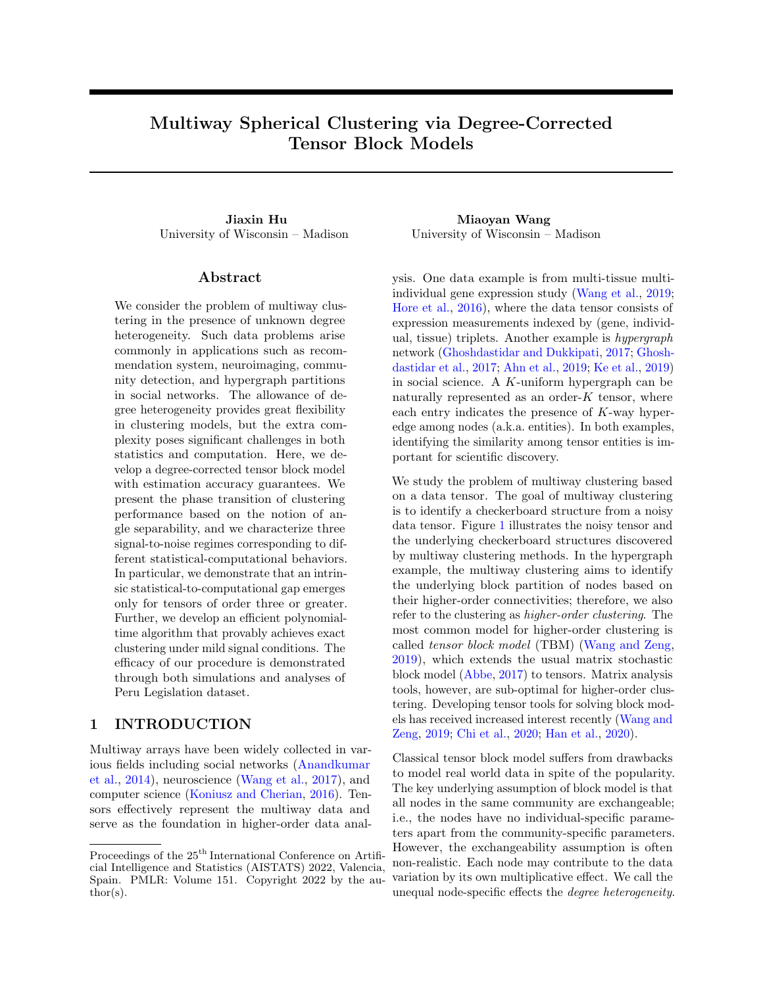unique in  $P$  up to cluster label permutations, if and only if Assumption [1](#page-3-2) holds.

The identifiability guarantee for the dTBM is more appealing than classical Tucker model. In the Tucker model, the factor matrix  $\boldsymbol{M}$  is identifiable only up to orthogonal rotations. In contrast, our model does not suffer from rotational invariance. This property benefits the interpretation of dTBM in practice.

# <span id="page-4-5"></span>3 THEORETICAL LIMITS

In this section, we study the statistical and computational limits of dTBM. We propose signal-to-noise ratio (SNR),

$$
\text{SNR} := \Delta_{\text{min}}^2 / \sigma^2 = p^\gamma,\tag{4}
$$

with varying  $\gamma$  2 R that quantifies different regimes of interest. We call  $\gamma$  the *signal exponent*. Intuitively, a larger SNR, or equivalently a larger  $\gamma$ , benefits the clustering in the presence of noise. With quantification [\(4\)](#page-4-0), consider following parameter space,

$$
P( ) = P \setminus fS
$$
 satisfies SNR condition (4) with  $g: (5)$ 

The 1-block dTBM does not belong to the space  $P(\gamma)$  when  $\gamma < 0$  by Assumption [1.](#page-3-2) Our goal is to characterize the clustering accuracy with respect to γ. Let  $\hat{z}$  and z be the estimated and true clustering functions in family  $(2)$ . Define the misclustering error by

$$
\ell(\hat{z}, z) = \frac{1}{p} \min_{\pi \geq 0} \sum_{i \geq [p]} \mathbf{1} f \hat{z}(i) \triangleq \pi \quad z(i) g,
$$

where  $\pi : [r] \not\sqsubseteq [r]$  is a permutation of cluster labels, denotes the composition operation, and Π denotes the collection of all possible permutations. The infinitum over all permutations accounts for the ambiguity in cluster label permutation.

In Sections [3.1](#page-4-1) and [3.2,](#page-4-2) we provide the lower bounds of  $\ell(\hat{z}, z)$  for general Gaussian dTBMs [\(1\)](#page-3-0) without symmetric assumptions. For general (asymmetric) Gaussian dTBMs, we assume Gaussian noise  $E(i_1, \ldots, i_K)$ <sup>i.i.d.</sup>  $N(0, \sigma^2)$ , and we extend the parameter space  $(2)$  to allow K clustering functions  $(z_k)_{k2[K]}$ , one for each mode. For notational simplicity, we still use z and  $P(\gamma)$  for this general (asymmetric) model. All lower bounds should be interpreted as the worst-case results across K modes.

# <span id="page-4-1"></span>3.1 Statistical Critical Values

The statistical limit means the minimal SNR required for solving dTBMs with unlimited computational cost. Our following result shows the minimax lower bound of SNR for exact recovery in dTBM.

<span id="page-4-3"></span>Theorem 2 (Statistical lower bound). Consider general Gaussian dTBMs under the parameter space  $P(\gamma)$  with K 1. Assume r .  $p^{1/3}$ . If the signal exponent satisfies  $\gamma < (K-1)$ , then, every estimator  $\hat{z}_{stat}$  obeys

$$
\sup_{(z,S,\ )\, \mathcal{D} \in \mathcal{P}(\gamma)} \mathsf{E}\left[p\ell(\hat{z}_{\text{stat}},z)\right] \quad 1.
$$

<span id="page-4-0"></span>Theorem [2](#page-4-3) demonstrates the impossibility of exact recovery of the assignment when  $\gamma < (K \ 1)$  in the high-dimensional regime  $p \mid 1$  for fixed r. The proof is information-theoretical, and therefore the results apply to all statistical estimators, including but not limited to, maximum likelihood estimation (MLE) [\(Wang and Zeng,](#page-9-9) [2019\)](#page-9-9) and trace maximization [\(Ghoshdastidar and Dukkipati,](#page-9-5) [2017\)](#page-9-5). As we will show in Section [4,](#page-5-0) the SNR threshold  $(K \ 1)$  is also a minimax upper bound, because MLE achieves exact recovery when  $\gamma$  > (K 1). Hence, the boundary  $\gamma_{\text{stat}} := (K - 1)$  is the critical value for statistical performance of dTBM.

# <span id="page-4-6"></span><span id="page-4-2"></span>3.2 Computational Critical Values

The computational limit means the minimal SNR required for exactly recovery with polynomial-time computational cost. An important ingredient to establish the computational limits is the hypergraphic planted clique (HPC) conjecture [\(Zhang and Xia,](#page-10-2) [2018;](#page-10-2) [Brennan and Bresler,](#page-9-19) [2020\)](#page-9-19). The HPC conjecture indicates the impossibility of fully recovering the planted cliques with polynomial-time algorithm when the clique size is less than the number of vertices in the hypergraph. The formal statement of HPC detection conjecture is provided in Supplement [C.4.](#page-17-0) Under the HPC conjecture, we establish the SNR lower bound that is necessary for any polynomial-time estimator to achieve exact clustering.

<span id="page-4-4"></span>Theorem 3 (Computational lower bound). Consider general Gaussian dTBMs under the parameter space  $P(\gamma)$  with K 2. Assume HPC conjecture holds. If the signal exponent  $\gamma < K/2$ , then, every polynomial-time estimator  $\hat{z}_{\text{comp}}$  obeys

$$
\liminf_{p \, | \, 7} \sup_{(z, S, \, ) \, 2P(\gamma)} \mathbb{E} \left[ p\ell(\hat{z}_{\text{comp}}, z) \right] \quad 1.
$$

Theorem [3](#page-4-4) indicates the impossibility of exact recovery by polynomial-time algorithms when  $\gamma < K/2$ . Therefore,  $\gamma_{\text{comp}} := K/2$  is the critical value for computational performance of dTBM. In Section [4,](#page-5-0) we will show the condition  $\gamma > K/2$  suffices for our proposed polynomial-time estimator. Thus,  $\gamma_{\text{comp}} := K/2$  is the critical value for computational performance of dTBM.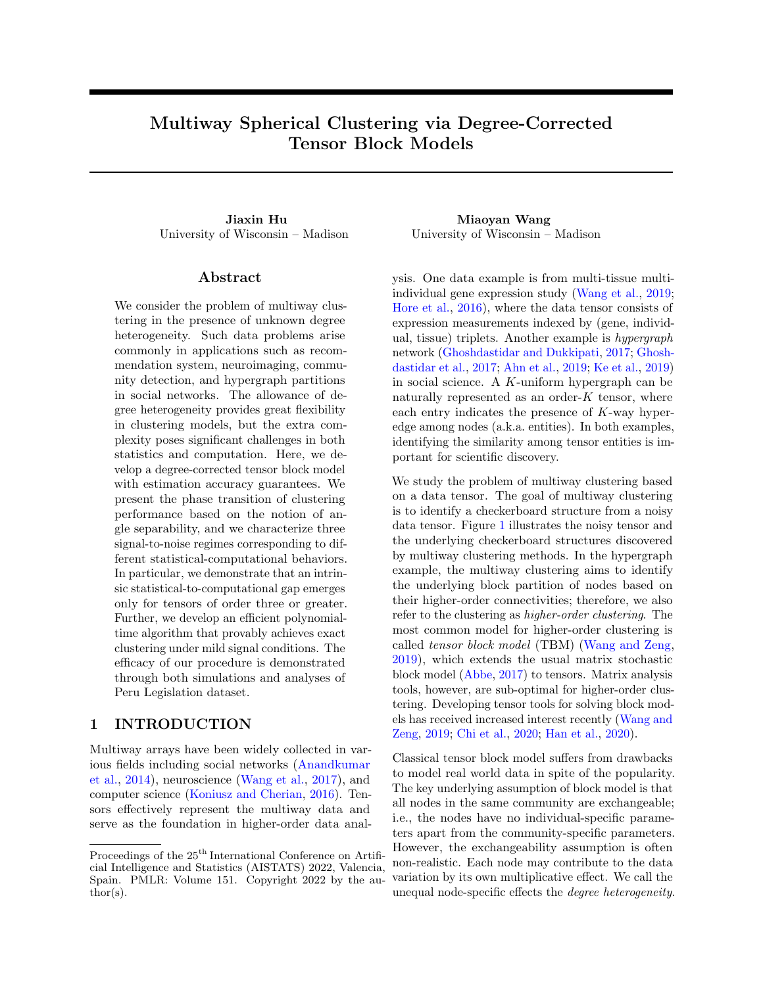Remark 1 (Statistical-computational gaps). Now, we have established the phase transition of exact clustering under order-K dTBM by combing Theorems [2](#page-4-3) and [3.](#page-4-4) Figure [2](#page-2-0) summarizes our results of critical SNRs when  $K = 2$ . Particularly, dTBM reduces to matrix degree-corrected model when  $K = 2$ , and the statistical and computational bounds show the same critical value. When  $K = 1$ , dTBM reduces to the degree-corrected sub-Gaussian mixture model (GMM). Earlier work [\(Lu and Zhou,](#page-9-20) [2016\)](#page-9-20) implies that polynomial-time algorithms are able to achieve the statistical minimax lower bound in GMM. Hence, the statistical-to-computational gap emerges only for higher-order tensors with  $K = 3$ , which reveals the intrinsic distinctions among (vector) one-dimensional clustering, (matrix) biclustering, and (tensor) higherorder clustering. We also find that the extra complexity from does not render the estimation of z qualitatively harder; see comparison of our phase transition with non-degree TBM [\(Han et al.,](#page-9-12) [2020\)](#page-9-12).

# <span id="page-5-0"></span>4 ALGORITHM

In this section, we present an efficient polynomialtime clustering algorithm under mild SNR. The procedure takes a global-to-local approach. See Figure [3](#page-5-1) for illustration. The global step finds the basin of attraction with polynomial miclustering error, whereas the local iterations improve the initial clustering to exact recovery. Both steps are critical to obtain a satisfactory algorithm output.

<span id="page-5-1"></span>

Figure 3: Illustration of our global-to-local algorithm.

### 4.1 Initialization

We start with weighted higher-order clustering algorithm as initialization. We take an order-3 symmetric tensor as illustration for insight. Consider noiseless case with  $X = EY$  and  $\mathbf{X} = \text{Mat}(X)$ . By model [\(1\)](#page-3-0), for all  $i \n\mathcal{Z}[p]$ , we have

$$
\theta(i)^{-1} \mathbf{X}_{i:} = \left[\text{Mat}(S \quad {}_{2} \mathbf{\Theta} \mathbf{M} \quad {}_{3} \mathbf{\Theta} \mathbf{M})\right]_{z(i):}.
$$

This implies that, all node  $i$  belonging to  $a$ -th community (i.e.,  $z(i) = a$ ) share the same normalized mean vector  $\theta(i)$ <sup>1</sup> $\mathbf{X}_{i:}$ , and vice versa. Intuitively, one can apply k-means clustering to the vectors  $f\theta(i)$ <sup>1</sup> $\mathbf{X}_i$ :  $g_i$ <sub>2[p]</sub>, which leads to main idea of our Sub-algorithm [1.](#page-6-0) Specifically, our initialization consists of denoising step and clustering step. The denoising step (lines 1-2 in Sub-algorithm [1\)](#page-6-0) estimates

 $X$  from Y by a double projection spectral method. The double projection improves usual matrix spectral methods in order to alleviate the noise effects for  $K = 3$  [\(Han et al.,](#page-9-12) [2020\)](#page-9-12). The clustering step (lines 3-5 in Sub-algorithm [1\)](#page-6-0) performs the weighted  $k$ -means clustering. The choice of weights is to bound the k-means objective function by the Frobenius-norm accuracy of  $\hat{X}$ . Unlike existing clustering algorithm [\(Ke](#page-9-8) [et al.,](#page-9-8) [2019\)](#page-9-8), we apply the clustering on the unfolded tensor  $\hat{\mathbf{X}}$  rather than on the factors  $\hat{\mathbf{U}}$ . This strategy relaxes the singular-value gap condition [\(Gao et al.,](#page-9-14) [2018;](#page-9-14) [Han et al.,](#page-9-12) [2020\)](#page-9-12). Full procedures are provided in Sub-algorithm [1.](#page-6-0)

We now establish the misclustering error rate of initialization. We call is balanced if the relative extent of heterogeneity is comparable across clusters in that

<span id="page-5-2"></span>
$$
\min_{a \, 2[r]} k \, z \, \mathbf{1}_{(a)} k = (1 + o(1)) \max_{a \, 2[r]} k \, z \, \mathbf{1}_{(a)} k. \tag{6}
$$

Note that, the assumption [\(6\)](#page-5-2) does not preclude degree heterogeneity. Indeed, within each of the clusters, the highest degree can be  $\theta(i) = \Omega(p)$ , whereas the lowest degree can be  $\theta(i) = O(1)$ .

<span id="page-5-3"></span>Theorem 4 (Error for weighted higher-order initialization). Consider the general sub-Gaussian dTBM with i.i.d. noise under the parameter space  $P$  and Assumption 1. Assume is balanced and and Assumption [1.](#page-3-2) Assume  $\min_{i \geq [p]} \theta(i)$  c for some constant  $c > 0$ . Let  $z^{(0)}$  denote the output of Sub-algorithm [1.](#page-6-0) With probability going to 1, we have

<span id="page-5-4"></span>
$$
\ell(z^{(0)}, z) \cdot r^K p^{-K/2} / \text{SNR}.\tag{7}
$$

Remark 2 (Comparison to previous results). For fixed SNR, our initialization error rate with  $K = 2$ agrees with the initialization error rate  $O(p^{-1})$  in matrix models [\(Gao et al.,](#page-9-14) [2018\)](#page-9-14). Furthermore, in the special case of non-degree TBMs with  $\theta_1 =$  $\theta_p = 1$ , we achieve the same initial misclustering error  $O(p^{-K/2})$  as in non-degree models [\(Han et al.,](#page-9-12) [2020\)](#page-9-12). Theorem [4](#page-5-3) implies the advantage of our algorithm in achieving both accuracy and model flexibility.

Remark 3 (Failure of conventional tensor HOSVD). If we use conventional HOSVD for tensor denoising; that is, we use  $U_{pre}$  in place of  $\hat{U}$  in line 2, then the misclustering rate becomes  $O(p^{-1})$  for all  $K = 2$ . This rate is substantially worse than our rate [\(7\)](#page-5-4).

# 4.2 Angle-based Iteration

Our Theorem [4](#page-5-3) has shown the polynomially decaying error rate from our initialization. Now we improve the error rate to exponential decay using local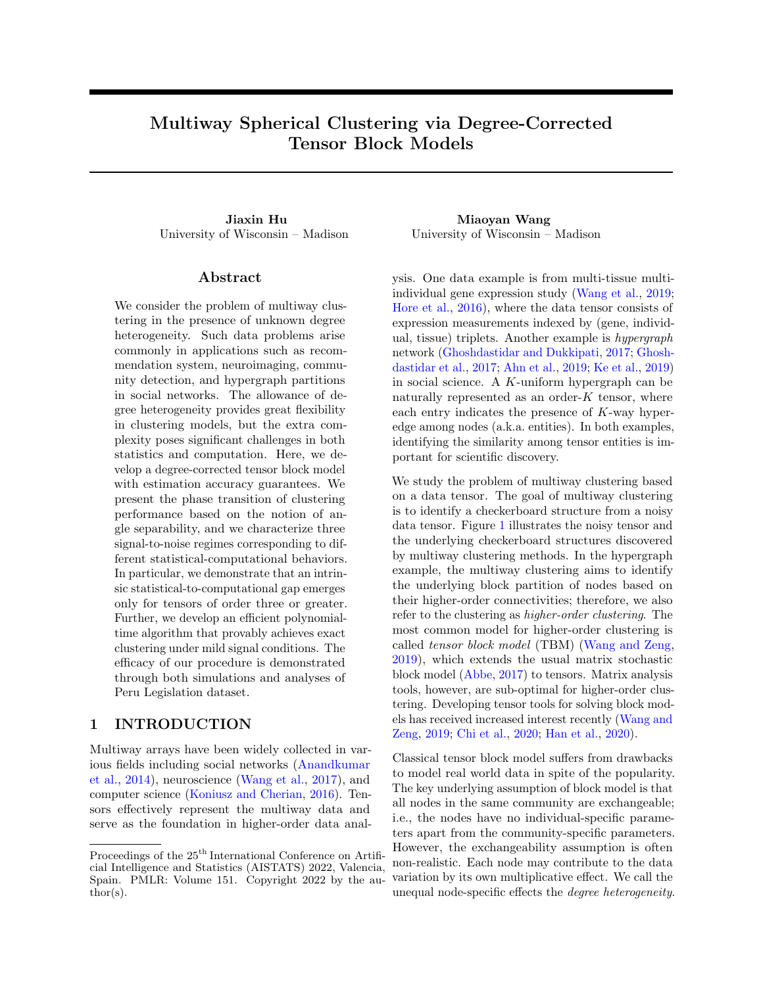# <span id="page-6-0"></span>Algorithm: Multiway spherical clustering for degree-corrected tensor block model

# Sub-algorithm 1: Weighted higher-order initialization

**Input:** Observation  $Y \in \mathbb{R}^{p \times \dots \times p}$ , cluster number r, relaxation factor  $\eta > 1$  in k-means clustering.

- 1: Compute factor matrix  $U_{pre} = \text{SVD}_r(\text{Mat}(Y))$  and the  $(K-1)$ -mode projection  $X_{pre} = Y \times_1 U_{pre} U_{pre}^T \times_2 \cdots \times_{K-1}$  $U_{\text{pre}}U_{\text{pre}}^T$ .
- 2: Compute factor matrix  $\hat{\mathbf{U}} = \text{SVD}_r(\text{Mat}(\mathcal{X}_{pre}))$  and denoised tensor  $\hat{\mathcal{X}} = Y \times_1 \hat{\mathbf{U}} \hat{\mathbf{U}}^T \times_2 \cdots \times_K \hat{\mathbf{U}} \hat{\mathbf{U}}^T$ .
- 3: Let  $\hat{\mathbf{X}} = \text{Mat}(\hat{X})$  and  $S_0 = \{i \mid [p]: \hat{\mathbf{X}}_{i:} = 0\}$ . Set  $\hat{z}(i)$  randomly in  $[r]$  for  $i \in S_0$ .
- 4: For all  $i$   $S_0^c$ , compute normalized rows  $\hat{\mathbf{X}}_{i:}^s := \hat{\mathbf{X}}_{i:}$   $^{-1} \hat{\mathbf{X}}_{i:}$ .
- 5: Solve the clustering  $\hat{z}$ :  $[p]$  [r] and centroids  $(\hat{\mathbf{X}}_j)_{j \in [r_k]}$  using weighted k-means, such that

$$
\sum_{i=S_0^c} \hat{X}_{i:} \;^2 \; \hat{X}_{i:}^s - \hat{X}_{\tilde{z}(i)} \;^2 \quad \eta \min_{\tilde{X}_j, j \in [r], \tilde{z}(i), i} \;^sS_0^c \sum_{i=S^c} \hat{X}_{i:} \;^2 \; \hat{X}_{i:}^s - \bar{X}_{\tilde{z}(i)} \;^2
$$

**Output:** Initial clustering  $z^{(0)}$   $\hat{z}$ .

# Sub-algorithm 2: Angle-based iteration

**Input:** Observation  $Y \longrightarrow \mathbb{R}^{p \times \cdots \times p}$ , initialization z  $[r]$  from Sub-algorithm 1, iteration number T. 6: for  $t = 0$  to  $T - 1$  do<br>7. Undate the block 1

- 7: Update the block tensor  $S^{(t)}$  via  $S^{(t)}(a_1,...,a_K) = \text{Ave}\{Y(i_1,...,i_K): z^{(t)}(i_k) = a_k, k \ [K]\}.$
- 8: Calculate reduced tensor  $\gamma^d$   $\mathbb{R}^{p \times r \times \cdots \times r}$  via

$$
\gamma^{\mathsf{d}}(i, a_2, \dots, a_K) = \text{Ave}\{ \gamma(i, i_2, \dots, i_K) : z^{(t)}(i_k) = a_k, k = 1 \}.
$$

- 9: Let  $Y^d = \text{Mat}(Y^d)$  and  $J_0 = \{i \mid [p] : ||Y_i^d|| = 0\}$ . Set  $z^{(t+1)}(i)$  randomly in [r] for  $i$   $J_0$ .
- 10: Let  $S^{(t)} = \text{Mat}(S^{(t)})$ . For all  $i \quad J_0^c$  update the cluster assignment by

$$
z(i)^{(t+1)} = \underset{a}{\arg\max} \cos\left(\mathbf{Y}_{i:}^{d}, \mathbf{S}_{a:}^{(t)}\right).
$$

11: end for **Output:** Estimated clustering  $z^{(T)}$  $[r]^p$ .

iterations. We propose an angle-based local iteration to improve the outputs from Sub-algorithm [1.](#page-6-0) To gain the intuition, consider an one-dimensional degree-corrected clustering problem with data vectors  $\mathbf{x}_i = \theta(i) \mathbf{s}_{z(i)} + i, i \geq [p]$ , where  $\mathbf{s}_i$ 's are known cluster centroids,  $\theta(i)$ 's are unknown positive degrees, and  $z: [p] \not\sqsubseteq [r]$  is the cluster assignment of interest. The angle-based k-means algorithm estimates the assignment z by minimizing the angle between data vectors and centroids; i.e.,

$$
z(i) = \underset{a \, \mathcal{L}[r]}{\arg \max} \cos(\mathbf{x}_i, \, \mathbf{s}_a), \text{ for all } i \, \mathcal{L}[p].
$$

The classical Euclidean-distance based cluster-ing [\(Han et al.,](#page-9-12)  $2020$ ) fails to recover z in the presence of degree heterogeneity, even under noiseless case. In contrast, the angle-based  $k$ -means clustering achieves accurate recovery without explicit estimation of . Our Sub-algorithm [2](#page-6-0) shares the same spirit as angle-based k-means, except that we use estimated centroids  $s_a^{(t)}$  in place of  $s_a$  based on estimated assignment in previous iterations. See Sub-algorithm [2](#page-6-0) for full procedures.

We now establish the misclustering error rate of iterations under the stability assumption.

<span id="page-6-3"></span>Definition 1 (Locally linear stability). Define the  $\varepsilon$ -neighborhood of z by  $N(z,\varepsilon) = f\overline{z}$ :  $\ell(\overline{z},z)$   $\varepsilon q$ . Let  $\bar{z}$ :  $[p]$  !  $[r]$  be a clustering function. The degree is  $\varepsilon$ -locally linearly stable if and only if

.

<span id="page-6-1"></span>
$$
\sin(\boldsymbol{p}(\bar{z}), \ \boldsymbol{p}(\ \bar{z})) \quad \varepsilon \Delta_{\text{min}}, \text{ for all } \bar{z} \ 2 \ N(z, \varepsilon), \ \ (8)
$$

where 
$$
\mathbf{p}(\bar{z}) = (j\bar{z}^{-1}(1)j, \ldots, j\bar{z}^{-1}(r)j)^T
$$
 and  $\mathbf{p}(\bar{z}) = (k_{z^{-1}(1)}k_1, \ldots, k_{z^{-1}(r)}k_1)^T$ .

Roughly speaking, the vector  $p(\bar{z})$  represents the raw cluster sizes, and  $\mathbf{p}_{\theta}(\bar{z})$  represents the relative cluster sizes weighted by degrees. The local stability holds trivially for  $\varepsilon = 0$  based on the construction of parameter space  $(2)$ . The condition  $(8)$  controls the impact of node degree to the  $p_{\theta}$  ) with respect to the misclassification rate  $\varepsilon$  and angle gap.

<span id="page-6-2"></span>Theorem 5 (Error for angle-based iteration). Con-sider the setup as in Theorem [4.](#page-5-3) Suppose  $r = O(1)$ and SNR  $\tilde{C}p^{-K/2}\log p$  for some sufficiently large constant  $\tilde{C}$ . Assume the local linear stability of degree holds in the neighborhood  $N(z, \varepsilon)$  for all  $\varepsilon$   $E_0$ gree holds in the neighborhood  $N(z, \varepsilon)$  for all  $\varepsilon$ and some  $E_0$   $\check{C} \log^{-1} p$  with some positive constant  $\check{C}$ . Let  $z^{(t)}$  denote the t-th iteration output in Sub-algorithm [2](#page-6-0) with initialization  $z^{(0)}$  from Subalgorithm [1.](#page-6-0) With probability going to 1, there exists a contraction parameter  $\rho \nightharpoonup (0,1)$  such that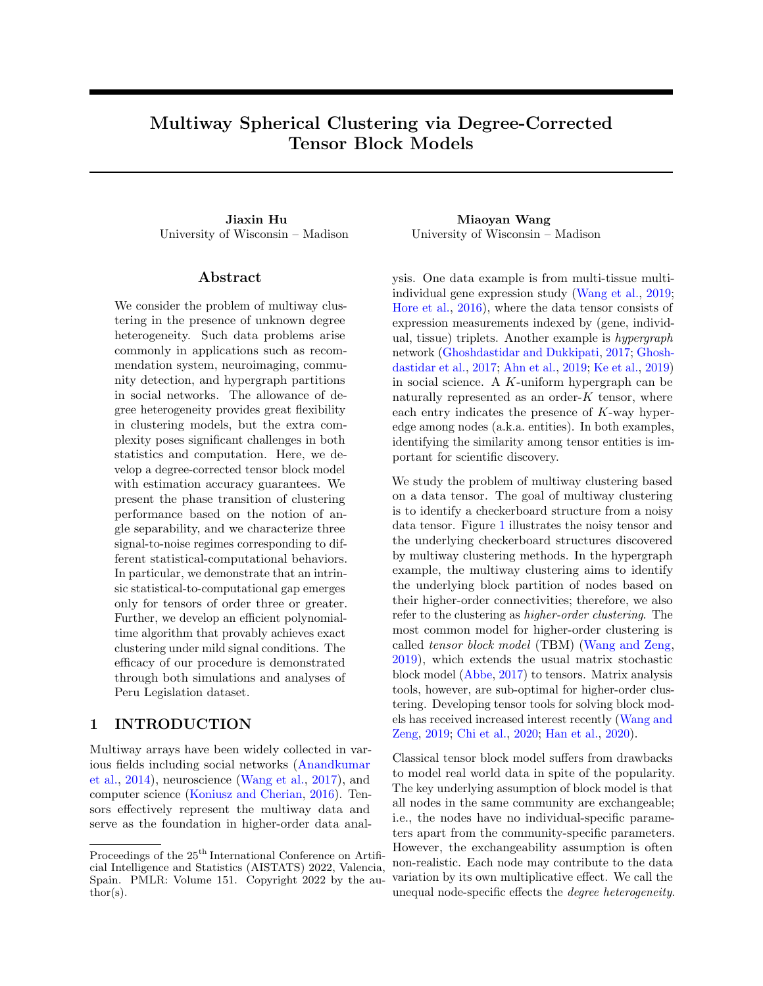$$
\left\{Z; 2^{(t+1)}\right\}.
$$
 
$$
\underbrace{\text{SNR}^{-1} \exp\left(\frac{p^{K-1} \text{SNR}}{r^{K-1}}\right)}_{\text{statistical error}} + \underbrace{\frac{t}{r^{(t)}(Z; Z^{(0)})}_{\text{computational}}}{\frac{t}{r^{K}}}
$$

The iteration error is decomposed into two parts: statistical error and computational error. The statistical error is unavoidable with noisy data regardless t, whereas the computational error decays in an exponential rate as the number of iterations  $t \mid 1$ . Theorem [5](#page-6-2) implies that, with probability going to 1, our estimate  $z^{(T)}$  achieves exact recovery within polynomial iterations; more precisely,

$$
z^{(T)} = \pi \quad z, \quad \text{for all } T \& \log_{1/\rho} p,
$$

for some permutation  $\pi$  2 Π. Hence, our combined algorithm is computationally efficient as long as SNR  $\& p^{K/2} \log p$ . Note that, ignoring the logarithmic term, the minimal SNR requirement,  $p^{K/2}$ , coincides with the computational lower bound in Theorem [3.](#page-4-4) Therefore, our algorithm is optimal regarding the signal requirement and lies in the sharpest computationally efficient regime in Figure [2.](#page-2-0)

# <span id="page-7-2"></span>5 NUMERICAL STUDIES

We evaluate the performance of our algorithm<sup>[1](#page-0-0)</sup> in this section. We report average errors and standard deviations across 30 replications in each experiment. Clustering accuracy is assessed by clustering error rate (CER, i.e., one minus rand index). Note that CER between  $(\hat{z}, z)$  is equivalent to misclustering error  $\ell(\hat{z}, z)$  up to constant multiplications (Meilă, [2012\)](#page-9-21), and lower CERs indicate better performances.

We generate order-3 tensors with *assortative* [\(Gao](#page-9-14) [et al.,](#page-9-14) [2018\)](#page-9-14) core tensors to control SNR; i.e., we set  $S_{aaa} = s_1$  for a 2 [r] and others be  $s_2$ , where  $s_1 > s_2 > 0$ . Let  $\alpha = s_1/s_2$ . We set  $\alpha$  close to 1 such that 1  $\alpha = o(p)$ . In particular, we have  $\alpha = 1 + \Omega(p^{\gamma/2})$  $\alpha = 1 + \Omega(p^{\gamma/2})$  $\alpha = 1 + \Omega(p^{\gamma/2})$  with  $\gamma < 0$  by Assumption 1 and definition [\(4\)](#page-4-0). Hence, we easily adjust SNR via varying  $\alpha$ . The assortative setting is proposed for simulations, and our algorithm is applicable for general tensors in practice. The cluster assignment  $z$  is randomly generated with equal probability across  $r$  clusters for each mode. Without further explanation, we generate degree heterogeneity from absolute normal distribution by  $\theta(i) = jX_i j + 1 \quad 1/$  $\frac{p_{\text{acc}}}{2\pi}$  with  $(X_i)$ <sup>i.i.d.</sup>  $N(0, 1), i \geq [p]$  and normalize to satisfy [\(2\)](#page-3-1). We set  $\sigma^2 = 1$  for Gaussian data.

#### 5.1 Verification of Theoretical Results

The first experiment verifies statistical-computational gap described in Section [3.](#page-4-5) Consider the Gaussian

<span id="page-7-0"></span>

Figure 4: SNR phase transitions for clustering in dTBM with  $p = f80; 100g; r = 5$  under (a) matrix case with  $[1.2; 0.4]$  and (b) tensor case with  $2[2.1; 1.4]$ .

<span id="page-7-1"></span>

Figure 5: CER versus signal exponent ( ) for initialization only and for combined algorithm. We set  $p = f80; 100q; r = 5; 2 \mid 2.1; 1.4$  under (a) Gaussian models and (b) Bernoulli models.

model with  $p = f80, 100q$ ,  $r = 5$ . We vary  $\gamma$  in [ 1.2, 0.4] and [ 2.1, 1.4] for matrix  $(K = 2)$ and tensor  $(K = 3)$  clustering, respectively. Note that finding MLE under dTBM is computationally intractable. We approximate MLE using an oracle estimator, i.e., the output of Sub-algorithm [2](#page-6-0) initialized from true assignment. Figure [4a](#page-7-0) shows that both our algorithm and oracle estimator start to decrease around the critical value  $\gamma_{stat} = \gamma_{comp} = 1$  in matrix case. In contrast, Figure [4b](#page-7-0) shows a significant gap in the phase transitions between the algorithm estimator and oracle estimator in tensor case. The oracle error rapidly decreases to 0 when  $\gamma_{stat} = 2$ , whereas the algorithm estimator tends to achieve exact clustering when  $\gamma_{\text{comp}} = 1.5$ . Figure [4](#page-7-0) confirms the existence of the statistical-computational gap in our Theorems [2](#page-4-3) and [3.](#page-4-4)

The second experiment verifies the performance guarantees of two algorithms: (i) weighted higher-order initialization; (ii) combined algorithm of weighted higher-order initialization and angle-based iteration. We consider both the Gaussian and Bernoulli models with  $p = 780, 100q$ ,  $r = 5, \gamma 2[2.1, 1.4]$  $r = 5, \gamma 2[2.1, 1.4]$  $r = 5, \gamma 2[2.1, 1.4]$ . Figure 5 shows the substantial improvement of combined algorithm over initialization, especially under weak and intermediate signals. This phenomenon agrees with the error rates in Theorems [4](#page-5-3) and [5](#page-6-2) and confirms the necessity of the local iterations.

<sup>&</sup>lt;sup>1</sup>The R package and data used are available at https://cran.r-project.org/package=dTBM.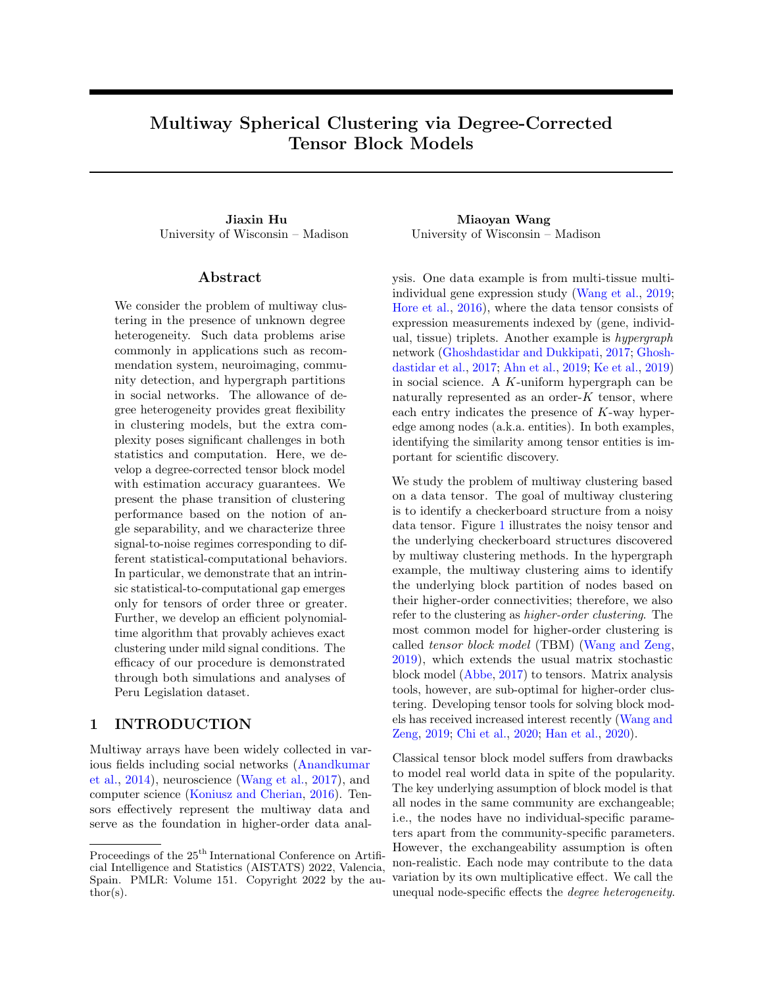#### <span id="page-8-1"></span>5.2 Comparison with Other Methods

We compare our algorithm with higher-order clustering methods below:

• **HOSVD**: HOSVD on data tensor and *k*-means on the rows of the factor matrix;

• HOSVD+: HOSVD on data tensor and  $k$ -means on the  $\ell_2$ -normalized rows of the factor matrix;

• HLloyd [\(Han et al.,](#page-9-12) [2020\)](#page-9-12): High-order clustering algorithm developed for non-degree TBM;

• **SCORE** [\(Ke et al.,](#page-9-8) [2019\)](#page-9-8): Tensor-SCORE for clustering developed for binary tensors.

Among the four alternative algorithms, the SCORE is the closest method to ours. We set the tuning parameters of SCORE as in previous literature [\(Ke](#page-9-8) [et al.,](#page-9-8) [2019\)](#page-9-8). The methods SCORE and HOSVD+ are designed for dTBM [\(1\)](#page-3-0), whereas HOSVD and HLloyd are designed for non-degree models. We conduct two experiments to assess the impacts of (i) signal strength and (ii) degree heterogeneity under Gaussian and Bernoulli models with  $p = 100, r = 5$ . We call our algorithm as dTBM in comparison.

We investigate the effects of signal to clustering performance by varying  $\gamma$  2 [ 1.5, 1.1]. Figure [6](#page-8-0) shows the consistent outperformance of our method dTBM among all algorithms. The sub-optimality of SCORE and HOSVD+ indicates the necessity of local iterations on the clustering. Furthermore, Figure [6](#page-8-0) shows the inadequacy of non-degree algorithms in the presence of mild degree heterogeneity. The only exception is the slightly better performance of HLloyd over HOSVD+ under Gaussian model. However, we find the advantage of HLloyd disappears with higher degree heterogeneity; see Supplement [B.](#page-11-2) The experiment demonstrates the benefits of addressing heterogeneity in higher-order clustering tasks.

The last experiment investigates the effects of degree heterogeneity to clustering performance. We use the same setting as in the first experiment in the Section [5.2,](#page-8-1) except that we fix the signal exponent  $\gamma = 1.2$  and generate the degree heterogeneity from Pareto distribution prior to normalization. The density function of Pareto distribution is  $f(x/a, b) =$  $ab^a x^{-(a+1)} \mathbf{1} f x$  bg, where a is called *shape* parameter. We vary the shape parameter  $a \nightharpoonup [3, 6]$  and choose b such that  $EX = a(a \t 1)^{-1}b = 1$  for X following  $Pareto(a, b)$ . Note that a smaller a leads to a larger variance in and hence a larger degree heterogeneity. Figure [7](#page-8-2) demonstrates the stability of degreecorrected algorithms (dTBM, SCORE, HOSVD+) over the entire range of degree heterogeneity under consideration. In contrast, non-degree algorithms (HLloyd, HOSVD) show poor performance with

large heterogeneity, especially in Bernoulli cases. This experiment, again, highlights the benefit of addressing degree heterogeneity in clustering.

<span id="page-8-0"></span>

Figure 6: CER versus signal exponent (denoted ) for different methods. We set  $p = 100, r = 5, 2 \, | \, 1.5, 1.1$ under (a) Gaussian and (b) Bernoulli models.

<span id="page-8-2"></span>

Figure 7: CER versus shape parameter in degree (denoted a 2 [3;6]) for different methods with  $p = 100; r =$  $5: = 1.2$  under (a) Gaussian and (b) Bernoulli models.

# 5.3 Peru Legislation Data Analysis

We apply our method to the legislation networks in the Congress of the Republic of Peru [\(Lee et al.,](#page-9-22) [2017\)](#page-9-22). Because of the frequent political power shifts in the Peruvian Congress during 2006-2011, we choose to focus on the data for the first half of 2006-2007 year. The dataset records the co-sponsorship of 116 legislators from top 5 parties and 802 bill proposals. We reconstruct legislation network as an order-3 binary tensor  $Y \nightharpoonup 2$   $f0$ ,  $1g^{116}$   $116$   $116$ , where  $Y_{ijk} = 1$  if the legislators  $(i, j, k)$  have sponsored the same bill, and  $Y_{ijk} = 0$  otherwise. True party affiliations of legislators are provided and serve as the ground truth. We apply various higher-order clustering methods to Y with  $r = 5$ . Table [2](#page-8-3) shows that our **dTBM** achieves the best performance compared to others. The second best method is the two-stage algorithm HLloyd, followed by the spectral methods SCORE and HOSVD+. The result is consistent with simulations under moderate heterogeneity.

<span id="page-8-3"></span>

| $Method \mid dTBM$ |                     | $HOSVD+$ | HLloyd SCORE |       |
|--------------------|---------------------|----------|--------------|-------|
| <b>CER</b>         | $\vert 0.116 \vert$ | 0.213    | 0.149        | 0.199 |

Table 2: Clustering errors (measured by CER) for various methods in the analysis of Peru Legislation dataset.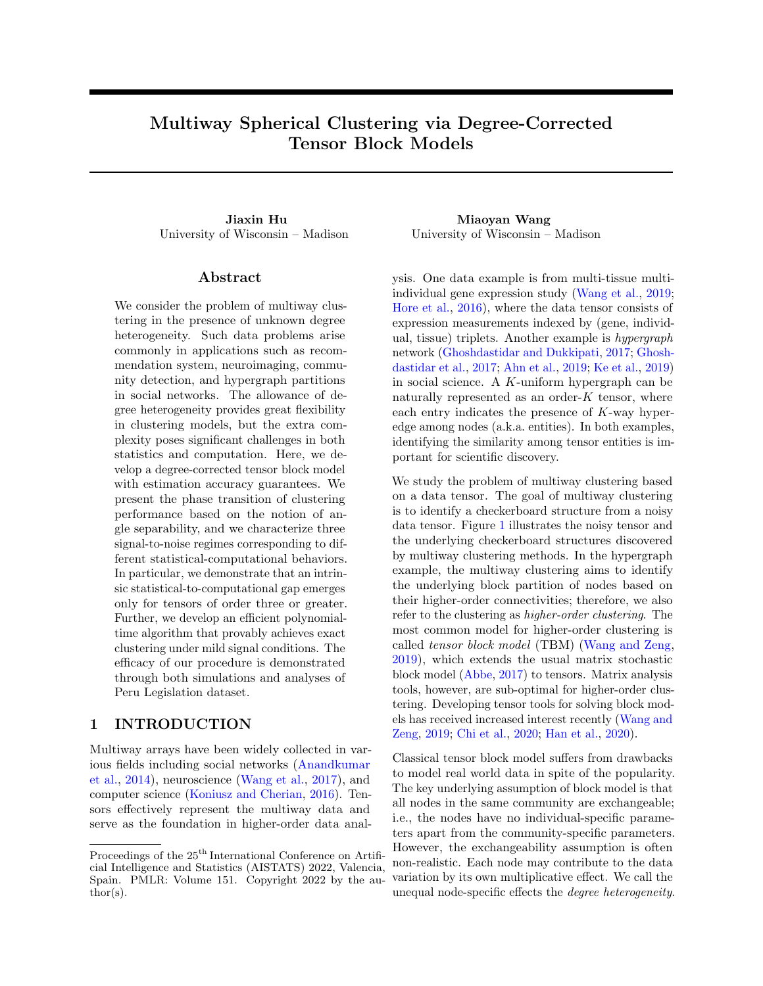### Acknowledgments

This research is supported in part by NSF grants DMS-1915978, DMS-2023239, EF-2133740, and funding from the Wisconsin Alumni Research foundation. We thank Zheng Tracy Ke, Rungang Han, Yuetian Luo for helpful discussions and for sharing software packages.

### References

- <span id="page-9-10"></span>Abbe, E. (2017). Community detection and stochastic block models: recent developments. The Journal of Machine Learning Research, 18(1):6446– 6531.
- <span id="page-9-16"></span>Ahn, K., Lee, K., and Suh, C. (2018). Hypergraph spectral clustering in the weighted stochastic block model. IEEE Journal of Selected Topics in Signal Processing, 12(5):959–974.
- <span id="page-9-7"></span>Ahn, K., Lee, K., and Suh, C. (2019). Community recovery in hypergraphs. IEEE Transactions on Information Theory, 65(10):6561–6579.
- <span id="page-9-0"></span>Anandkumar, A., Ge, R., Hsu, D., Kakade, S. M., and Telgarsky, M. (2014). Tensor decompositions for learning latent variable models. The Journal of Machine Learning Research, 15(1):2773–2832.
- <span id="page-9-13"></span>Bickel, P. J. and Chen, A. (2009). A nonparametric view of network models and newman–girvan and other modularities. Proceedings of the National Academy of Sciences, 106(50):21068–21073.
- <span id="page-9-19"></span>Brennan, M. and Bresler, G. (2020). Reducibility and statistical-computational gaps from secret leakage. In Conference on Learning Theory, pages 648–847. PMLR.
- <span id="page-9-11"></span>Chi, E. C., Gaines, B. J., Sun, W. W., Zhou, H., and Yang, J. (2020). Provable convex co-clustering of tensors. Journal of Machine Learning Research, 21(214):1–58.
- <span id="page-9-15"></span>Chi, Y., Lu, Y. M., and Chen, Y. (2019). Nonconvex optimization meets low-rank matrix factorization: An overview. IEEE Transactions on Signal Processing, 67(20):5239–5269.
- <span id="page-9-18"></span>De Lathauwer, L., De Moor, B., and Vandewalle, J. (2000). A multilinear singular value decomposition. SIAM Journal on Matrix Analysis and Applications, 21(4):1253–1278.
- <span id="page-9-14"></span>Gao, C., Ma, Z., Zhang, A. Y., and Zhou, H. H. (2018). Community detection in degree-corrected block models. The Annals of Statistics, 46(5):2153– 2185.
- <span id="page-9-5"></span>Ghoshdastidar, D. and Dukkipati, A. (2017). Uniform hypergraph partitioning: Provable tensor

methods and sampling techniques. The Journal of Machine Learning Research, 18(1):1638–1678.

- <span id="page-9-6"></span>Ghoshdastidar, D. et al. (2017). Consistency of spectral hypergraph partitioning under planted partition model. The Annals of Statistics, 45(1):289– 315.
- <span id="page-9-12"></span>Han, R., Luo, Y., Wang, M., and Zhang, A. R. (2020). Exact clustering in tensor block model: Statistical optimality and computational limit. arXiv preprint arXiv:2012.09996.
- <span id="page-9-4"></span>Hore, V., Viñuela, A., Buil, A., Knight, J., McCarthy, M. I., Small, K., and Marchini, J. (2016). Tensor decomposition for multiple-tissue gene expression experiments. Nature genetics, 48(9):1094.
- <span id="page-9-8"></span>Ke, Z. T., Shi, F., and Xia, D. (2019). Community detection for hypergraph networks via regularized tensor power iteration. arXiv preprint arXiv:1909.06503.
- <span id="page-9-17"></span>Kim, C., Bandeira, A. S., and Goemans, M. X. (2018). Stochastic block model for hypergraphs: Statistical limits and a semidefinite programming approach. arXiv preprint arXiv:1807.02884.
- <span id="page-9-2"></span>Koniusz, P. and Cherian, A. (2016). Sparse coding for third-order super-symmetric tensor descriptors with application to texture recognition. In *Proceed*ings of the IEEE Conference on Computer Vision and Pattern Recognition, pages 5395–5403.
- <span id="page-9-22"></span>Lee, S. H., Magallanes, J. M., and Porter, M. A. (2017). Time-dependent community structure in legislation cosponsorship networks in the congress of the republic of peru. Journal of Complex Net $works, 5(1):127-144.$
- <span id="page-9-20"></span>Lu, Y. and Zhou, H. H. (2016). Statistical and computational guarantees of lloyd's algorithm and its variants. arXiv preprint arXiv:1612.02099.
- <span id="page-9-21"></span>Meilă, M. (2012). Local equivalences of distances between clusterings—a geometric perspective. Machine Learning, 86(3):369–389.
- <span id="page-9-1"></span>Wang, L., Durante, D., Jung, R. E., and Dunson, D. B. (2017). Bayesian network–response regression. Bioinformatics, 33(12):1859–1866.
- <span id="page-9-3"></span>Wang, M., Fischer, J., and Song, Y. S. (2019). Threeway clustering of multi-tissue multi-individual gene expression data using semi-nonnegative tensor decomposition. The Annals of Applied Statistics, 13(2):1103–1127.
- <span id="page-9-9"></span>Wang, M. and Zeng, Y. (2019). Multiway clustering via tensor block models. In Advances in Neural Information Processing Systems, pages 713–723.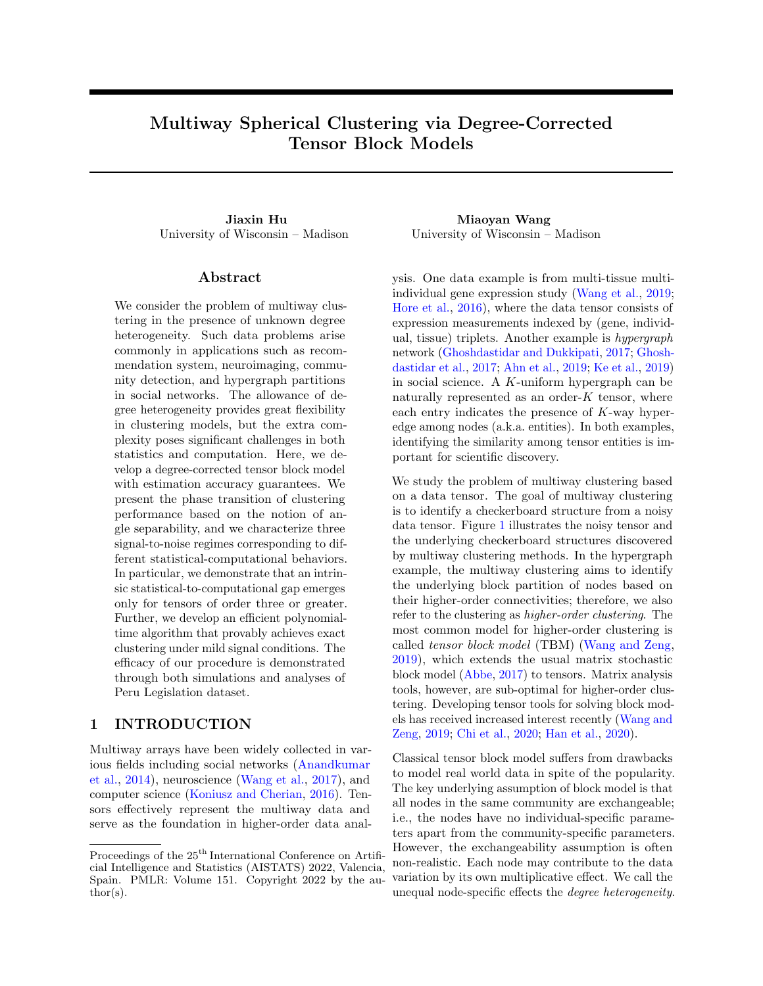- <span id="page-10-0"></span>Yuan, M., Liu, R., Feng, Y., and Shang, Z. (2018). Testing community structures for hypergraphs. arXiv preprint arXiv:1810.04617.
- <span id="page-10-1"></span>Yun, S.-Y. and Proutiere, A. (2016). Optimal cluster recovery in the labeled stochastic block model. Advances in Neural Information Processing Systems, 29:965–973.
- <span id="page-10-2"></span>Zhang, A. and Xia, D. (2018). Tensor SVD: Statistical and computational limits. IEEE Transactions on Information Theory, 64(11):7311–7338.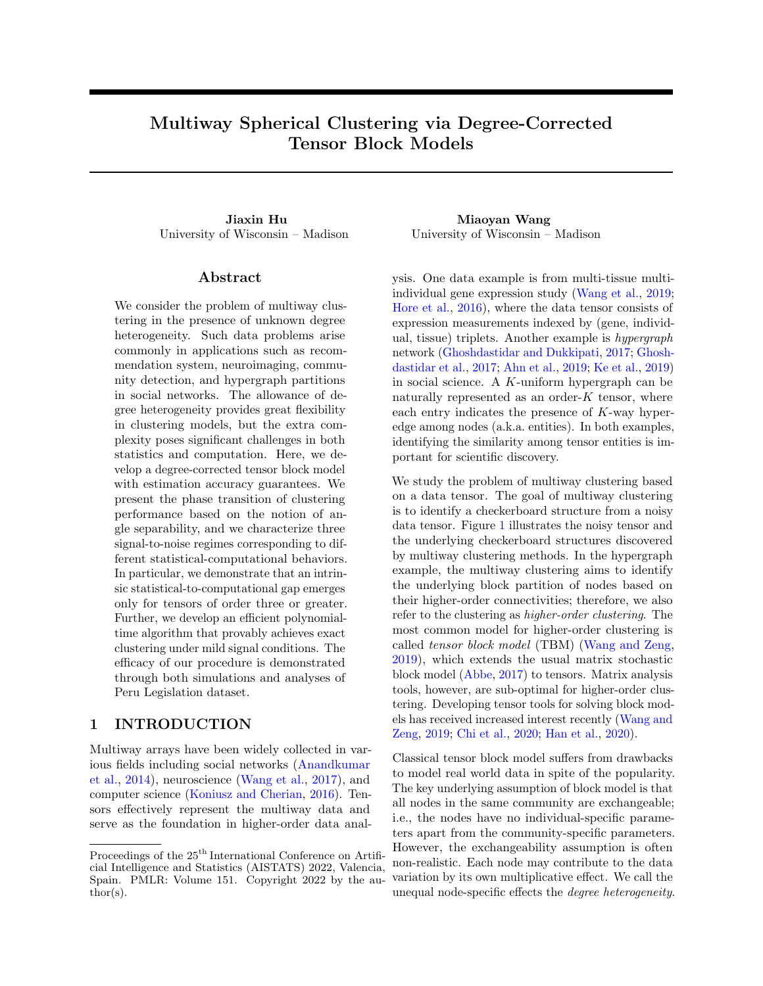# Supplementary Material: Multiway Spherical Clustering via Degree-Corrected Tensor Block Models

# A PARAMETER SPACE

Here, we provide the parameter space comparison with previous works and extra explanation for the positvity constraint of degree parameters.

# <span id="page-11-0"></span>A.1 Positivity of Degree Parameters

Here we provide an example to show the positivity constraints on incurs no loss on the model flexibility. Consider an order-3 dTBM with core tensor  $S = 1$  and degree  $= (1, 1, 1, 1)^T$ . We have the mean tensor

$$
X = S_{-1} \Theta M_{-2} \Theta M_{-3} \Theta M,
$$

where  $\Theta = \text{diag}(\ )$  and  $\mathcal{M} = (1, 1, 1, 1)^T$ . Note that  $X \supseteq \mathbb{R}^{4 \times 4}$  is a 1-block tensor with *mixed-signed* degree , and the mode-3 slices of  $X$  are

$$
X_{::1} = X_{::2} = X_{::3} = X_{::4} = \begin{bmatrix} 1 & 1 & 1 & 1 \\ 1 & 1 & 1 & 1 \\ 1 & 1 & 1 & 1 \\ 1 & 1 & 1 & 1 \end{bmatrix}.
$$

Now, instead of original decomposition, we encode  $X$  as a 2-block tensor with *positive-signed* degree. Specifically, we write

$$
X = S^0 \mathbf{1} \mathbf{\Theta}^0 \mathbf{M}^0 \mathbf{2} \mathbf{\Theta}^0 \mathbf{M}^0 \mathbf{3} \mathbf{\Theta}^0 \mathbf{M}^0,
$$

where  $\mathbf{\Theta}^{\theta} = \text{diag}(\begin{array}{c} \theta \\ \end{array}) = \text{diag}(1, 1, 1, 1)$ , the core tensor  $S^{\theta} \geq R^{2}$  as mode-3 slices, and the membership matrix  $\mathcal{M}^{\theta} \supseteq \mathcal{F}0, 1 \mathcal{G}^{\mathcal{A} - 2}$  defines the clustering  $z^{\theta}$ : [4]  $!$  [2],

$$
S_{::1}^{\emptyset} = S_{::2}^{\emptyset} = \begin{bmatrix} 1 & 1 \\ 1 & 1 \end{bmatrix}, \quad \mathbf{M}^{\emptyset} = \begin{bmatrix} 1 & 0 \\ 1 & 0 \\ 0 & 1 \\ 0 & 1 \end{bmatrix}.
$$

The triplet  $(z^{\ell}, S^{\ell}, \ell)$  lies in our parameter space [\(2\)](#page-3-1). In general, we can always reparameterize a block-r tensor with mixed-signed degree using a block-2r tensor with positive-signed degree. Since we assume  $r = O(1)$ throughout the paper, the splitting does not affect the error rates of our interest.

### <span id="page-11-1"></span>A.2 Parameter Space Comparison with Previous Work

Table [3](#page-12-0) indicates that our parameter space is flexible compared to existing work. The balanced community assumption is mild in literature. In fact, our simulation requires only the positive community size (i.e.,  $\min_{a\geq [r]}(z^{-1}(a))$  1) but no balanced community assumptions; see Section [5.](#page-7-2) The outperformance of dTBM shows the robustness of our algorithm to the imbalanced communities.

# <span id="page-11-2"></span>B ADDITIONAL EXPERIMENTS

We provide extra simulation results for the comparison with other higher-order clustering algorithms. We use the same setting as in the first experiment in the Section [5.2,](#page-8-1) except that we now generate the degree heterogeneity from Pareto distribution with shape parameter a prior to normalization. We consider the Gaussian model under low  $(a = 6)$  and high  $(a = 2)$  degree heterogeneity. Figure [8](#page-12-1) shows that the errors for non-degree algorithms (HLloyd, HOSVD) increases with degree heterogeneity. In addition, the advantage of HLloyd over HOSVD+ disappears with higher degree heterogeneity. This experiment supports the conclusion we obtained in Section [5.2.](#page-8-1)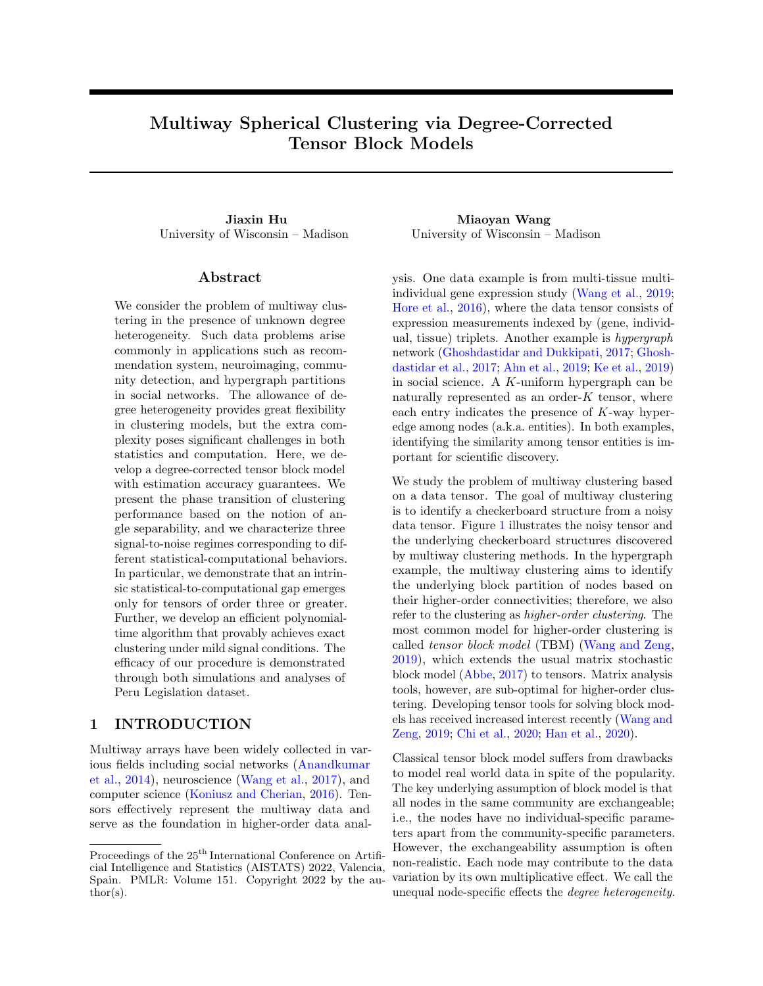<span id="page-12-0"></span>

| Assumptions in parameter space | Gao et al. (2018)             | Han et al. $(2020)$ | $\kappa$ et al. $(2019)$ | Ours      |
|--------------------------------|-------------------------------|---------------------|--------------------------|-----------|
| Balanced community size        |                               |                     |                          |           |
| Balanced degree parameters     |                               |                     |                          |           |
| Flexible in-group connections  |                               |                     |                          |           |
| Gap among cluster centers      | In-between cluster difference | Euclidean gap       | Eigen gap                | Angle gap |

Table 3: Comparison of parameter space of previous works with our work.

<span id="page-12-1"></span>

Figure 8: CER comparison versus signal exponent (denoted ) under (a) low (shape parameter  $a = 6$ ) (b) high (shape parameter  $a = 2$ ) degree heterogeneity. We set  $p = 100$ ;  $r = 5$ ; 2 [ 1:5; 1:1] under Gaussian model.

# C PROOFS

We provide the proofs for all the theorems in our main paper. In each sub-section, we first show the proof of main theorem and then collect the useful lemmas in the end.

#### C.1 Notation

Before the proofs, we first introduce the notation used throughout the appendix and the generalized dTBM without symmetric assumptions. The parameter space and minimal gap assumption are also extended for the generalized dTBM.

# Preliminaries.

1. For mode  $k \nightharpoonup K$ , denote the mode-k tensor matricizations by

$$
\mathbf{Y}_k = \mathrm{Mat}_k(\mathbf{Y}), \quad \mathbf{S}_k = \mathrm{Mat}_k(\mathbf{S}), \quad \mathbf{E}_k = \mathrm{Mat}_k(\mathbf{E}), \quad \mathbf{X}_k = \mathrm{Mat}_k(\mathbf{X}).
$$

2. For a vector  $a$ , let  $a^s := a/kak$  denote the normalized vector. We make the convention that  $a^s = 0$  if  $a = 0$ .

3. For a matrix  $\mathbf{A} \, 2 \, \mathbb{R}^{n-m}$ , let  $\mathbf{A}^{-K} := \mathbf{A}$  $A 2 R^{n^K}$  m<sup>K</sup> denote the Kronecker product of K copies of matrices A.

4. For a matrix  $A$ , let  $k A k_{\sigma}$  denote the spectral norm of matrix  $A$ , which is equal to the maximal singular value of A; let  $\lambda_k(A)$  denote the k-th largest singular value of A; let  $kA_kF$  denote the Frobenius norm of matrix A.

5. For two sequence a and b, let a b if there exist two positive constants c, C such that  $cb$  a Cb.

# Model extension to generalized dTBM.

The general order-K  $(p_1, \ldots, p_K)$ -dimensional dTBM model with  $r_k$  communities and degree heterogeneity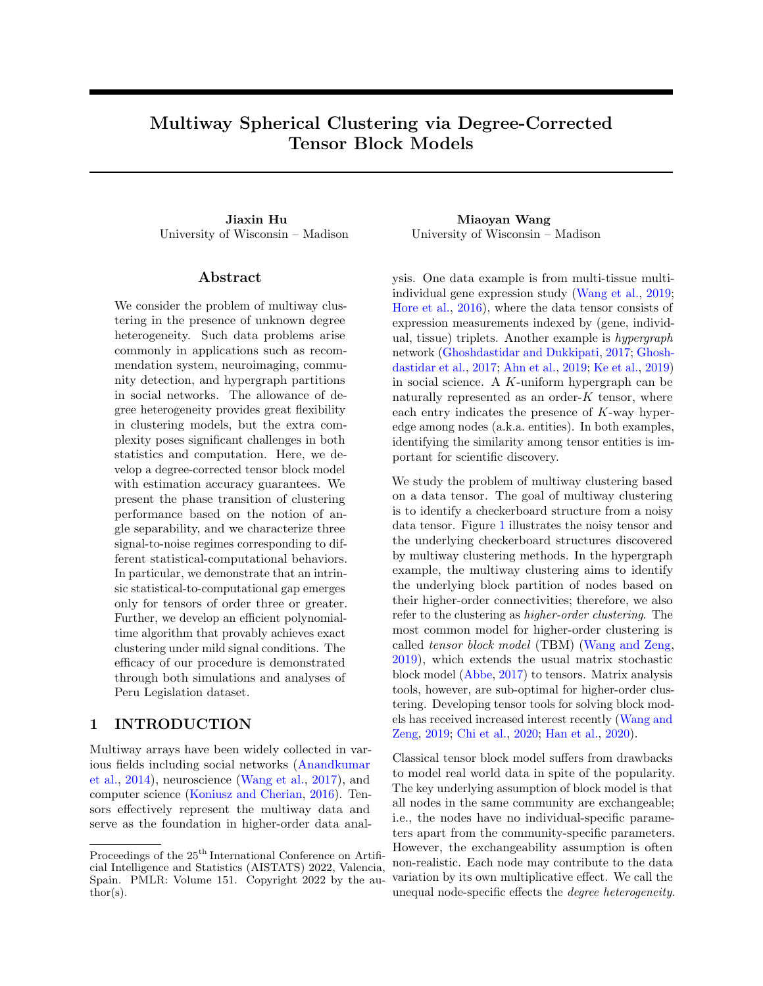$\mathbf{h}_k = \mathbf{0} \mathbf{\theta}_k(i)$  K  $2 \mathsf{R}_+^{p_k}$  is represented by

<span id="page-13-1"></span>
$$
Y = X + E, \quad \text{where} \quad X = S \quad 1 \mathbf{\Theta}_1 \mathbf{M}_1 \quad 2 \qquad K \mathbf{\Theta}_K \mathbf{M}_K, \tag{9}
$$

where  $\overline{Y}$  2  $\mathbb{R}^{p_1}$ <sup>pK</sup> is the data tensor,  $X \nvert 2 \rvert R^{p_1}$  rate mean tensor,  $S \nvert 2 \rvert R^{r_1}$  rate is the core tensor,  $E \supseteq \mathbb{R}^{p_1}$  p<sub>K</sub> is the noise tensor consisting of independent zero-mean sub-Gaussian entries with variance bounded by  $\sigma^2$ ,  $\Theta_k = \text{diag}(\epsilon_k)$ , and  $\mathcal{M}_k \supseteq \mathcal{D}$ ,  $1g^{p_k - r_k}$  is the membership matrix corresponding to the assignment  $z_k : [p_k] \not\sqsubseteq [r_k]$ , for all  $k \supseteq [K]$ .

For ease of notation, we use  $fz_kg$  to denote the collection  $fz_kg_{k=1}^K$ , and  $f$   $_kg$  to denote the collection  $f$   $_kg_{k=1}^K$ . Correspondingly, we consider the parameter space for the triplet  $(fz_k g, S, f_k g)$ ,

$$
P(fr_kg) = \begin{cases} (fz_kg, S, f \, g) : \\ k \, 2 \, \mathbb{R}^p_+, \frac{c_1p_k}{r_k} jz_k^{-1}(a)j & \frac{c_2p_k}{r_k}, c_3 \quad k\mathbf{S}_{k,a}: k \quad c_4, k \, k, z_k^{-1}(a)k_1 = jz_k^{-1}(a)j, a \, 2 \, [r_k], k \, 2 \, [K] \end{cases}.
$$

We call the degree heterogeneity  $f_{k}g$  is balanced if for all  $k \n\geq [K]$ ,

$$
\min_{a \geq [r]} k_{k,z_k^{-1}(a)} k = (1+o(1)) \max_{a \geq [r]} k_{k,z_k^{-1}(a)} k.
$$

We also consider the generalized Assumption [1](#page-3-2) on angle gap.

<span id="page-13-0"></span>**Assumption 2** (Generalized angle gap). Recall  $S_k = Mat_k(S)$ . We assume the minimal gap between normalized rows of  $S_k$  is bounded away from zero for all  $k \n\geq [K]$ ; i.e.,

<span id="page-13-2"></span>
$$
\Delta_{\min} \coloneqq \min_{k \, \mathcal{Z}[K]} \min_{a \in b \, \mathcal{Z}[r_k]} \| \mathbf{S}_{k,a}^s - \mathbf{S}_{k,b:}^s \| > 0.
$$

Similarly, let SNR =  $\Delta_{\text{min}}^2/\sigma^2$  with the generalized minimal gap  $\Delta_{\text{min}}^2$  defined in Assumption [2.](#page-13-0) We define the regime

$$
P(\gamma) = P(f r_k g) \setminus fS \text{ satisfies SNR} = p^{\gamma} \text{ and } p_k \quad p \text{, for all } k \geq [K]g.
$$

### C.2 Proof of Theorem [1](#page-3-4)

*Proof of Theorem [1.](#page-3-4)* To study the identifiability, we consider the noiseless model with  $E = 0$ . Assume there exist two parameterizations satisfying

$$
X = S_{1} \Theta_{1} \mathbf{M}_{1} \quad 2 \qquad K \Theta_{K} \mathbf{M}_{K}^{\theta} = S^{\theta} \quad 1 \Theta_{1}^{\theta} \mathbf{M}_{1}^{\theta} \quad 2 \qquad K \Theta_{K}^{\theta} \mathbf{M}_{K}^{\theta}, \tag{10}
$$

where  $(fz_k g, S, f_k g) \supseteq P(fr_k g)$  and  $(fz_k^{\theta} g, S^{\theta}, f_k^{\theta} g) \supseteq P(fr_k^{\theta} g)$  are two sets of parameters. We prove the sufficient and necessary conditions separately.

(() For the necessity, it suffices to construct two distinct parameters up to cluster label permutation, if the model [\(9\)](#page-13-1) violates Assumption [2.](#page-13-0) Without loss of generality, we assume  $||S_{1,1}^s - S_{1,2}^s|| = 0$ .

If  $S_{1,1}$  is a zero vector, construct  $\int_{1}^{\theta}$  such that  $\int_{1,z_1}^{\theta} 1_{(1)} \notin (1, z_1^{-1}(1))$ . Let  $\int_{1}^{z_2} 1_{(1)} \notin (1, z_2^{-1}(1))$ . for all  $k = 2, ..., K$ . Then the triplet  $(fz_k^y g, S^y, f^y g)$  is distinct from  $(fz_k g, S, f^y g)$  up to label permutation. Similar conclusion holds when  $\textit{S}_{1,2:}$  is a zero vector.

If neither  $S_{1,1}$ : nor  $S_{1,2}$ : is a zero vector, there exists a positive constant c such that  $S_{1,1} = cS_{1,2}$ . Thus, there exists a core tensor  $S_0 \, 2 \, \mathbb{R}^{r_1 - 1}$  r<sub>K</sub> such that

$$
S = S_0 \t C R, \t where \t C = diag(1, c, 1, ..., 1) 2 R^{r_1 r_1}, \t R = \begin{pmatrix} 1 & 0 \\ 1 & 0 \\ 0 & 1_{r_1} 2 \end{pmatrix} 2 R^{r_1 (r_1 1)}.
$$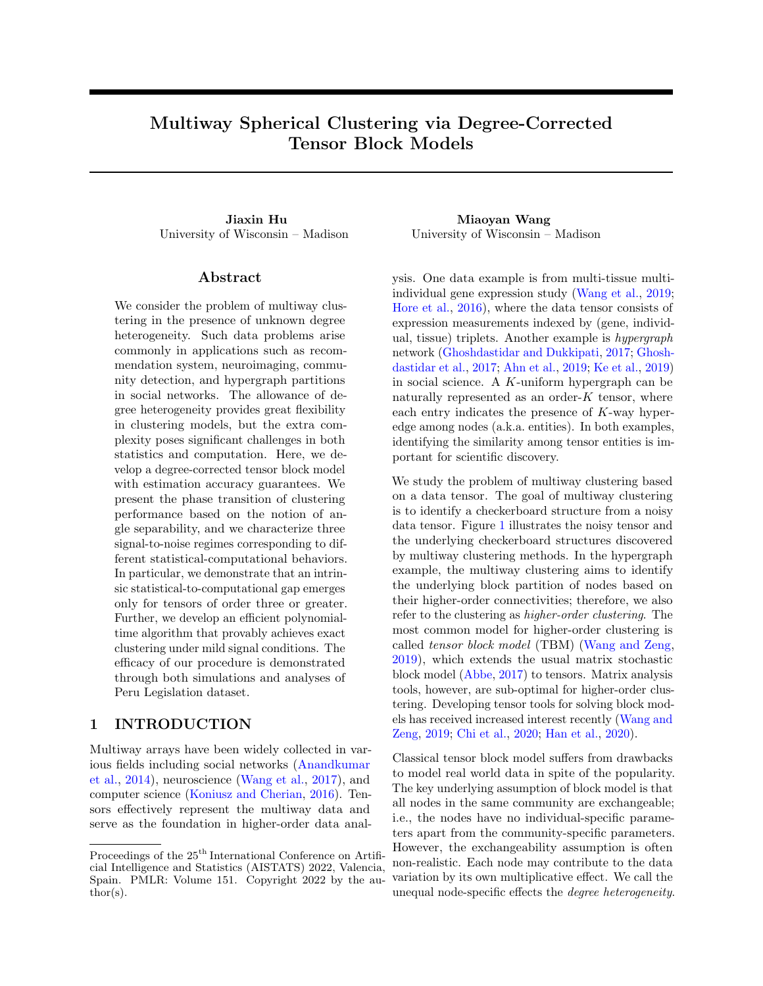Let  $D = diag(1 + c, 1, ..., 1) \nvert 2 \rvert \nvert \nvert r_1 \rvert 1 \rvert r_1 \rvert 1$ . Consider the parameterization

$$
\mathbf{M}_{1}^{\theta} = \mathbf{M}_{1} \mathbf{R}, \quad S^{\theta} = S_{0} \quad 1 \mathbf{D}, \quad \theta_{1}^{\theta}(i) = \begin{cases} \frac{1}{1+c} \theta_{1}(i) & i \geq z_{1}^{-1}(1), \\ \frac{c}{1+c} \theta_{1}(i) & i \geq z_{1}^{-1}(2), \\ \theta_{1}(i) & \text{otherwise}, \end{cases}
$$

and  $\mathcal{M}_k^{\theta} = \mathcal{M}_k$ ,  $k = k$  for all  $k = 2, ..., K$ . Then we have constructed a triplet  $(\mathit{fz}_k^{\theta}, \mathit{g}, \mathit{S}^{\theta}, \mathit{f}^{\theta}, \mathit{g})$  that is distinct from  $(fz_k g, S, f_k g)$  up to label permutation.

() For the sufficiency, it suffices to show that all possible triplets  $(\bar{z}_k^y g, S^y, \bar{f}^y g)$  are identical to  $(fz_k, S, f_k, g)$  up to label permutation if the model [\(9\)](#page-13-1) satisfies Assumption [\(2\)](#page-13-0). We show the uniqueness of the three parameters,  $f\mathcal{M}_k$ g, fSg, f  $_k$ g separately.

First, we show the uniqueness of  $\mathcal{M}_k$  for all  $k \geq [K]$ . Without loss of generality, we consider  $k = 1$  and show the first mode membership matrix; i.e.,  $M_1^{\ell} = M_1 P_1$  where  $P_1$  is a permutation matrix. The conclusion for  $k$  2 can be showed similarly and thus omitted.

Consider an arbitrary node pair  $(i, j)$ . If  $z_1(i) = z_1(j)$ , then we have  $k\mathbf{X}_{1, z_1(i)}^s$ .  $\mathbf{X}_{1, z_1(j)}^s$ .  $k = 0$  and thus  $k(\mathbf{S}^{\emptyset})^s_{1,z_1^{\emptyset}(i)}$ :  $(\mathbf{S}^{\emptyset})^s_{1,z_1^{\emptyset}(j)}$ :  $k = 0$  by Lemma [1.](#page-14-0) Then, by Assumption [\(2\)](#page-13-0), we have  $z_1^{\emptyset}(i) = z_1^{\emptyset}(j)$ . Conversely, if  $z_1(i) \notin z_1(j)$ , then we have  $\|\mathbf{X}^s_{1,i:}$   $\mathbf{X}^s_{1,j:}\| \notin 0$  and thus  $\|(S^0)_{1,z_1^0(i):}^s$   $(S^0)_{1,z_1^0(j):}^s$  $\parallel \phi 0 \text{ by Lemma 1. Hence,}$  $\parallel \phi 0 \text{ by Lemma 1. Hence,}$  $\parallel \phi 0 \text{ by Lemma 1. Hence,}$ we have  $z_1^{\ell}(i) \notin z_1^{\ell}(j)$ . Therefore, we have proven that  $z_1^{\ell}$  is identical  $z_i$  up to label permutation.

Next, we show the uniqueness of  $k$  for all  $k \geq [K]$  provided that  $z_k = z_k^{\ell}$ . Similarly, consider  $k = 1$  only, and omit the procedure for  $k = 2$ .

Consider an arbitrary  $j \n\geq [p_1]$  such that  $z_1(j) = a$ . Then for all the nodes  $i \n\geq z_1^{-1}(a)$  in the same cluster of j, we have

$$
\frac{\mathbf{X}_{1,z_1(i):}}{\mathbf{X}_{1,z_1(j):}} = \frac{\mathbf{X}_{1,z_1(i):}}{\mathbf{X}_{1,z_1(j):}^{\theta}} \text{, which implies } \frac{\theta_1(j)}{\theta_1(i)} = \frac{\theta_1^{\theta}(j)}{\theta_1^{\theta}(i)}.
$$
\n(11)

Let  $\theta_1^{\theta}(j) = c\theta_1(j)$  for some positive constant c. By equation [\(11\)](#page-14-1), we have  $\theta_1^{\theta}(i) = c\theta_1(i)$  for all  $i \geq z_1^{-1}(a)$ . By the constraint  $(fz_k g, S^{\theta}, f^{\theta} g)$  2  $P(fr_k g)$ , we have

<span id="page-14-1"></span>
$$
\sum_{j \geq z_1^{-1}(a)} \theta_1^{\ell}(j) = c \sum_{j \geq z_1^{-1}(a)} \theta_1(j) = 1,
$$

which implies  $c = 1$ . Hence, we have proven  $1 = \begin{bmatrix} 0 \\ 1 \end{bmatrix}$  provided that  $z_1 = z_1^0$ .

Last, we show the uniqueness of S; i.e.,  $S^{\ell} = S_{-1} P_{1}^{-1} Q_{2} R_{K}^{-1}$ , where  $P_{k}$ 's are permutation matrices for all  $k \n\geq [K]$ . Provided  $z_k^{\ell} = z_k$ ,  $\frac{\ell}{k} = -k$ , we have  $\mathcal{M}_k^{\ell} = \mathcal{M}_k \mathcal{P}_k$  and  $\Theta_k^{\ell} = \Theta_k$  for all  $k \n\geq [K]$ .

Let  $\mathcal{D}_k = \left[ (\mathbf{\Theta}_k^{\theta} \mathbf{\mathcal{M}}_k^{\theta})^T (\mathbf{\Theta}_k^{\theta} \mathbf{\mathcal{M}}_k^{\theta}) \right]^{-1} (\mathbf{\Theta}_k^{\theta} \mathbf{\mathcal{M}}_k^{\theta})^T, k \geq [K]$ . By the parameterization [\(10\)](#page-13-2), we have

$$
S^{0} = X + D_{1} - 2 \qquad K D_{K}
$$
  
=  $S + D_{1} \Theta_{1} M_{1} + K D_{K} \Theta_{K} M_{K}$   
=  $S + P_{1}^{-1} - 2 \qquad K P_{K}^{-1}$ .

Therefore, we finish the proof of Theorem [1.](#page-3-4)

# Useful Lemma for the Proof of Theorem [1](#page-3-4)

<span id="page-14-0"></span>**Lemma 1** (Motivation of angle-based clustering). Consider the signal tensor  $X$  in the generalized dTBM [\(9\)](#page-13-1) with  $(fz_k g, S, f_k g) \supseteq P(fr_k g)$  and  $r_k$  2. Then, for any  $k \supseteq [K]$  and index pair  $(i, j) \supseteq [p_k]^2$ , we have

$$
\left\|\mathcal{S}_{k,z_k(i):}^s \quad \mathcal{S}_{k,z_k(j):}^s\right\| = 0 \quad \text{if and only if} \quad \left\|\mathcal{X}_{k,z_k(i):}^s \quad \mathcal{X}_{k,z_k(j):}^s\right\| = 0.
$$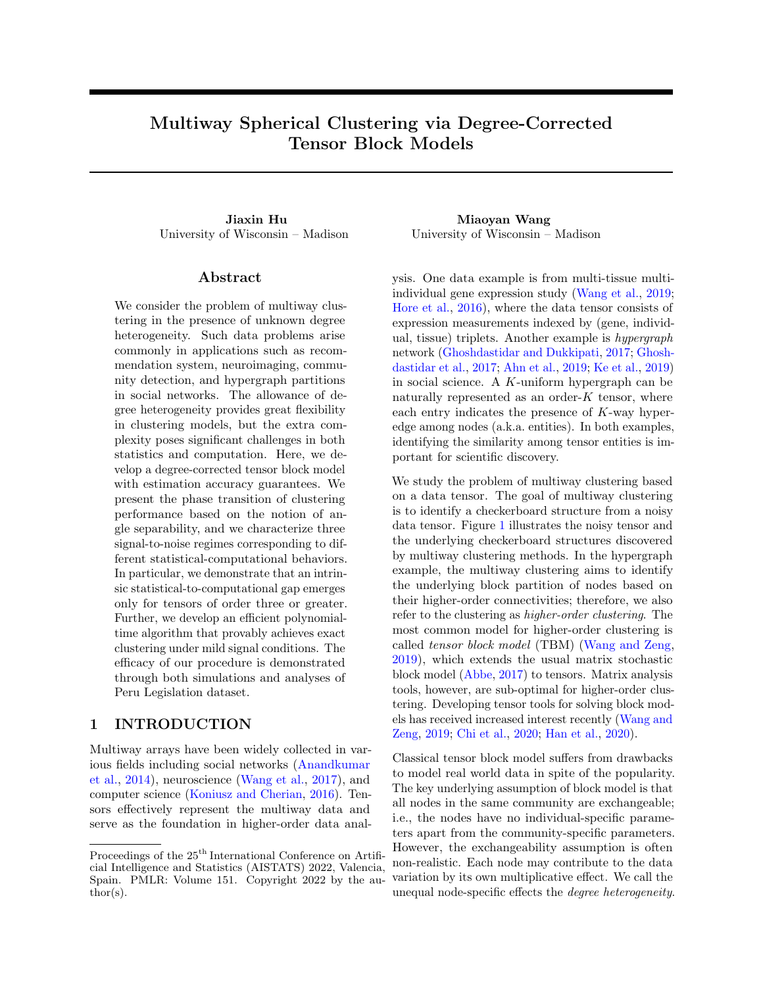*Proof of Lemma [1.](#page-14-0)* Without loss of generality, we prove  $k = 1$  only and drop the subscript k in  $\mathbf{X}_k$ ,  $\mathbf{S}_k$  for notational convenience. By tensor matricization, we have

$$
\boldsymbol{X}_{j:} = \theta_1(j) \boldsymbol{S}_{z_1(j):} \left[\boldsymbol{\Theta}_2 \boldsymbol{M}_2 \right] \qquad \boldsymbol{\Theta}_K \boldsymbol{M}_K \right]^T.
$$

Let  $\tilde{M} = \Theta_2 M_2$  $\Theta_K \mathcal{M}_K$ . Notice that for two vectors  $a, b$  and two positive constants  $c_1, c_2 > 0$ , we have

$$
k\mathbf{a}^s
$$
  $\mathbf{b}^s k = k(c_1\mathbf{a})^s$   $(c_2\mathbf{b})^s k$ .

Thus it suffices to show the following statement holds for any index pair  $(i, j) \n\supseteq [p_1]^2$ ,

$$
\left\|\mathbf{S}_{z_1(i):}^s \quad \mathbf{S}_{z_1(j):}^s\right\| = 0 \quad \text{if and only if} \quad \left\|\left[\mathbf{S}_{z_1(i):} \tilde{\mathbf{M}}^T\right]^s \quad \left[\mathbf{S}_{z_1(j):} \tilde{\mathbf{M}}^T\right]^s\right\| = 0.
$$

 $((\ )\ \text{Suppose}\ \n\Big\|$  $\left[\mathbf{S}_{z_1(i)}\cdot \tilde{\mathbf{M}}^T\right]^s \left\| = 0.$  There exists a positive constant c such that  $\mathbf{S}_{z_1(i)}\cdot \tilde{\mathbf{M}}^T =$  $c\mathcal{S}_{z_1(j)}$   $\tilde{\mathcal{M}}^T$ . Note that

$$
\mathbf{S}_{z_1(i):} = \mathbf{S}_{z_1(i):} \tilde{\mathbf{M}}^T \left[ \tilde{\mathbf{M}} \left( \tilde{\mathbf{M}}^T \tilde{\mathbf{M}} \right)^{-1} \right],
$$

where  $\tilde{M}^T \tilde{M}$  is an invertiable diagonal matrix with positive diagonal elements. Thus, we have  $S_{z_1(i)}$ :  $cS_{z_1(j)}$ , which implies  $\left\|S_{z_1(i)}^s\right\| \cdot S_{z_1(j)}^s$ .  $\Big\| = 0.$ 

( ) ) Suppose 
$$
\|\mathcal{S}_{z_1(i)}^s \mathcal{S}_{z_1(j)}^s\| = 0
$$
. There exists a positive constant  $c$  such that  $\mathcal{S}_{z_1(i)} = c \mathcal{S}_{z_1(j)}$ , and thus  $\mathcal{S}_{z_1(i)} \mathcal{M}^T = c \mathcal{S}_{z_1(j)} \mathcal{M}^T$ , which implies  $\left\|\left[\mathcal{S}_{z_1(i)} \mathcal{M}^T\right]^s \quad \left[\mathcal{S}_{z_1(j)} \mathcal{M}^T\right]^s\right\| = 0$ .

Therefore, we finish the proof of Lemma [1.](#page-14-0)

### C.3 Proof of Theorem [2](#page-4-3)

*Proof of Theorem [2.](#page-4-3)* We will prove a more general conclusion than the main paper by allowing growing  $r_k$ 's. Consider the generalized dTBM [\(9\)](#page-13-1) in the special case that  $p_k = p$  and  $r_k = r$  for all  $k \geq [K]$ . Specifically, we will show that, under the assumptions  $K = 1, r = p^{1/3}$  and SNR condition

$$
\frac{\Delta_{\min}^2}{\sigma^2} \cdot \frac{r^{K-1}}{p^{K-1}}, \quad \text{or equivalently,} \quad \gamma \qquad (K-1)(1+\log_p r),
$$

the desired conclusion in Theorem [2](#page-4-3) holds; i.e, for all  $k \sim [K]$ , every estimator  $\hat{z}_{k, \text{stat}}$  obeys

<span id="page-15-1"></span><span id="page-15-0"></span>
$$
\sup_{(fz_k,g,S,f_k,g)\geq P(\gamma)} \mathbb{E}\left[p\ell(\hat{z}_{k,\text{stat}},z_k)\right] \quad 1. \tag{12}
$$

Since the inequality [\(12\)](#page-15-0) is a minimax lower bound, it suffices to show the inequality holds for a particular  $(fz_k g, S, f \nvert_k g) \nvert\geq P(\gamma)$ . Specifically, we consider the estimation problem based on a particular parameter point  $(fz_k g, S, f_k g)$  with the following three properties:

(i) 
$$
\theta_k(i) = 1
$$
 for all  $i \ 2[p]$ ; (ii)  $\Delta_{\text{min}}$ .  $\left(\frac{p}{r}\right)^{\frac{K-1}{2}} \sigma$ ; (iii)  $jz_k^{-1}(a)j = \frac{p}{r} 2 Z_+$  for all  $a \ 2[r]$ , (13)

for all  $k \n\geq [K]$ . Furthermore, we define a subset of indices  $T_k \quad [p_k], k \n\geq [K]$  in order to avoid the complication of label permutation. Based on [Han et al.](#page-9-12) [\(2020,](#page-9-12) Proof of Theorem 6), we consider the minimax rate over the restricted family of  $\hat{z}_k$ 's for which the following three conditions are satisfied:

(iv) 
$$
\hat{z}_k(i) = z_k(i)
$$
 for all  $i \, 2 \, T_k$ ; (v)  $J T_k^c j - \frac{p}{r}$ ; (vi)  $\min_{\pi \ge 2} \sum_{i \ge [p]} 1 f \hat{z}_k(i) \neq \pi$   $z_k(i)g = \sum_{i \ge [p]} 1 f \hat{z}_k(i) \neq z_k(i)g$ ,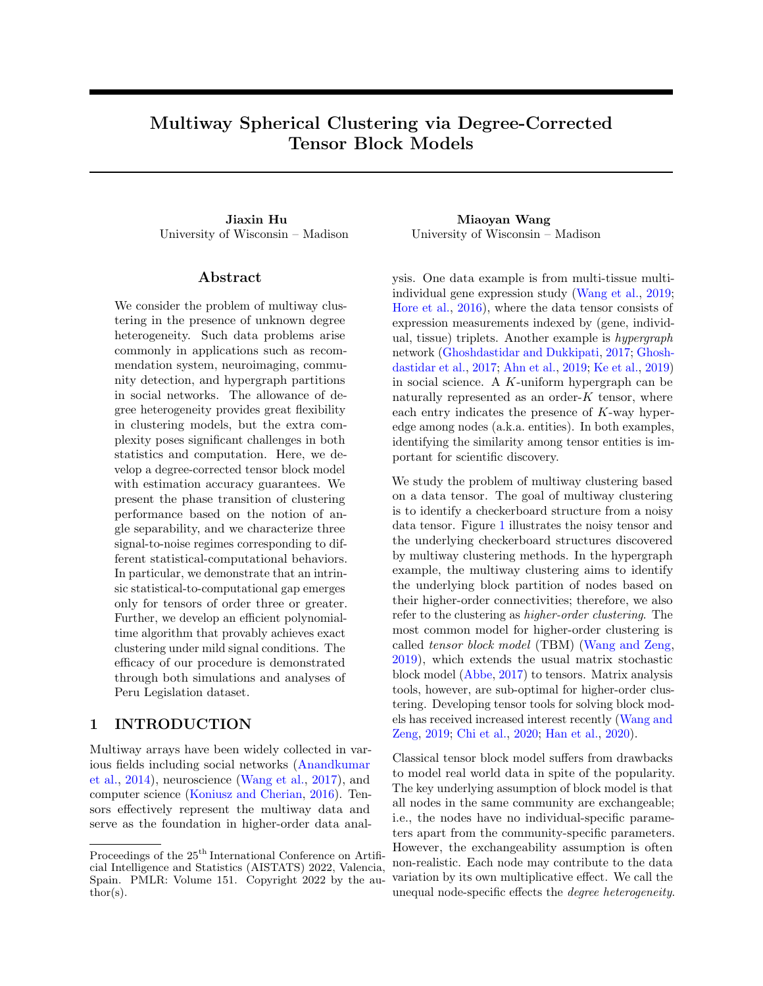for all  $k \n\t\geq |K|$ . The construction of T is precisely the same as [Han et al.](#page-9-12) [\(2020,](#page-9-12) Proof of Theorem 6). Then, following the proof of [Gao et al.](#page-9-14) [\(2018,](#page-9-14) Theorem 2), for all  $k \n\geq |K|$ , we have

$$
\inf_{\hat{z}_k} \sup_{z_k} \mathbb{E}\ell(\hat{z}_k, z_k) \, \, \& \, \, \frac{1}{r^3 \mathcal{F}_k^c} \sum_{i \ge T_k^c} \inf_{\hat{z}_k} f \mathbb{P}[\hat{z}_k(i) = 2j z_k(i) = 1] + \mathbb{P}[\hat{z}_k(i) = 1 j z_k(i) = 2]g, \tag{14}
$$

where  $\hat{z}_k$  and  $z_k$  on the left hand side denote the generic clustering functions in  $P(\gamma)$ ,  $z_k$  on the right hand side denotes a particular parameter satisfying properties (i)-(vi), and the infimum on the right hand side is taken over the restricted family of  $\hat{z}$  satisfying (iv)-(vi). Here, the factor  $r^3 = r \; r^2$  in [\(14\)](#page-16-0) comes from two sources:  $r^2$  $r \choose 2$  comes from the multiple testing burden for all pairwise comparisons among r clusters; and another r comes from the number of elements  $\int T_k^c$   $p/r$  to be clustered.

Next, we need to find the lower bound of the rightmost side in  $(14)$ . For simplicity, we show the bound for the mode-1 case  $k = 1$  only. We drop the subscripts 1 in  $z_1, T_1, S_1, 1$  and omit the repeated procedures for the cases of  $k = 2, \ldots, K$ .

We consider the hypothesis test based on model  $(9)$ . First, we reparameterize the model under the construction [\(13\)](#page-15-1)

$$
\mathbf{X}_a = [\text{Mat}_1 \begin{pmatrix} S & 2 \mathbf{M}_2 & 3 \end{pmatrix} \quad K \mathbf{M}_K \end{pmatrix}]_{a:}, \quad \text{for all } a \ 2 \ [r],
$$

where  $X_a$ 's are centroids in  $\mathbb{R}^{p^{K-1}}$ . Without loss of generality, we consider the lower bound for the summand in [\(14\)](#page-16-0) for  $i = 1$ . The analysis for other  $i \, 2 \, T^c$  are similar. For notational simplicity, we suppress the subscript i and write  $\mathbf{y}, \theta, z$  in place of  $\mathbf{y}_1, \theta_1$  and  $z(1)$ , respectively. The equivalent vector problem for assessing the summand in  $(14)$  is

<span id="page-16-1"></span><span id="page-16-0"></span>
$$
y = \theta x_z + e, \tag{15}
$$

where  $\theta \neq \mathbb{R}_+$  and  $z \neq \mathbb{R}$ , 2g are unknown parameters,  $x_1, x_2 \neq \mathbb{R}^{p^{K-1}}$  are given centroids, and  $e \neq \mathbb{R}^{p^{K-1}}$ consists of i.i.d.  $N(0, \sigma^2)$  entries. Then, we consider the hypothesis testing under the model [\(15\)](#page-16-1):

<span id="page-16-3"></span><span id="page-16-2"></span>
$$
H_0
$$
:  $z = 1$ , v.s.  $H_\alpha$ :  $z = 2$ .

Note that the profile log-likelihood with respect to  $z$  is

$$
L(z, \theta(z); \mathbf{y}) \; / \; \inf_{\theta>0} k\mathbf{y} \quad \theta\mathbf{x}_z k^2 \; / \cos^2(\mathbf{y}, \mathbf{x}_z) \mathbf{1} \; \text{fhy}, \mathbf{x}_z \; \text{i} > 0 \, \text{g},
$$

and the MLE's of  $\theta$  and z are

$$
\hat{\theta}_{\text{MLE}} = \hat{\theta}(\hat{z}_{\text{MLE}}) = \frac{h\mathbf{y}, \mathbf{x}_{\hat{z}_{\text{MLE}}}i}{k\mathbf{x}_{\hat{z}_{\text{MLE}}}k^2} = 0, \quad \hat{z}_{\text{MLE}} = \underset{a,2\in\mathbb{N},2g}{\arg\max} \text{fcos}(\mathbf{y}, \mathbf{x}_a) = 0g.
$$

Then, the decision rule  $\hat{z}_{MLE} \geq \hat{z}$ , 2g based on profile log-likelihood ratio is defined as

$$
\hat{z}_{MLE} = \begin{cases}\n1 & \text{if } \cos(\mathbf{y}, \mathbf{x}_1) \cos(\mathbf{y}, \mathbf{x}_2) \text{ and } \hbar \mathbf{y}, \mathbf{x}_1 \neq 0, \\
2 & \text{if } \cos(\mathbf{y}, \mathbf{x}_1) < \cos(\mathbf{y}, \mathbf{x}_2) \text{ and } \hbar \mathbf{y}, \mathbf{x}_2 \neq 0, \\
1 \text{ or } 2 \text{ with equal probability} \text{ otherwise.} \n\end{cases}
$$
\n(16)

The Neyman-Pearson Lemma implies

$$
\inf_{\hat{z}} f \mathcal{P}[\hat{z} = 2jz = 1] + \mathcal{P}[\hat{z} = 1jz = 2]g = \mathcal{P}[\hat{z}_{MLE} = 1jz = 2] + \mathcal{P}[\hat{z}_{MLE} = 2jz = 1].
$$
\n(17)

By symmetric, it suffices to bound  $P[\hat{z}_{MLE} = 1/z = 2]$ . Using [\(16\)](#page-16-2), we obtain

$$
P[\hat{z}_{MLE} = 1jz = 2] = P[\cos(\theta \mathbf{x}_2 + \mathbf{e}, \mathbf{x}_1) \cos(\theta \mathbf{x}_2 + \mathbf{e}, \mathbf{x}_2) \text{ and } \hbar \theta \mathbf{x}_2 + \mathbf{e}, \mathbf{x}_1 i > 0]
$$
  
\n
$$
P\left[\left\langle \mathbf{e}, \frac{\mathbf{x}_1^s}{k\mathbf{x}_1^s} \frac{\mathbf{x}_2^s}{\mathbf{x}_2^s k} \right\rangle_{17} \frac{\theta}{2} k\mathbf{x}_2 k k \mathbf{x}_1^s \mathbf{x}_2^s k i \right]
$$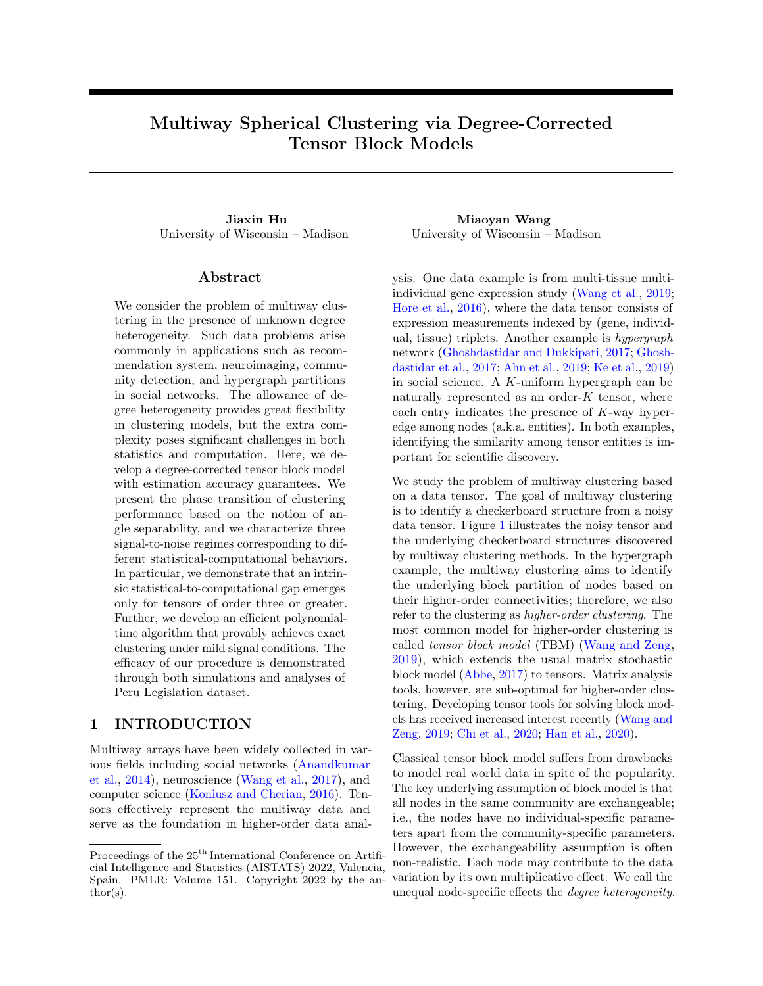<span id="page-17-1"></span>
$$
\mathbb{P}\left[\hbar \mathbf{e}, \mathbf{x}_1^s \mathbf{i} \quad \frac{\theta}{2} k \mathbf{x}_2 k \left(2 - k \mathbf{x}_1^s \quad \mathbf{x}_2^s \mathbf{k}^2\right)\right]
$$
\n
$$
\stackrel{\text{(1)}{\triangleq}}{=} \Phi\left(\frac{\theta}{2} k \mathbf{x}_2 k \left(2 - k \mathbf{x}_1^s \quad \mathbf{x}_2^s \mathbf{k}^2\right)\right) \quad \Phi\left(\frac{\theta}{2} k \mathbf{x}_2 k k \mathbf{x}_1^s \quad \mathbf{x}_2^s \mathbf{k}\right),\tag{18}
$$

where  $\Phi$ () denotes the CDF for standard normal distribution. Here step () is based on the inequality  $P(A | B)$   $P(B<sup>c</sup>)$  and the identity 1  $h\mathbf{x}_1^s, \mathbf{x}_2^s i = \frac{1}{2} k\mathbf{x}_1^s$   $\mathbf{x}_2^s k^2$ ; and step () is based on isotropic property of i.i.d. Gaussian distribution

$$
\left\langle e, \frac{\mathbf{x}_1^s - \mathbf{x}_2^s}{k\mathbf{x}_1^s - \mathbf{x}_2^s k} \right\rangle
$$
  $N(0, \sigma^2)$ , *he*,  $\mathbf{x}_1^s i - N(0, \sigma^2)$ .

By construction [\(13\)](#page-15-1) of  $(fz_k g, S, f_k g)$  with three properties and lower bound  $\min_{a \geq [r]} kS_{a:}k$  c<sub>3</sub> in the definition of  $P(\gamma)$ , we have  $\theta = 1$ ,  $k\mathbf{x}_2 k$   $k\mathbf{S}_2 k \min_{a \geq [r]} ||z|^{a} \alpha \left\| \frac{K^{-1} \alpha}{\gamma} \frac{(\frac{p}{r})^{(K-1)/2}}{\alpha} \right\|$ . Also, note that under the construction [\(13\)](#page-15-1)

$$
\cos(\mathbf{x}_1,\mathbf{x}_2)=\frac{h\mathbf{x}_1,\mathbf{x}_2i}{k\mathbf{x}_1k k\mathbf{x}_2k}=\frac{(p/r)^{K-1}h\mathbf{S}_{1:},\mathbf{S}_{2:}i}{\sqrt{(p/r)^{K-1}k\mathbf{S}_{1:}k^2}\sqrt{(p/r)^{K-1}k\mathbf{S}_{2:}k^2}}=\cos(\mathbf{S}_{1:},\mathbf{S}_{2:}),
$$

which implies  $k\mathbf{x}_1^s$   $\mathbf{x}_2^s k = kS_{1:}^s$   $S_{2:}^s k = \Delta_{\text{min}}$  1. Therefore, the equation [\(18\)](#page-17-1) is lower bounded by

$$
P[\hat{z}_{MLE} = 1/z = 2] \quad P\left[\left(\frac{p}{r}\right)^{(K-1)/2} \Delta_{\min}. \quad N(0,1). \quad \left(\frac{p}{r}\right)^{(K-1)/2}\right] \quad C > 0,\tag{19}
$$

where the existence of strictly positive constant C is based on the SNR assumption  $(13)$ . Combining  $(14)$ ,  $(17)$  and  $(19)$  yields

$$
\inf_{\hat{z}_1} \sup_{(f z_k g, S, f_k g) \geq P(\gamma)} \mathbb{E}\ell(\hat{z}_1, z_1) \& C > 0,
$$

and henceforth for all  $k \nightharpoonup K$ 

$$
\inf_{\hat{z}_k} \sup_{(fz_k, g, S, f_k, g) \ge P(\gamma)} \mathbb{E}\left[p\ell(\hat{z}_k, z_k)\right] \quad 1.
$$

<span id="page-17-3"></span><span id="page-17-2"></span>

# <span id="page-17-0"></span>C.4 Proof of Theorem [3](#page-4-4)

Proof of Theorem [3.](#page-4-4) The idea of proving computational hardness is to show the computational lower bound for a special class of degree-corrected tensor clustering model with  $K<sub>2</sub>$ . We construct the following special class of higher-order degree-corrected tensor clustering model. For a given signal level  $\gamma$  2 R and noise variance  $\sigma$ , define a rank-2 symmetric tensor  $S \times \mathbb{R}^3$  <sup>3</sup> subject to

$$
S = S(\gamma) = \begin{bmatrix} 1 \\ 1 \\ 1 \end{bmatrix}^K + \sigma p^{-\gamma/2} \begin{bmatrix} 1 \\ 1 \\ 0 \end{bmatrix}^K.
$$
 (20)

Then, we consider the signal tensor family

$$
P_{\text{shifted}}(\gamma) = fX \colon X = S_{-1} \mathbf{M}_{1-2} \qquad K \mathbf{M}_{K}, \mathbf{M}_{k} \ 2 \ \text{f0}, 10^{p-3} \text{ is a membership matrix that satisfies } j\mathbf{M}_{k}(:,i)j \quad p \text{ for all } i \ 2 \ [3] \text{ and } k \ 2 \ [K]g.
$$

We claim that the constructed family satisfies the following two properties:

(i) For every  $\gamma$  2 R,  $P_{\text{shifted}}(\gamma)$   $P(\gamma)$ , where  $P(\gamma)$  is the degree-corrected cluster tensor family [\(5\)](#page-4-6).

(ii) For every  $\gamma \ge R$ ,  $fX \equiv 1: X \ge P_{\text{shifted}}(\gamma)g - P_{\text{non-degree}}(\gamma)$ , where  $P_{\text{non-degree}}(\gamma)$  denotes the sub-family of rank-one tensor block model constructed in the proof of [Han et al.](#page-9-12) [\(2020,](#page-9-12) Theorem 7).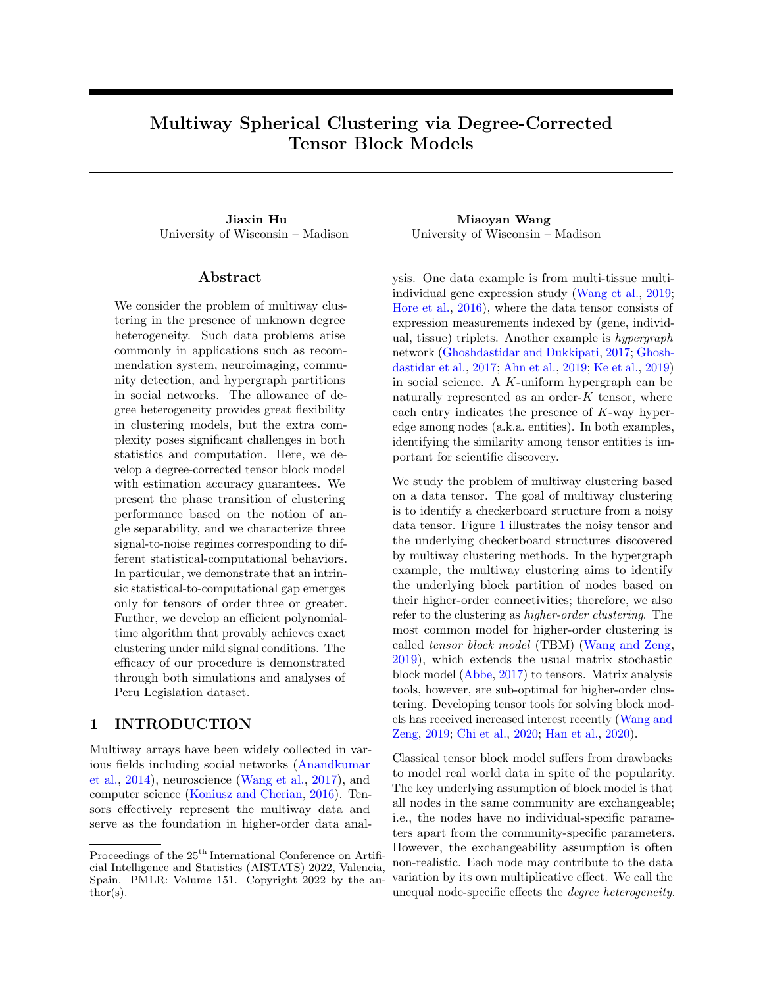The verification of the above two properties is provided in the end of this proof.

Now, following the proof of [Han et al.](#page-9-12) [\(2020,](#page-9-12) Theorem 7), when  $\gamma < K/2$ , every polynomial-time algorithm estimator  $(\hat{\mathcal{M}}_k)_{k2[K]}$  obeys

$$
\liminf_{p \mid T} \sup_{X \ge P_{\text{non-degree}}(\gamma)} \mathsf{P}(\mathcal{R} \ 2 \ [K], \ \hat{\mathcal{M}}_k \neq \mathcal{M}_k) \quad 1/2,\tag{21}
$$

under the HPC Conjecture [1.](#page-18-0) The inequality  $(21)$  implies

$$
\liminf_{p \, | \, -1} \sup_{\chi \geq P_{\text{non-degree}}(\gamma)} \max_{k \geq [K]} \mathbb{E}[p\ell(z_k, \hat{z}_k)] - 1.
$$

Based on properties (i)-(ii), we conclude that

<span id="page-18-1"></span>
$$
\liminf_{p! \to 1} \sup_{\chi \ge P(\gamma)} \max_{k \ge [K]} \mathbb{E}[p\ell(z_k, \hat{z}_k)] \quad 1.
$$

We complete the proof by verifying the properties (i)-(ii). For (i), we verify that the angle gap for the core tensor S in [\(20\)](#page-17-3) is on the order of  $\sigma p$   $\gamma/2$ . Specifically, write  $\mathbf{1} = (1, 1, 1)$  and  $\mathbf{e} = (1, 1, 0)$ . We have

$$
Mat(S) = \begin{bmatrix} \text{Vec}(1^{-K-1}) + \sigma p^{-\gamma/2} \text{Vec} \left( e^{-(K-1)} \right) \\ \text{Vec}(1^{-K-1}) - \sigma p^{-\gamma/2} \text{Vec} \left( e^{-(K-1)} \right) \\ \text{Vec}(1^{-K-1}) \end{bmatrix}.
$$

Based on the orthogonality  $h\mathbf{1}, e\mathbf{i} = 0$ , the minimal angle gap among rows of  $\text{Mat}(S)$  is

$$
\Delta_{\min}^2(S) \quad \tan^2(\text{Mat}(S)_{1:}, \text{Mat}(S)_{3:}) = \left(\frac{k\mathbf{e}k_2}{k\mathbf{1}k_2}\right)^{2(K-1)} \sigma^2 d^{-\gamma} \quad \sigma^2 d^{-\gamma}.
$$

Therefore, we have shown that  $P_{\text{shi}}$  ted( $\gamma$ ) =  $P(\gamma)$ . Finally, the property (ii) follows directly by comparing the definition of S in (20) with that in the proof of Han et al. (2020, Theorem 7). the definition of S in  $(20)$  with that in the proof of [Han et al.](#page-9-12)  $(2020,$  Theorem 7).

# Useful Definition and Conjecture for Theorem [3](#page-4-4)

<span id="page-18-2"></span>**Definition 2** (Hypergraphic planted clique (HPC) detection). Consider an order-K hypergraph  $H = (V, E)$ where  $V = [p]$  collects vertices and E collects all the order-K edges. Let  $H_k(p, 1/2)$  denote the Erdős-Rényi K-hypergraph where the edge  $(i_1, \ldots, i_K)$  belongs to E with probability 1/2. Further, we let  $H_K(p, 1/2, \kappa)$ denote the hyhpergraph with planted cliques of size  $\kappa$ . Specifically, we generate a hypergraph from  $H_k(p, 1/2)$ , pick  $\kappa$  vertices uniformly from [p], denoted K, and then connect all the hyperedges with vertices in K. Note that the clique size  $\kappa$  can be a function of p, denoted  $\kappa_p$ . The order-K HPC detection aims to identify whether there exists a planted clique hidden in an Erdős-Rényi K-hypergraph. The HPC detection is formulated as the following hypothesis testing problem

$$
H_0: H \quad H_K(p,1/2) \quad \text{versus} \quad H_1: H \quad H_K(p,1/2,\kappa_p).
$$

<span id="page-18-0"></span>Conjecture 1 (HPC conjecture). Consider the HPC detection problem in Definition [2.](#page-18-2) Suppose the sequence  $f_{\kappa_p}g$  such that  $\limsup_{p \to \infty} \log \kappa_p / \log \frac{p}{p}$  (1  $\tau$ ). Then, for every sequence of polynomial-time test  $f\varphi_p g : H \not\sqsubseteq f0, 1g$  we have

$$
\lim_{p^{j}} \inf_{\mathcal{T}} \mathsf{P}_{H_0}(\varphi_p(H) = 1) + \mathsf{P}_{H_1}(\varphi_p(H) = 0) \frac{1}{2}.
$$

# C.5 Proof of Theorem [4](#page-5-3)

*Proof of Theorem [4](#page-5-3).* We prove Theorem 4 under the symmetric dTBM  $(1)$  with parameters  $(z, S, \cdot)$ . We drop the subscript k in the matricizations  $M_k, X_k, S_k$ . For simplicity, let  $\hat{z}$  denote the output,  $\hat{z}^{(0)}$ , of Sub-algorithm [1.](#page-6-0)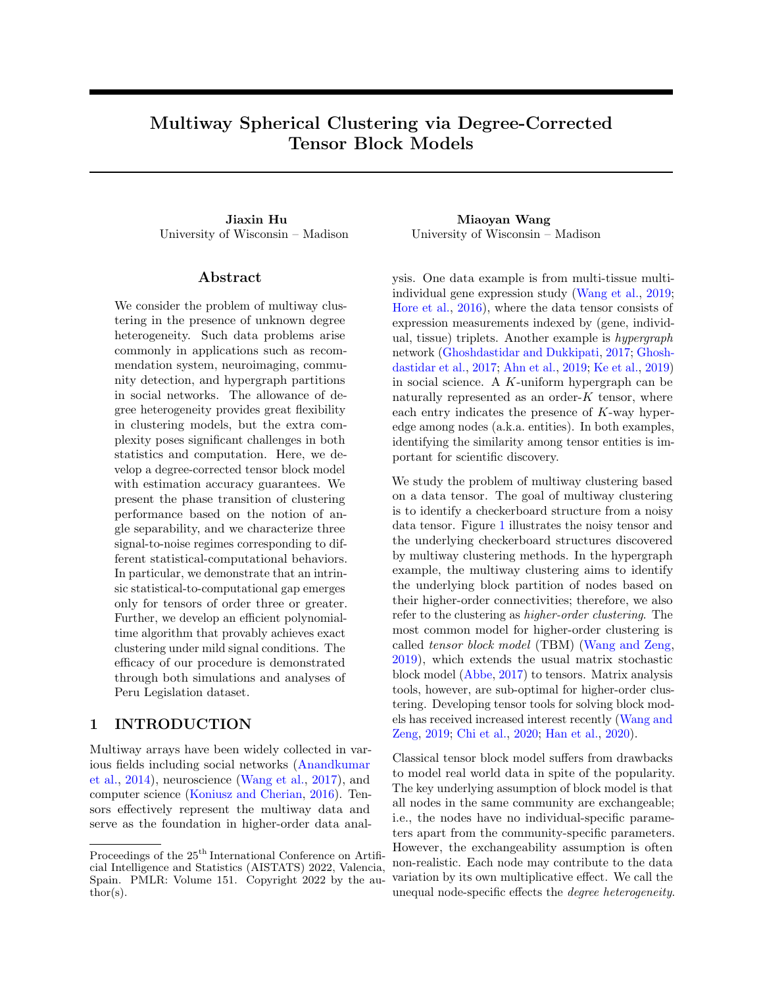First, by Lemma [4,](#page-23-0) there exists a positive constant such that  $\min_{z(i)\neq z(j)} ||X_{i:}^{s} - X_{j:}^{s}||$   $c_0\Delta_{\min}$ . By the balance assumption on and Lemma [7,](#page-24-0) we have

<span id="page-19-6"></span>
$$
\min_{\pi/2} \sum_{i:\hat{z}(i)\in\pi(z(i))} \theta(i)^2 \sum_{i\geq S_I} \theta(i)^2 + 4 \sum_{i\geq S} \theta(i)^2,\tag{22}
$$

where

$$
S_0 = \widehat{r_i} : k\hat{X}_{i:k} = 0g, \quad S = \widehat{r_i} \ 2 \ S_0^c : k\hat{X}_{i:k} \quad X_{i:k}^s \quad c_0 \Delta_{\min}/2g.
$$

On one hand, note that for any set  $P \supseteq [p]$ ,

$$
\sum_{i2P} kX_{i:}k^{2} = \sum_{i2P} k\theta(i) \mathbf{S}_{z(i):}(\Theta M)^{T, (K-1)}k^{2}
$$

$$
\sum_{i2P} \theta(i)^{2} \min_{a2[r]} k\mathbf{S}_{a:}k^{2}\lambda_{r}^{2(K-1)}(\Theta M)
$$

$$
\&\sum_{i2P} \theta(i)^{2} p^{K-1} r^{(K-1)},
$$

where the last inequality follows Lemma [5,](#page-24-1) the assumption that  $\min_{i\geq [p]} \theta(i)$  c, and the constraint  $\min_{a \geq [r]} kS_{a:}k$  c<sub>3</sub> in the parameter space [\(2\)](#page-3-1). Thus, we have

<span id="page-19-7"></span><span id="page-19-2"></span><span id="page-19-1"></span><span id="page-19-0"></span>
$$
\sum_{i\geq P} \theta(i)^2 \cdot \sum_{i\geq P} k \mathbf{X}_{i:} k^2 p^{-(K-1)} r^{K-1}.
$$
 (23)

On the other hand, note that

$$
\sum_{i2S} kX_{i:}k^{2} - 2\sum_{i2S} k\hat{X}_{i:}k^{2} + 2\sum_{i2S} k\hat{X}_{i:} - X_{i:}k^{2}
$$
\n(24)

$$
\frac{8}{c_0^2 \Delta_{\min}^2} \sum_{i \geq S} k \hat{\mathbf{X}}_{i:} k^2 k \hat{\mathbf{X}}_{\hat{z}(i)} \qquad \mathbf{X}_{i:}^s k^2 + 2k \hat{X} \qquad \times k_F^2 \tag{25}
$$

$$
\frac{16}{c_0^2 \Delta_{\min}^2} \sum_{i \geq S} k \hat{\mathbf{X}}_{i:} k^2 \left[ k \hat{\mathbf{X}}_{\hat{z}(i)} \quad \hat{\mathbf{X}}_{i:}^s k^2 + k \hat{\mathbf{X}}_{i:}^s \quad \mathbf{X}_{i:}^s k^2 \right] + 2k \hat{X} \quad X k_F^2 \tag{26}
$$

<span id="page-19-4"></span><span id="page-19-3"></span>
$$
\frac{16(1+\eta)}{c_0^2 \Delta_{\min}^2} \sum_{i \geq S} k \hat{\mathbf{X}}_{i:} k^2 k \hat{\mathbf{X}}_{i:}^s \quad \mathbf{X}_{i:}^s k^2 + 2k \hat{X} \quad X k_F^2 \tag{27}
$$

<span id="page-19-8"></span><span id="page-19-5"></span>
$$
\left(\frac{16(1+\eta)}{c_0^2 \Delta_{\min}^2} + 2\right)k\hat{X} \quad Xk_F^2
$$
\n(28)

$$
\left( \frac{16(1+\eta)}{c_0^2 \Delta_{\min}^2} + 2 \right) \left( p^{K/2} r + p r^2 + r^K \right) \sigma^2,
$$
\n(29)

where inequalities [\(24\)](#page-19-0) and [\(26\)](#page-19-1) follow from the triangle inequality, [\(25\)](#page-19-2) follows from the definition of  $S$ , [\(27\)](#page-19-3) follows from the update rule of k-means in Step 5 of Sub-algorithm [1,](#page-6-0) [\(28\)](#page-19-4) follows from Lemma [2,](#page-21-0) and the last inequality [\(29\)](#page-19-5) follows from Lemma [6.](#page-24-2) Also, note that

$$
\sum_{i\geq S_0} k\mathbf{X}_{i:} k^2 = \sum_{i\geq S_0} k\hat{\mathbf{X}}_{i:} \quad \mathbf{X}_{i:} k^2 \quad k\hat{\mathbf{X}} \quad \mathbf{X}_{k:} k^2 \quad \left(p^{K/2}r + pr^2 + r^K\right)\sigma^2,\tag{30}
$$

where the equation follows from the definition of  $S_0$ . Therefore, combining the inequalities  $(22)$ ,  $(23)$ ,  $(29)$ , and  $(30)$ , we have

$$
\min_{\pi 2} \sum_{i:\hat{z}(i)\in\pi(z(i))} \theta(i)^2 \cdot \left( \sum_{i\geq S} kX_{i:}k^2 + \sum_{i\geq S_0} kX_{i:}k^2 \right) p^{-(K-1)}r^{K-1} + \frac{\sigma^2r^{K-1}}{\Delta_{\min}^2 p^{K-1}} \left( p^{K/2}r + pr^2 + r^K \right).
$$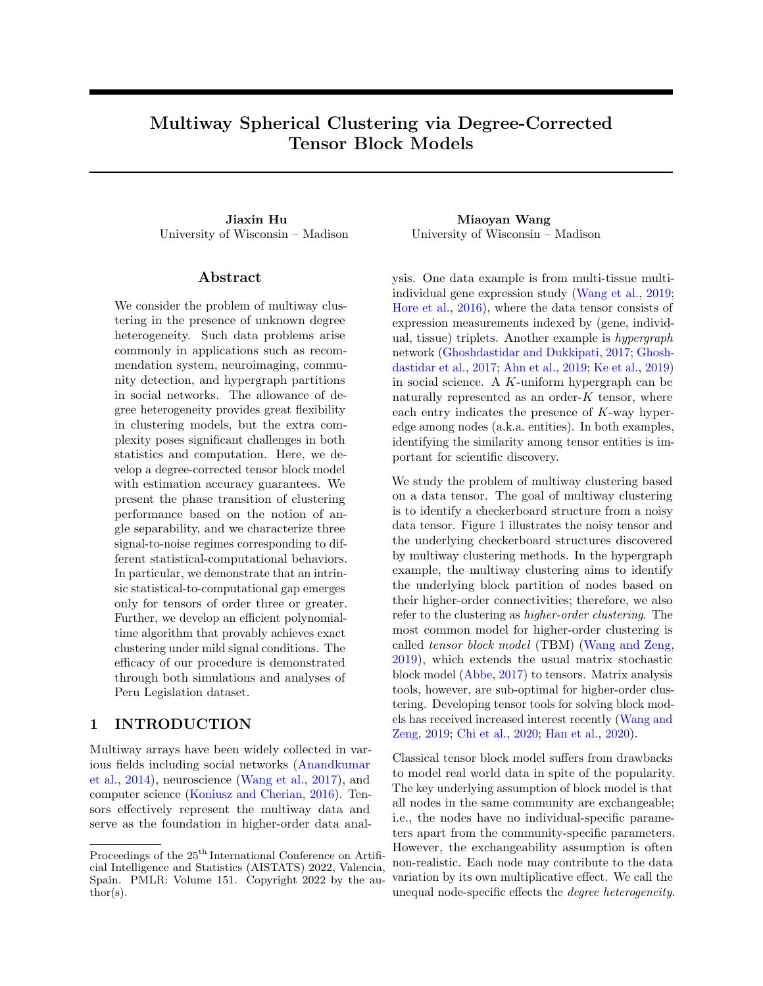With the assumption that  $\min_{i\geq [p]} \theta(i)$  c, we finally obtain the result

$$
\ell(z,z) = \frac{1}{p} \min_{\pi/2} \sum_{i:\hat{z}(i)\in\pi(z(i))} \theta(i)^2 = \frac{r^K p^{-K/2}}{\text{SNR}},
$$

where the last inequality follows from the definition  $\text{SNR} = \Delta_{\text{min}}^2 / \sigma^2$ .

# Useful Corollary of Theorem [4](#page-5-3)

<span id="page-20-0"></span>**Corollary 1** (Initial misclustering loss). Under the setup of Theorem [4,](#page-5-3) assume SNR  $\tilde{C}p^{-K/2}\log p$  for some positive universal constant  $\tilde{C}$  and  $\sigma^2 = 1$ . With probability going to 1, the misclustering loss for the initialization is upper bounded as

$$
L^{(0)} = \frac{1}{p} \sum_{i \geq [p]} \theta(i) \sum_{b \geq [r]} \left( z^{(0)}(i) = b \right) k[\mathbf{S}_{\pi^{(0)}(z(i))}]^s \quad [\mathbf{S}_{b:}]^s k^2 \quad \frac{\bar{C} \Delta_{\min}^2}{\tilde{C} r \log p},
$$

where  $\pi^{(0)}$  minimizes the initial misclustering error; i.e.,  $\pi^{(0)} = \arg \min_{\pi \geq 0} \sum_{i \geq [p]} 1 \{z^{(0)}(i) \notin \pi \mid z(i) \}$ , and  $\overline{C} > 1$  is a positive universal constant.

Proof of Corollary [1.](#page-20-0) Without loss of generality, we assume  $\pi^{(0)}$  is the identity mapping such that  $\pi^{(0)}(a) = a$ for all  $a \n\geq [r]$ . Note that  $\mathbf{X}_{i:}^{s}$  have only r different values. We let  $\mathbf{X}_{a}^{s} = \mathbf{X}_{i:}^{s}$  for all i such that  $z(i) = a, a \n\geq [r]$ . Notice that

 $k\mathbf{X}_{i:}\kappa^{2} \otimes p^{K-1}r^{-(K-1)}$  and  $k\mathbf{X}_{i:}\tilde{\mathbf{X}}_{i:}\kappa^{2} k\hat{\chi}^{2} k\hat{\chi}^{2} k\hat{\chi}^{2} p^{K/2}r + pr^{2} + r^{K}.$ 

Therefore, when  $p$  is large enough, we have

$$
\sum_{i\geq [p]} k\mathbf{X}_{i\cdot} k^{2} k \hat{\mathbf{X}}_{i}^{s} \quad \hat{\mathbf{X}}_{z^{(0)}(i)} k^{2} \quad \sum_{i\geq [p]} \left( k\mathbf{X}_{i\cdot} k^{2} \quad k\mathbf{X}_{i\cdot} \quad \hat{\mathbf{X}}_{i\cdot} k^{2} \right) k \hat{\mathbf{X}}_{i\cdot}^{s} \quad \hat{\mathbf{X}}_{z^{(0)}(i)} k^{2} \\
 \quad \sum_{i\geq [p]} k\hat{\mathbf{X}}_{i\cdot} k^{2} k \hat{\mathbf{X}}_{i\cdot}^{s} \quad \hat{\mathbf{X}}_{z^{(0)}(i)} k^{2} \\
 \quad \eta \sum_{i\geq [p]} k\hat{\mathbf{X}}_{i\cdot} k^{2} k \hat{\mathbf{X}}_{i\cdot}^{s} \quad \mathbf{X}_{i\cdot}^{s} k^{2} \\
 \quad \kappa \hat{\mathbf{X}} \quad X_{k_{F}}^{2} \\
 \quad \kappa \hat{\mathbf{X}} \quad X_{k_{F}}^{2} \\
 \quad \eta \quad \mathbf{X}_{i\cdot} k^{2} k \hat{\mathbf{X}}_{i\cdot}^{s} \quad \mathbf{X}_{i\cdot} k^{2} \tag{31}
$$

Hence, we have

<span id="page-20-2"></span><span id="page-20-1"></span>
$$
\sum_{i\geq [p]} k\hat{\mathbf{X}}_{i:}^{s} \quad \hat{\mathbf{X}}_{z^{(0)}(i)} k^{2} \quad \sum_{i\geq [p]} \theta(i)^{2} k\hat{\mathbf{X}}_{i}^{s} \quad \hat{\mathbf{X}}_{z^{(0)}(i)} k^{2}
$$
\n
$$
\frac{r^{K-1}}{p^{K-1}} \sum_{i\geq [p]} k\mathbf{X}_{i:} k^{2} k\hat{\mathbf{X}}_{i:}^{s} \quad \hat{\mathbf{X}}_{z^{(0)}(i)} k^{2}
$$
\n
$$
\frac{r^{K-1}}{p^{K-1}} \left( p^{K/2}r + pr^{2} + r^{K} \right), \tag{32}
$$

where the first inequality follows from the assumption  $\min_{i\geq [p]} \theta(i)$  c, the second inequality follows from the inequality [\(23\)](#page-19-7), and the last inequality comes from the inequality [\(31\)](#page-20-1).

Next, we consider the following quantity,

$$
\sum_{i\ge[p]}\theta(i)\mathcal{k}\mathbf{X}^s_{i:} \quad \hat{\mathbf{X}}_{z^{(0)}(i)}\mathcal{k}^2 \quad \sum_{i\ge[p]}\theta(i)^2\mathcal{k}\mathbf{X}^s_{i:} \quad \hat{\mathbf{X}}^s_{i:}\mathcal{k}^2 + \sum_{i\ge[p]}\theta(i)^2\mathcal{k}\hat{\mathbf{X}}^s_{i:} \quad \hat{\mathbf{X}}_{z^{(0)}(i)}\mathcal{k}^2
$$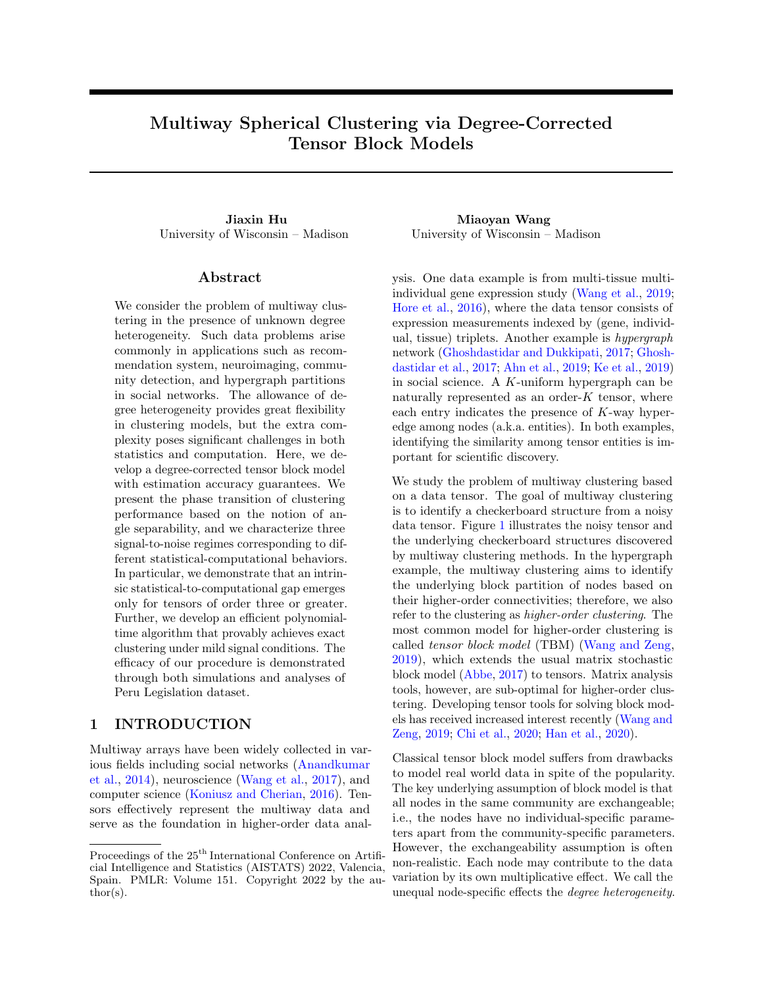<span id="page-21-1"></span>
$$
\sum_{i\geq [p]} \frac{\theta(i)^2}{k\mathbf{X}_{i:}k^2} k\mathbf{X}_{i:} \quad \hat{\mathbf{X}}_{i:}k^2 + \sum_{i\geq [p]} \theta(i)^2 k\hat{\mathbf{X}}_{i:}^s \quad \hat{\mathbf{X}}_{z^{(0)}(i)}k^2
$$
\n
$$
\frac{r^K}{p^{K-1}} \left( p^{K/2}r + pr^2 + r^K \right), \tag{33}
$$

where the first inequality follows from the assumption of  $\theta(i)$  and triangle inequality, the second inequality follows from Lemma [2,](#page-21-0) and the last inequality follows from [\(32\)](#page-20-2). In addition, with Theorem [4](#page-5-3) and the condition SNR &  $p^{-K/2} \log p$ , for all  $a \n\mathcal{Z}[r]$ , we have

$$
jz^{-1}(a) \setminus (z^{(0)})^{-1}(a)j \quad jz^{-1}(a)j \quad p\ell(z^{(0)},z) \& \frac{p}{r} \quad \frac{p}{\log p} \& \frac{p}{r},
$$

when p is large enough. Therefore, for all  $a \n\mathcal{Z}[r]$ , we have

<span id="page-21-2"></span>
$$
k\hat{\mathbf{x}}_a \quad \mathbf{X}_a^s k^2 = \frac{\sum_{i \geq z^{-1}(a) \setminus (z^{(0)})^{-1}(a)} \left\| \mathbf{X}_i^s \quad \hat{\mathbf{x}}_{z^{(0)}(i)} \right\|^2}{j z^{-1}(a) \setminus (z^{(0)})^{-1}(a)j}
$$

$$
\frac{r}{p} \left( \sum_{i \geq [p]} k \mathbf{X}_i^s \quad \hat{\mathbf{X}}_i^s k^2 + \sum_{i \geq [p]} k \hat{\mathbf{X}}_i^s \quad \hat{\mathbf{x}}_{z^{(0)}(i)} k^2 \right)
$$

$$
\frac{r^K}{p^K} \left( p^{K/2} r + pr^2 + r^K \right), \tag{34}
$$

where the last inequality follows from the inequality  $(32)$ .

Finally, we obtain

$$
L^{(0)} = \frac{1}{p} \sum_{i \ge [p]} \theta(i) \sum_{b \ge [r]} 1 \left\{ z^{(0)}(i) = b \right\} k[\mathbf{S}_{z(i)}]^{s} \quad [\mathbf{S}_{b:}]^{s} k^{2}
$$
  

$$
\frac{1}{p} \sum_{i \ge [p], z^{(0)}(i) \notin z(i)} \theta(i) k\mathbf{X}_{i:}^{s} \mathbf{X}_{z^{(0)}(i)}^{s} k^{2}
$$
  

$$
\frac{1}{p} \sum_{i \ge [p], z^{(0)}(i) \notin z(i)} \theta(i) \left( k\mathbf{X}_{i:}^{s} \mathbf{\hat{x}}_{z^{(0)}(i)} k^{2} + k\mathbf{\hat{x}}_{z^{(0)}(i)} \mathbf{X}_{z^{(0)}(i)}^{s} k^{2} \right)
$$
  

$$
\bar{C} \frac{r^{K}}{p^{K}} \left( p^{K/2}r + pr^{2} + r^{K} \right),
$$
  

$$
\frac{\bar{C} \Delta_{\min}^{2}}{\bar{C} r \log p}
$$

where the first inequality follows from Lemma [4,](#page-23-0) the third inequality follows from inequalities [\(33\)](#page-21-1) and [\(34\)](#page-21-2), and the last inequality follows from the assumption that SNR  $\tilde{C}p^{-K/2}\log p$ .  $\Box$ 

# Useful Definitions and Lemmas for the Proof of Theorem [4](#page-5-3)

<span id="page-21-0"></span>**Lemma 2** (Basic inequality). For any two nonzero vectors  $V_1$ ,  $V_2$  of same dimension, we have

$$
\sin(\mathbf{v}_1,\mathbf{v}_2) \quad k\mathbf{v}_1^s \quad \mathbf{v}_2^s k \quad \frac{2 k \mathbf{v}_1 \quad \mathbf{v}_2 k}{\max(k\mathbf{v}_1 k, k\mathbf{v}_2 k)}.
$$

*Proof of Lemma [2.](#page-21-0)* For the first inequality, let  $\alpha$  2 [0,  $\pi$ ] denote the angle between  $v_1$  and  $v_2$ . We have

$$
k\mathbf{v}_1^s
$$
  $\mathbf{v}_2^s k = \sqrt{2(1 - \cos \alpha)} = 2\sin \frac{\alpha}{2} - \sin \alpha,$ 

where the equations follows from the properties of trigonometric function and the inequality follows from the fact the cos  $\frac{\alpha}{2}$  1 and  $\sin \alpha = 2 \sin \frac{\alpha}{2} \cos \frac{\alpha}{2} > 0$  for  $\alpha \stackrel{\frown}{2} [0, \pi]$ .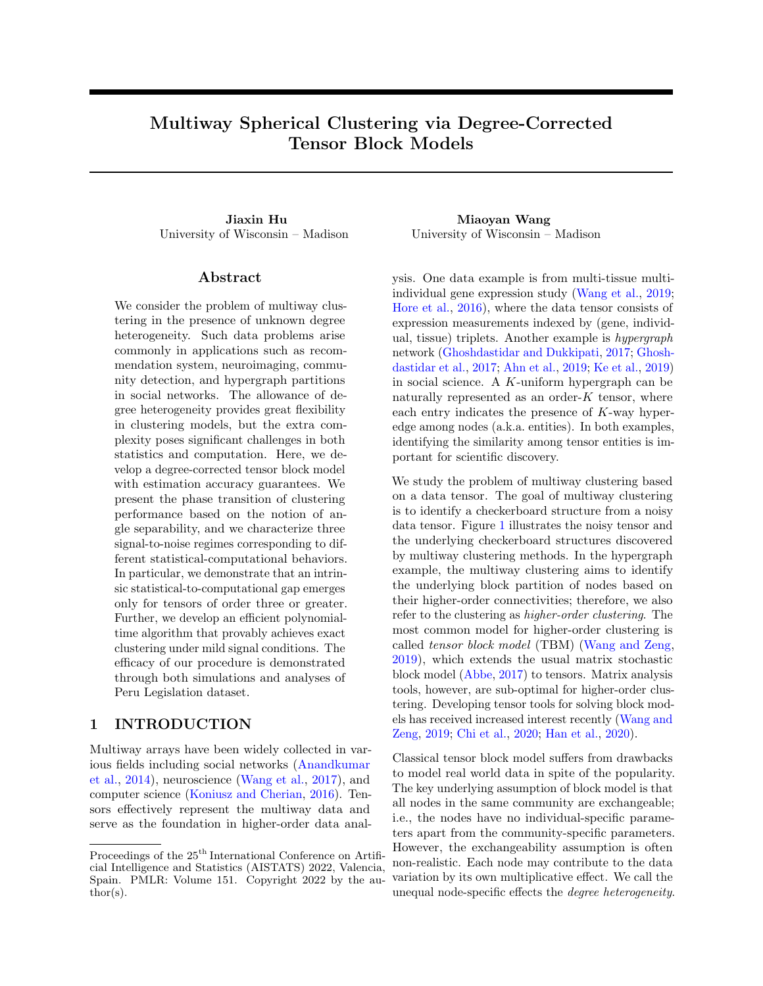For the second inequality, without loss of generality, we assume  $kV_1k - kV_2k$ . Then

$$
k\mathbf{v}_1^s \quad \mathbf{v}_2^s k = \begin{Vmatrix} \mathbf{v}_1 & \mathbf{v}_2 & \mathbf{v}_2 \\ k\mathbf{v}_1 k & k\mathbf{v}_1 k + \frac{\mathbf{v}_2}{k\mathbf{v}_1 k} & \frac{\mathbf{v}_2}{k\mathbf{v}_2 k} \end{Vmatrix}
$$

$$
\frac{k\mathbf{v}_1}{k\mathbf{v}_1 k} + \frac{k\mathbf{v}_2 k k\mathbf{v}_1 k}{k\mathbf{v}_1 k k\mathbf{v}_2 k}
$$

$$
\frac{2 k\mathbf{v}_1 \quad \mathbf{v}_2 k}{k\mathbf{v}_2 k}.
$$

Therefore, Lemma [2](#page-21-0) is proved.

<span id="page-22-2"></span>**Definition 3** (Weighted padding vectors). For a vector  $a = Ja_i \nvert \nvert 2 \aleph^d$ , we define the padding vector of a with the weight collection  $M = fu \cdot M = \vert uv \vert^d$  2  $D_i u \cdot d$  as with the weight collection  $\mathbf{w} = f\mathbf{w}_i$ :  $\mathbf{w}_i = \int w_{ik} \mathbf{k} \cdot \mathbf{z} \cdot \mathbf{R}^{p_i} g_{i-1}^d$  as

$$
\text{Pad}_{\mathcal{W}}(\boldsymbol{a}) = [a_1 \quad \mathcal{W}_1, \dots, a_d \quad \mathcal{W}_d]^T, \quad \text{where} \quad a_i \quad \mathcal{W}_i = [a_i w_{i1}, \dots, a_i w_{ip_i}]^T, \text{ for all } i \geq [d]. \tag{35}
$$

Here we also view  $\text{Pad}_W$   $\colon \mathbb{R}^d$   $\mathbb{Z}$   $\mathbb{R}^{\sum_{i\geq [d]} p_i}$  as an operator. We have the bounds of the weighted padding vector

$$
\min_{i\geq [d]} k \mathbf{W}_i k^2 k \mathbf{a} k^2 \qquad k \text{Pad}_w(\mathbf{a}) k^2 \qquad \max_{i\geq [d]} k \mathbf{W}_i k^2 k \mathbf{a} k^2. \tag{36}
$$

Further, we define the inverse weighted padding operator Pad<sup>1</sup>:  $R^{\sum_{i\geq d}p_i}$   $N$   $R^d$  which satisfies

<span id="page-22-4"></span><span id="page-22-3"></span><span id="page-22-1"></span>
$$
\mathrm{Pad}_{\mathcal{W}}^{-1}(\mathrm{Pad}_{\mathcal{W}}(\boldsymbol{a})) = \boldsymbol{a}.
$$

<span id="page-22-0"></span>**Lemma 3** (Angle for weighted padding vectors). Suppose we have two non-zero vectors  $a, b \ge R^d$ . Given the weight collection  $w$ , we have

$$
\frac{\min_{i\geq [d]}k\mathbf{w}_i k}{\max_{i\geq [d]}k\mathbf{w}_i k} \sin(\boldsymbol{a}, \boldsymbol{b}) \quad \sin(\text{Pad}_w(\boldsymbol{a}), \text{Pad}_w(\boldsymbol{b})) \quad \frac{\max_{i\geq [d]}k\mathbf{w}_i k}{\min_{i\geq [d]}k\mathbf{w}_i k} \sin(\boldsymbol{a}, \boldsymbol{b}).\tag{37}
$$

Proof of Lemma [3.](#page-22-0) We prove the two inequalities separately with similar ideas.

First, we prove the inequality  $**$  in [\(37\)](#page-22-1). Decomposing **b** yields

$$
\boldsymbol{b}=\cos(\boldsymbol{a},\boldsymbol{b})\frac{k\boldsymbol{b}k}{k\boldsymbol{a}k}\boldsymbol{a}+\sin(\boldsymbol{a},\boldsymbol{b})\frac{k\boldsymbol{b}k}{k\boldsymbol{a}^2k}\boldsymbol{a}^2,
$$

where  $a^2 \nightharpoonup R^d$  is in the orthogonal complement space of a. By the Definition [3,](#page-22-2) we have

$$
\mathrm{Pad}_{\mathcal{W}}(\boldsymbol{b}) = \cos(\boldsymbol{a}, \boldsymbol{b}) \frac{k b k}{k a k} \mathrm{Pad}_{\mathcal{W}}(\boldsymbol{a}) + \sin(\boldsymbol{a}, \boldsymbol{b}) \frac{k b k}{k a^2 k} \mathrm{Pad}_{\mathcal{W}}(\boldsymbol{a}^2).
$$

Note that  $\text{Pad}_W(\boldsymbol{a}^{\geq})$  is not necessary equal to the orthogonal vector of  $\text{Pad}(\boldsymbol{a})$ ; i.e.,  $\text{Pad}_W(\boldsymbol{a}^{\geq}) \notin (\text{Pad}_W(\boldsymbol{a}))^{\geq}$ . By the geometry property of trigonometric functions, we obtain

$$
\sin(\text{Pad}_{W}(\boldsymbol{a}), \text{Pad}_{W}(\boldsymbol{b})) = \frac{k\boldsymbol{b}kk\text{Pad}_{W}(\boldsymbol{a}^{\vee})k}{k\boldsymbol{a}^{\wedge}kk\text{Pad}_{W}(\boldsymbol{b})k} \sin(\boldsymbol{a}, \boldsymbol{b})
$$

$$
\frac{\max_{i \geq [d]} k\boldsymbol{w}_{i}k}{\min_{i \geq [d]} k\boldsymbol{w}_{i}k} \sin(\boldsymbol{a}, \boldsymbol{b}),
$$

where the second inequality follows by applying the property  $(36)$  to vectors **b** and **a**<sup> $\epsilon$ </sup>.

Next, we prove inequality  $*$  in [\(37\)](#page-22-1). With the decomposition of Pad<sub>W</sub>(b) and the inverse weighted padding operator, we have

$$
\bm{b}=\cos(\mathrm{Pad}_\mathcal{W}(\bm{a}),\mathrm{Pad}_\mathcal{W}(\bm{b}))\frac{\mathcal{R}\mathrm{Pad}_\mathcal{W}(\bm{b})\mathcal{k}}{\mathcal{R}\mathrm{Pad}_\mathcal{W}(\bm{a})\mathcal{k}}\bm{a}+\sin(\mathrm{Pad}_\mathcal{W}(\bm{a}),\mathrm{Pad}_\mathcal{W}(\bm{b}))\frac{\mathcal{R}\mathrm{Pad}_\mathcal{W}(\bm{b})\mathcal{k}}{\mathcal{K}\mathrm{Pad}_\mathcal{W}(\bm{a})\mathcal{R}}\mathrm{Pad}_\mathcal{W}(\bm{b})^2\mathcal{k}}\mathrm{Pad}_\mathcal{W}(\bm{a})\mathcal{R}^2).
$$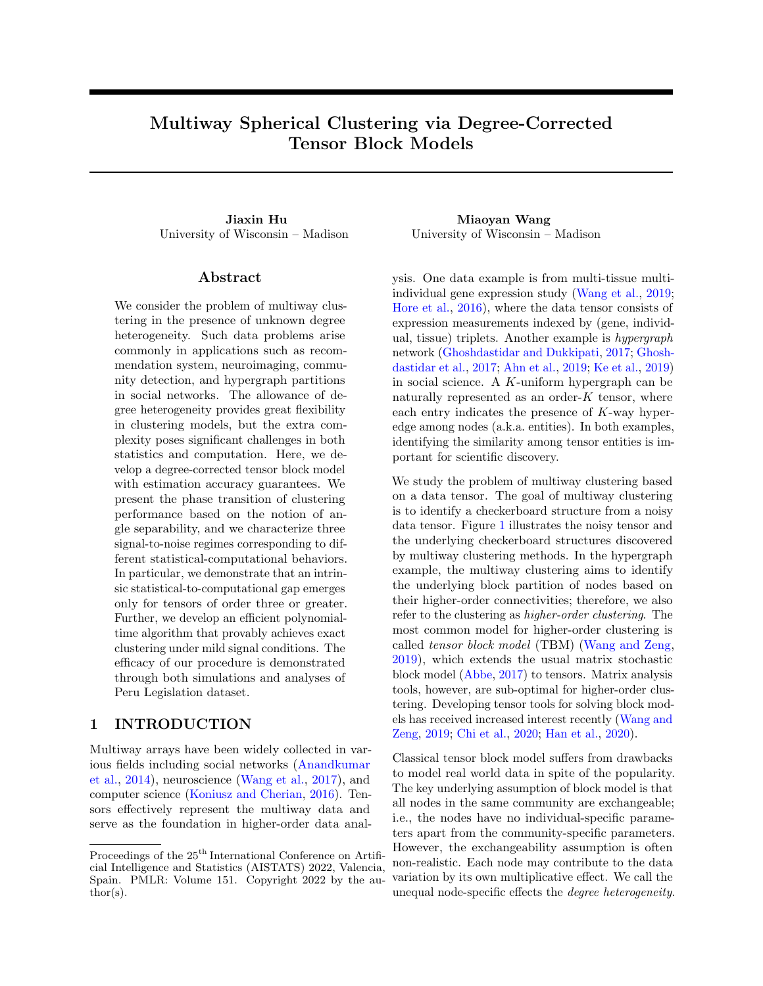Therefore, we obtain

$$
\sin(\boldsymbol{a}, \boldsymbol{b}) \quad \frac{k \text{Pad}_{\mathcal{W}}(\boldsymbol{b}) k k \text{Pad}_{\mathcal{W}}((\text{Pad}_{\mathcal{W}}(\boldsymbol{a}))^2) k}{k (\text{Pad}_{\mathcal{W}}(\boldsymbol{a}))^2 k k \text{bk}} \sin(\text{Pad}_{\mathcal{W}}(\boldsymbol{a}), \text{Pad}_{\mathcal{W}}(\boldsymbol{b}))
$$
\n
$$
\frac{\max_{i \geq [d]} k \mathbf{W}_i k}{\min_{i \geq [d]} k \mathbf{W}_i k} \sin(\text{Pad}_{\mathcal{W}}(\boldsymbol{a}), \text{Pad}_{\mathcal{W}}(\boldsymbol{b})),
$$

where the second inequality follows by applying the property [\(36\)](#page-22-3) to vectors **b** and  $\text{Pad}_{w}^{-1}((\text{Pad}_{w}(\boldsymbol{a}))^{2})$ .

<span id="page-23-0"></span>**Lemma 4** (Angle gap in X). Consider the dTBM model [\(1\)](#page-3-0) under the parameter space P in [\(2\)](#page-3-1). Suppose Assumption [1](#page-3-2) holds and is balanced satisfying  $(6)$ . Then the angle gap in X is asymptotically lower bounded by the angle gap in S; i.e., for all  $i, j$  such that  $z(i) \neq z(j)$ 

<span id="page-23-1"></span>
$$
kX_{i:}^s
$$
  $X_{j:}^s k \& KS_{z_1(i):}^s$   $S_{z_1(j):}^s k \& \Delta_{\min}$ .

Proof of Lemma [4.](#page-23-0) Note that the vector  $S_{z(i)}$ : can be folded to a tensor  $S^{\theta} = S^{\theta}_{a_2,...,a_K}$   $\&$   $\supseteq R^{r^{K-1}}$ ; i.e.,  $\text{vec}(S^{\emptyset}) = \mathbf{S}_{z(i)}$ . Define weight vectors  $\mathbf{W}_{a_2, \dots, a_K}$  correspond to the elements in  $S^{\emptyset}_{a_2, \dots, a_K}$  by

$$
W_{a_2 \ a_K} = \begin{bmatrix} T \\ z^{-1}(a_2) \end{bmatrix} \qquad T_{1(a_K)} \big| \ 2 \, \mathsf{R}^{j z^{-1}(a_2) j} \qquad j z^{-1}(a_K) j,
$$

for all  $a_k \geq [r], k = 2, \ldots, K$ , where denotes the Kronecker product. Therefore, we have  $X_{i:} = \theta(i) \text{Pad}_W(\mathcal{S}_{z(i):})$  where  $W = \tau W_{a_2, \dots, a_K} g_{a_k 2[r], k2[K]/\tau}$  Specifically, we have  $kW_{a_2, \dots, a_K} k^2 =$  $\prod_{k=2}^{K} k_{z-1(a_k)} k^2$ , and by the balanced assumption [\(6\)](#page-5-2) we have

$$
\max_{(a_2,...,a_K)} k w_{a_2,...,a_K} k^2 = (1+o(1)) \min_{(a_2,...,a_K)} k w_{a_2,...,a_K} k^2.
$$
\n(38)

Consider the inner product of  $X_i$ : and  $X_j$ : for  $z(i) \notin z(j)$ . By the definition of weighted padding operator [\(35\)](#page-22-4) and the balanced assumption [\(38\)](#page-23-1), we have

$$
\begin{aligned} \hbar \bm{X}_{i:}, \bm{X}_{j:} &\mathbf{i} = \theta(i) \theta(j) \left\langle \mathrm{Pad}_{\mathcal{W}}(\bm{S}_{z(i):}), \mathrm{Pad}_{\mathcal{W}}(\bm{S}_{z(j):}) \right\rangle \\ &= \theta(i) \theta(j) \min_{(a_2,...,a_K)} k \bm{W}_{a_2,...,a_K} k^2 \left\langle \bm{S}_{z(i):}, \bm{S}_{z(j):} \right\rangle (1+o(1)). \end{aligned}
$$

Therefore, when p large enough, the inner product  $\Delta X_i$ ;  $X_j$ : *i* has the same sign as  $\langle S_{z(i)}$ ;  $S_{z(j)}$ . Next, we discuss the angle between  $X_i$ : and  $X_j$ : by two cases.

1. Case 1: Suppose  $\langle S_{z(i)}^{\dagger}, S_{z(j)}^{\dagger} \rangle$  0. Then, we also have  $\Delta x_i^{\dagger}, X_j^{\dagger}$  0, which implies  $kX_i^s$   $X_j^s$ .  $P_{\overline{2}}$ . Note that  $kS_{z(i)}^s$ :  $S_{z(j)}^s$   $k$  2 by the definition of angle gap. We have  $kX_{i:}^s$   $X_{j:}^s$   $k$  &  $kS_{z(i):}^s$   $S_{z(j):}^s$   $k$ .

2. Case 2: Suppose  $\langle S_{z(i)}., S_{z(j)}\rangle > 0$ . Then, we have  $\cos(S_{z(i)}., S_{z(j)}.) > 0$ . Note that the fact  $\frac{\rho_{\text{max}}}{1-\cos\alpha} =$  $2 \sin \frac{\alpha}{2}$ .  $\sin \alpha$  for the angle  $\alpha$   $\mathcal{Z}[0, \frac{\pi}{2})$ . Then, we have

$$
kS_{z(i)}^{s}: \quad S_{z(j)}^{s}: k = \sqrt{1 - \cos(S_{z(i):}, S_{z(j):})}
$$
  
\n
$$
= \frac{\sin(S_{z(i):}, S_{z(j):})}{\max(a_{2}, ..., a_{K})kW_{a_{2}, ..., a_{K}}k} \sin(\text{Pad}_{W}(S_{z(i):}), \text{Pad}_{W}(S_{z(j):}))
$$
  
\n
$$
(1 + o(1))kX_{i:}^{s}: X_{j:}^{s}k,
$$

where the second inequality follows from Lemma [3,](#page-22-0) and the last inequality follows from the balanced weight [\(38\)](#page-23-1) and Lemma [2.](#page-21-0)

Hence, we conclude that for all  $i, j$  such that  $z(i) \notin z(j)$ ,

$$
kX_i^s
$$
,  $X_j^s$ ,  $k \& KS_{z_1(i)}^s$ ,  $S_{z_1(j)}^s$ ,  $k \& \Delta_{\min}$ .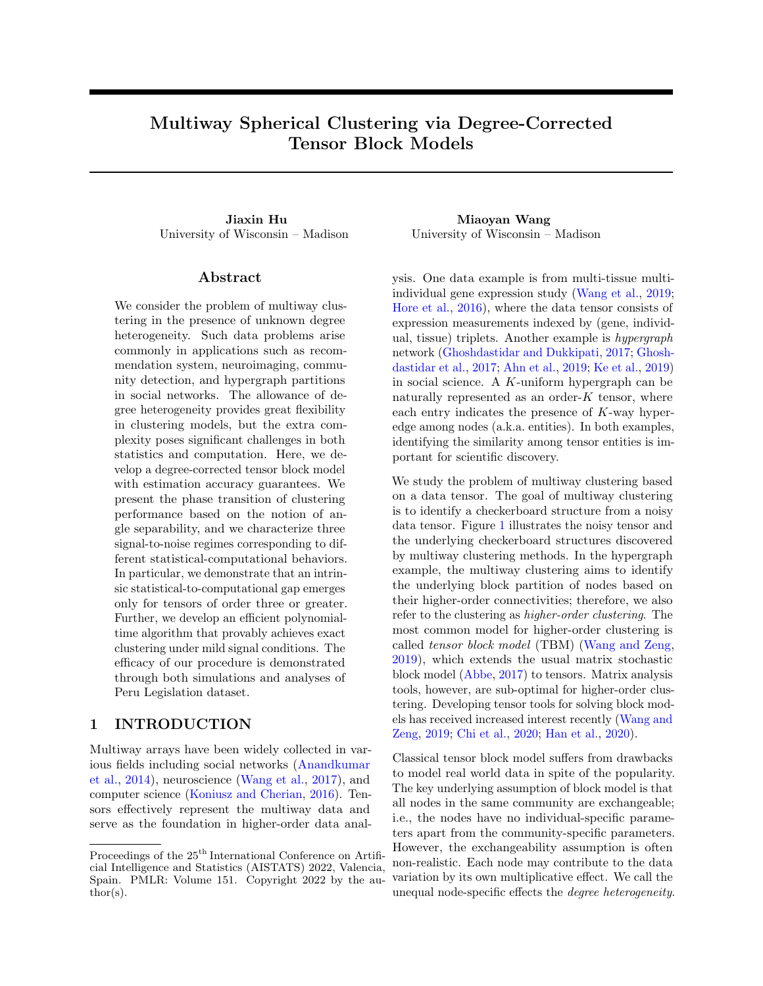<span id="page-24-1"></span>Lemma 5 (Singular value of weighted membership matrix). Under the parameter space [\(2\)](#page-3-1) and assumption that  $\min_{i \geq [p]} \theta(i)$  c, the singular values of **ΘM** are bounded as

$$
\sqrt{p/r} \cdot \sqrt{\min_{a \, 2[r]} k_{z^{-1}(a)} k^2} \quad \lambda_r(\boldsymbol{\Theta M}) \quad k\boldsymbol{\Theta M} k_{\sigma} \quad \sqrt{\max_{a \, 2[r]} k_{z^{-1}(a)} k^2} \cdot p/r.
$$

Proof of Lemma [5.](#page-24-1) Note that

$$
(\Theta M)^T \Theta M = D
$$
, with  $D = \text{diag}(D_1, \dots, D_r)$ ,  $D_a = k_{z^{-1}(a)} k^2$ ,  $a \ 2[r]$ .

By the definition of singular values, we have

$$
\sqrt{\min_{a\,2[r]}\,k\,z^{-1}(a)\,k^2}\qquad \lambda_r(\boldsymbol{\Theta M})\qquad k\boldsymbol{\Theta M}k_{\sigma}\qquad \sqrt{\max_{a\,2[r]}\,k\,z^{-1}(a)\,k^2}.
$$

Since that  $\min_{i \geq [p]} \theta(i)$  c by the constraints in parameter space, we have

$$
\min_{a \, 2[r]} k \, z \, \mathbf{1}_{(a)} k^2 \, c^2 \min_{a \, 2[r]} j z \, \mathbf{1}_{(a)} j \otimes \frac{p}{r},
$$

where the last inequality follows from the constraint in parameter space [\(2\)](#page-3-1). Finally, notice that

$$
\sqrt{\max_{a\,2[r]}k^{-1}(a)}\,k^2} \quad \max_{a\,2[r]}\sqrt{k_{z^{-1}(a)}\,k_1^2} \cdot \frac{p}{r}.
$$

Therefore, we complete the proof of Lemma [5.](#page-24-1)

<span id="page-24-2"></span>**Lemma 6** (Singular-value gap-free tensor estimation error bound). Consider an order-K tensor  $A = X + Z$  2  $\mathsf{R}^p$ <sup>p</sup>, where X has Tucker rank  $(r, ...r)$  and Z has independent sub-Gaussian entries with parameter  $\sigma^2$ . Let  $\hat{X}$  denote the double projection estimated tensor in Step 2 of Sub-algorithm [1](#page-6-0) in the main paper. Then with probability at least  $1$   $C \exp(-cp)$ , we have

$$
k\hat X-Xk_F^2-C\sigma^2\left(p^{K/2}r+pr^2+r^K\right),
$$

where  $C$ ,  $c$  are some positive constants.

Proof of Lemma [6.](#page-24-2) See [Han et al.](#page-9-12) [\(2020,](#page-9-12) Proposition 1).

<span id="page-24-0"></span>**Lemma 7** (Upper bound of misclustering error). Let  $z : [p] \not\subseteq [r]$  be a cluster assignment such that  $\int z^{-1}(a)j - p/r$  for all  $a \geq [r]$ . Let node i correspond to a vector  $\mathbf{x}_i = \theta(i)\mathbf{V}_{z(i)} \geq \mathbb{R}^d$ , where  $f\mathbf{V}_a \mathbf{V}_{a=1}^T$  are the cluster centers and  $= J\theta(i)K \, Z \, \mathbb{R}^p_+$  is the positive degree heterogeneity. Assume that satisfies the balanced assumption [\(6\)](#page-5-2) such that  $\frac{\max_{a}2[r]k}{\min_{a}q+k} \frac{1}{4\kappa k^2}$  $\frac{\sinh(a)(r_1)}{\sin(a)(r_1)}$   $\frac{z^{-1}(a)^{k_2}}{z^{-1}(a)^{k_2}} = 1 + o(1)$ . Consider an arbitrary estimate  $\hat{z}$  with  $\hat{\mathbf{X}}_i = \hat{\mathbf{V}}_{i}(i)$  for all  $i \, 2 \, S$ . Then, if

$$
\min_{a \in b2[r]} k\mathbf{V}_a \quad \mathbf{V}_b k \quad 2c,\tag{39}
$$

for some constant  $c > 0$ , we have

$$
\min_{\pi^2} \sum_{i:\hat{z}(i)\in\pi(z(i))} \theta(i)^2 \quad \sum_{i\geq S_0} \theta(i)^2 + 4 \sum_{i\geq S} \theta(i)^2,
$$

where  $S_0$  is defined in Step 3 of Sub-algorithm [1](#page-6-0) and

$$
S = \bar{n} \; 2 \; S_0^c : k \hat{\mathbf{x}}_i \quad \mathbf{v}_{z(i)} k \quad cg.
$$

<span id="page-24-3"></span> $\Box$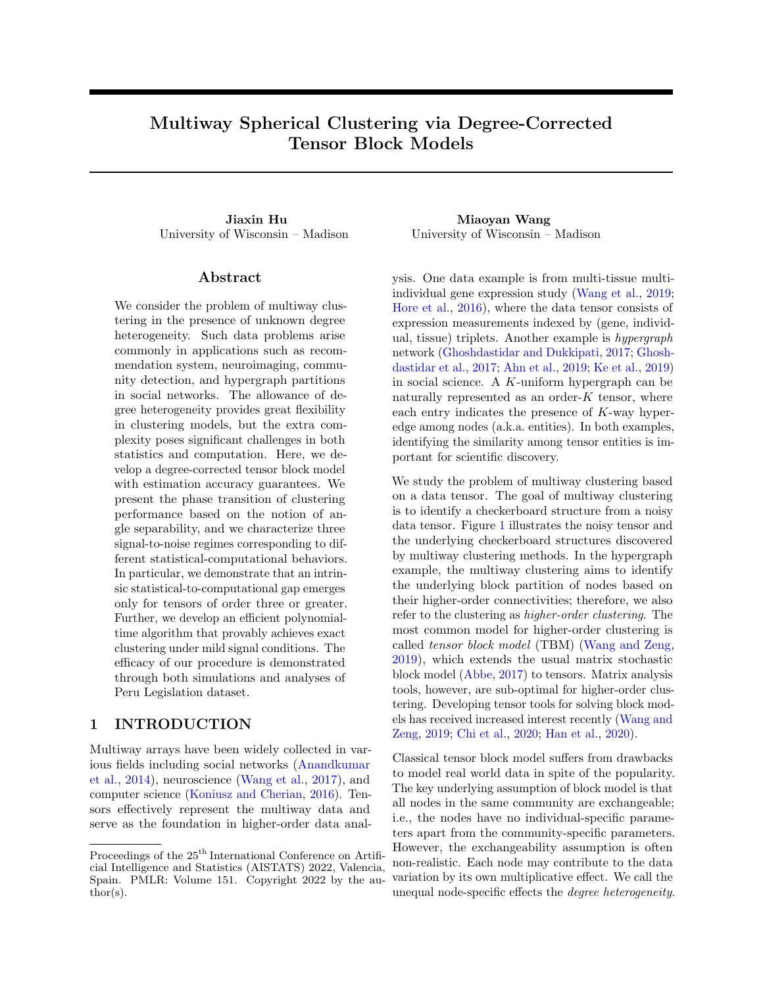*Proof of Lemma [7.](#page-24-0)* For each cluster  $u \n\mathcal{L}[r]$ , we use  $C_u$  to collect the subset of points for which the estimated and true positions  $\hat{\mathbf{x}}_i, \mathbf{x}_i$  are within distance c. Specifically, define

$$
C_u = \widehat{r}_i \, 2 \, z^{-1}(u) \, \backslash \, S_0^c : k \hat{\mathbf{x}}_i \quad \mathbf{v}_{z(i)} k < c \mathcal{G},
$$

and divide  $[r]$  into three groups based on  $C_u$  as

$$
R_1 = \text{fu } 2 [r] : C_u = \text{g},
$$
  
\n
$$
R_2 = \text{fu } 2 [r] : C_u \leftrightarrow \text{g, for all } i, j \text{ } 2C_u, \hat{z}(i) = \hat{z}(j)g,
$$
  
\n
$$
R_3 = \text{fu } 2 [r] : C_u \leftrightarrow \text{g, there exist } i, j \text{ } 2C_u, \hat{z}(i) \leftrightarrow \hat{z}(j)g.
$$

Note that  $\int u z_{[r]} C_u = S_0^c / S^c$  and  $C_u \setminus C_v = \mathcal{V}$  for any  $u \notin v$ . Suppose there exist  $i \supseteq C_u$  and  $j \supseteq C_v$  with  $u \notin v \mathcal{Z}[r]$  and  $\hat{z}(i) = \hat{z}(j)$ . Then we have

$$
k\mathbf{V}_{z(i)}
$$
  $\mathbf{V}_{z(j)}k$   $k\mathbf{V}_{z(i)}$   $\hat{\mathbf{x}}_i k + k\mathbf{V}_{z(j)}$   $\hat{\mathbf{x}}_j k < 2c$ ,

which contradicts to the assumption [\(39\)](#page-24-3). Hence, the estimates  $\hat{z}(i) \triangleq \hat{z}(j)$  for the nodes  $i \geq C_u$  and  $j \geq C_v$ with  $u \notin v$ . By the definition of  $R_2$ , the nodes in  $[u_{2R_2}C_u]$  have the same assignment with z and  $\hat{z}$ . Then, we have

$$
\min_{\pi \geq 0} \sum_{i: \hat{z}(i) \in \pi(z(i))} \theta(i)^2 \quad \sum_{i \geq S_0} \theta(i)^2 + \sum_{i \geq S} \theta(i)^2 + \sum_{i \geq \{u \geq R_3} C_u} \theta(i)^2.
$$

We only need to bound  $\sum_{i\geq l} \sum_{u\geq R_3} \theta(i)^2$  to finish the proof. Note that every  $C_u$  with  $u\geq R_3$  contains at least two nodes assigned to different clusters by  $\hat{z}$ . Then, we have  $\hat{R}_2j + 2\hat{R}_3j$  r. Since  $\hat{R}_1j + \hat{R}_2j + \hat{R}_3j = r$ , we have  $/R_3$ *j*  $/R_1$ *j*. Hence, we obtain

$$
\sum_{i2\{u,2R_3C_u}} \theta(i)^2 \quad jR_3 j_{a2[r]} \max k_{z^{-1}(a)} k^2
$$
\n
$$
jR_1 j_{a2[r]} \max k_{z^{-1}(a)} k^2
$$
\n
$$
\frac{\max_{a2[r]} k_{z^{-1}(a)} k^2}{\min_{a2[r]} k_{z^{-1}(a)} k^2} \sum_{i2\{u,2R_1z^{-1}(u)}} \theta(i)^2
$$
\n
$$
2 \sum_{i2S} \theta(i)^2,
$$

where the last inequality holds by the balanced assumption on when  $p$  is large enough, and the fact that  $\int u \, 2R_1 z^{-1}(u) \, S.$  $\Box$ 

### C.6 Proof of Theorem [5](#page-6-2)

*Proof of Theorem [5.](#page-6-2)* We prove Theorem [5](#page-6-2) under the symmetric dTBM [\(1\)](#page-3-0) with parameters  $(z, \mathcal{S}, \cdot)$ . We drop the subscript k in the matricizations  $M_k$ ,  $S_k$ ,  $X_k$ . Without loss of generality, we assume that the variance  $\sigma = 1$ , and that the identity permutation minimizes the initial misclustering error; i.e.,  $\pi^{(0)} =$  $\arg \min_{\pi \geq 0} \sum_{i \geq [p]} 1 \{ z^{(0)}(i) \in \pi \mid z(i) \} \text{ and } \pi^{(0)}(a) = a \text{ for all } a \geq [r].$ 

Step 1 (Notation and conditions). We first introduce additional notations and the necessary conditions used in the proof. We will verify that the conditions hold in our context under high probability in the last step of the proof.

#### Notation.

1. Projection. We use  $I_d$  to denote the identity matrix of dimension d. For a vector  $V \supseteq \mathbb{R}^d$ , let  $\text{Proj}(V) \supseteq \mathbb{R}^{d-d}$ denote the projection matrix to **v**. Then,  $I_d$  Proj(**v**) is the projection matrix to the orthogonal complement  $V^{\infty}$ .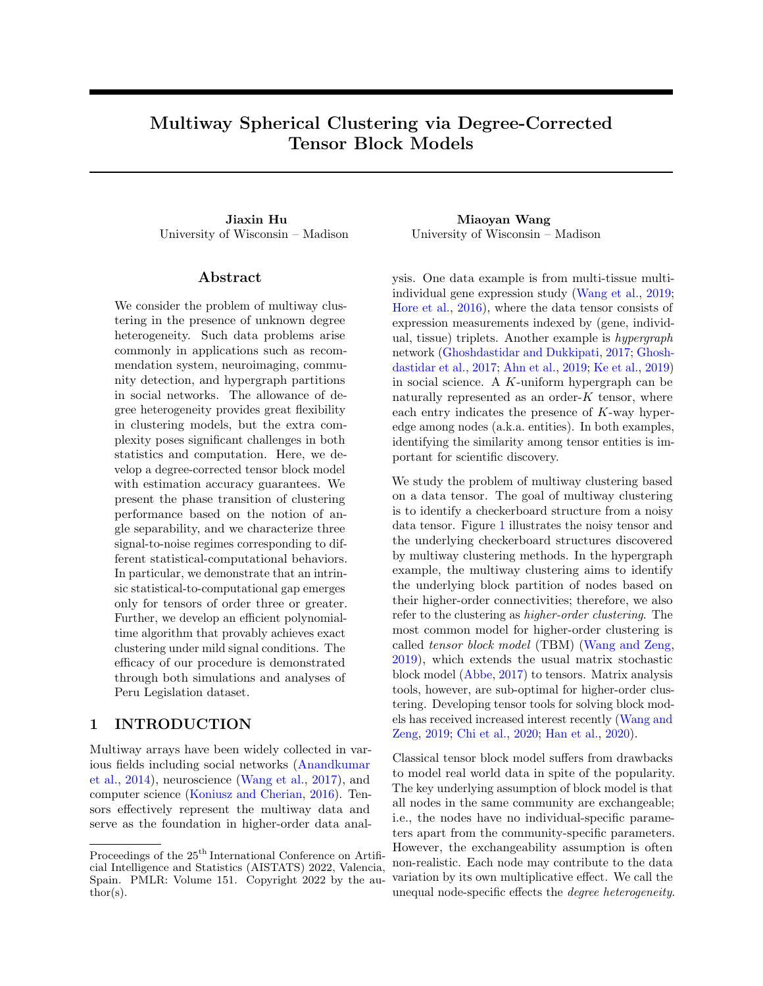2. We define normalized membership matrices

$$
\mathbf{W} = \mathbf{M} \left( \mathrm{diag}(\mathbf{1}_p^T \mathbf{M}) \right)^{-1}, \quad \mathbf{W}^{(t)} = \mathbf{M}^{(t)} \left( \mathrm{diag}(\mathbf{1}_p^T \mathbf{M}^{(t)}) \right)^{-1},
$$

and the dual normalized membership matrices

$$
\boldsymbol{V} = \boldsymbol{W}^{(K-1)}, \quad \boldsymbol{V}^{(t)} = (\boldsymbol{W}^{(t)})^{(K-1)}.
$$

3. We use  $S^{(t)}$  to denote the estimator of S in the t-th iteration, and we use  $\tilde{S}$  to denote the oracle estimator of  $S$  given true assignment  $z$ ; i.e.,

$$
S^{(t)} = Y \quad 1 \left( \boldsymbol{W}^{(t)} \right)^T \quad 2 \qquad K \left( \boldsymbol{W}^{(t)} \right)^T, \quad \tilde{S} = Y \quad 1 \, \boldsymbol{W}^T \quad 2 \qquad K \, \boldsymbol{W}^T.
$$

4. We define the matricizations of tensors

$$
S = \text{Mat}(S), \quad S^{(t)} = \text{Mat}(S^{(t)}), \quad \tilde{S} = \text{Mat}(\tilde{S})
$$
  

$$
Y = \text{Mat}(Y), \quad X = \text{Mat}(X), \quad E = \text{Mat}(E).
$$

5. We define the angle-based misclustering loss in the t-th iteration

$$
L^{(t)} = \frac{1}{p} \sum_{i \geq [p]} \theta(i) \sum_{b \geq [r]} \left( z^{(t)}(i) = b \right) k[\mathbf{S}_{z(i)}]^{s} \quad [\mathbf{S}_{b:}]^{s} k^{2},
$$

and the oracle loss

$$
\xi = \frac{1}{p} \sum_{i \geq [p]} \theta(i) \sum_{b \geq [r]} \mathbf{1} \left\{ \left\langle \mathbf{E}_{i:} \mathbf{V}, [\tilde{\mathbf{S}}_{z(i):}]^s \quad [\tilde{\mathbf{S}}_{b:}]^s \right\rangle \qquad \frac{\theta(i)m}{4} \langle [\mathbf{S}_{z(i):}]^s \quad [\mathbf{S}_{b:}]^s \langle \mathbf{S}_{z(i):}]^s \quad [\mathbf{S}_{b:}]^s \langle \mathbf{S}_{z(i):}]^s \qquad [\mathbf{S}_{b:}]^s \langle \mathbf{S}_{z(i):}]^s \qquad [\mathbf{S}_{b:}]^s \langle \mathbf{S}_{z(i):}]^s \qquad [\mathbf{S}_{b:}]^s \langle \mathbf{S}_{z(i):}]^s \qquad [\mathbf{S}_{b:}]^s \langle \mathbf{S}_{z(i):}]^s \qquad [\mathbf{S}_{b:}]^s \langle \mathbf{S}_{z(i):}]^s \qquad [\mathbf{S}_{b:}]^s \langle \mathbf{S}_{z(i):}]^s \qquad [\mathbf{S}_{b:}]^s \langle \mathbf{S}_{z(i):}]^s \qquad [\mathbf{S}_{b:}]^s \langle \mathbf{S}_{z(i):}]^s \qquad [\mathbf{S}_{b:}]^s \langle \mathbf{S}_{z(i):}]^s \qquad [\mathbf{S}_{b:}]^s \langle \mathbf{S}_{z(i):}]^s \qquad [\mathbf{S}_{b:}]^s \langle \mathbf{S}_{z(i):}]^s \qquad [\mathbf{S}_{b:}]^s \langle \mathbf{S}_{z(i):}]^s \qquad [\mathbf{S}_{b:}]^s \langle \mathbf{S}_{z(i):}]^s \qquad [\mathbf{S}_{b:}]^s \langle \mathbf{S}_{z(i):}]^s \qquad [\mathbf{S}_{b:}]^s \langle \mathbf{S}_{z(i):}]^s \qquad [\mathbf{S}_{b:}]^s \langle \mathbf{S}_{z(i):}]^s \qquad [\mathbf{S}_{b:}]^s \langle \mathbf{S}_{z(i):}]^s \qquad [\mathbf{S}_{b:}]^s \langle \mathbf{S}_{z(i):}]^s \qquad [\mathbf{S}_{b:}]^s \langle \mathbf{S}_{z(i):}]^s \qquad [\mathbf{S}_{b:}]^s \langle \mathbf{S}_{z(i):}]^s \qquad [\mathbf{S}_{b:}]^s \langle \mathbf{
$$

where  $m$  is a positive universal constant defined in  $(47)$ .

<span id="page-26-3"></span>**Condition 1.** (Intermediate results) Let  $\mathcal{O}_{p,r}$  denote the collection of all the p-by-r matrices with orthonormal columns. We have

$$
kEVk_{\sigma} \cdot \sqrt{\frac{r^{K-1}}{p^{K-1}}} \left( p^{1/2} + r^{(K-1)/2} \right), \quad kEVk_{F} \cdot \sqrt{\frac{r^{2(K-1)}}{p^{K-2}}} \cdot kW_{a}^{T}EVk \cdot \frac{r^{K}}{p^{K/2}} \text{ for all } a \geq [r], \quad (40)
$$

$$
\sup_{U_K \geq 0_{p,r}, k=2,\ldots,K} k\mathbf{E}(\mathbf{U}_2 \qquad \mathbf{U}_K)k_\sigma \qquad \left(\begin{matrix} \n\sqrt{2\pi K} & \overline{1} + K^D \overline{pr} \\ \n\sqrt{2\pi K} & \overline{1} + K^D \overline{pr} \end{matrix}\right),\tag{41}
$$

$$
\sup_{U_k \geq 0_{p,r}, k=2,\ldots,K} k\mathbf{E}(U_2 \qquad U_K) k_F \qquad \left(\sqrt{pr^{K-1}} + K^D \overline{pr}\right),\tag{42}
$$

<span id="page-26-5"></span><span id="page-26-4"></span><span id="page-26-2"></span><span id="page-26-1"></span><span id="page-26-0"></span>
$$
\xi \quad \exp\left(-M \frac{\Delta_{\min}^2 p^{K-1}}{r^{K-1}}\right),\tag{43}
$$

$$
L^{(t)} \quad \frac{\bar{C}}{\tilde{C}} \frac{\Delta_{\min}^2}{r \log p}, \quad \text{for} \quad t = 0, 1, \dots, T,
$$
\n
$$
(44)
$$

where M is a positive universal constant in inequality [\(59\)](#page-30-0),  $\bar{C}$ ,  $\tilde{C}$  are universal constants in Corollary [1](#page-20-0) and assumption SNR  $\tilde{C}p^{-K/2}\log p$ , respectively. Further, inequality [\(40\)](#page-26-0) holds by replacing V to  $V^{(t)}$  and  $W_{a}$  to  $W_{a}^{(t),T}$  when initialization condition [\(44\)](#page-26-1) holds.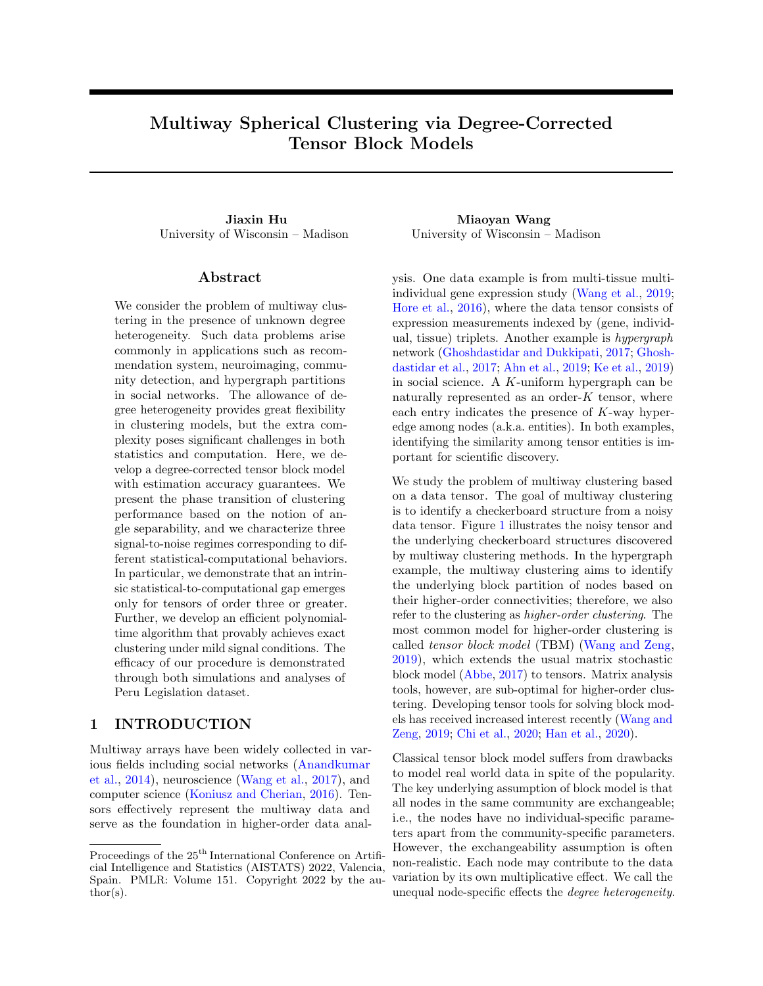**Step 2 (Misclustering loss decomposition).** Next, we derive the upper bound of  $L^{(t+1)}$  for  $t =$  $0, 1, \ldots, T$  1. By Sub-algorithm [2,](#page-6-0) we update the assignment in t-th iteration via

<span id="page-27-1"></span>
$$
z^{(t+1)}(i) = \underset{a \geq [r]}{\arg \min} \langle \left[ Y_i \right] V^{(t)} \right]^s \quad [\mathcal{S}_a^{(t)}]^s k^2,
$$

following the facts that  $k \mathbf{a}^s$   $\mathbf{b}^s k^2 = 1$  cos( $\mathbf{a}, \mathbf{b}$ ) for vectors  $\mathbf{a}, \mathbf{b}$  of same dimension and Mat( $Y^d$ ) = YV<sup>(t)</sup> where  $Y^d$  is the reduced tensor defined in Step 8 of Sub-algorithm [2.](#page-6-0) Then the event  $z^{(t+1)}(i) = b$  implies

$$
k[\mathbf{Y}_i, \mathbf{V}^{(t)}]^s
$$
  $[\mathbf{S}_b^{(t)}]^s k^2$   $k[\mathbf{Y}_i, \mathbf{V}^{(t)}]^s$   $[\mathbf{S}_{z(i)}^{(t)}]^s k^2$ . (45)

Note that the event [\(45\)](#page-27-1) also holds for the degenerate entity i with  $kY_i$ :  $V^{(t)}k = 0$  due to the convention that  $a^s = 0$  if  $a = 0$ . Arranging the terms in [\(45\)](#page-27-1) yields the decomposition

$$
2\left\langle \bm{E}_{i:} \bm{V}, [\tilde{\bm{S}}_{z(i):}]^s \quad [\tilde{\bm{S}}_{b:}]^s \right\rangle \quad k\bm{X}_{i:} \bm{V}^{(t)} k \left( \begin{array}{cc} k[\bm{S}_{z(i):}]^s & [\bm{S}_{b:}]^s k^2 + G_{ib}^{(t)} + H_{ib}^{(t)} \end{array} \right) + F_{ib}^{(t)},
$$

where

$$
F_{ib}^{(t)} = 2 \left\langle E_{i:} V^{(t)}, \left( [\tilde{S}_{z(i):}]^{s} \quad [S_{z(i):}^{(t)}]^{s} \right) \right. \\ \left. \left( [\tilde{S}_{b:}]^{s} \quad [S_{b:}^{(t)}]^{s} \right) \right\rangle + 2 \left\langle E_{i:} \left( V \quad V^{(t)} \right), [\tilde{S}_{z(i):}]^{s} \quad [\tilde{S}_{b:}]^{s} \right\rangle,
$$
  
\n
$$
G_{ib}^{(t)} = \left( k[X_{i:} V^{(t)}]^{s} \quad [S_{z(i):}^{(t)}]^{s} k^{2} \quad k[X_{i:} V^{(t)}]^{s} \quad [W_{\cdot z(i)}^{T} Y V^{(t)}]^{s} k^{2} \right)
$$
  
\n
$$
\left( k[X_{i:} V^{(t)}]^{s} \quad [S_{b:}^{(t)}]^{s} k^{2} \quad k[X_{i:} V^{(t)}]^{s} \quad [W_{\cdot b}^{T} Y V^{(t)}]^{s} k^{2} \right),
$$
  
\n
$$
H_{ib}^{(t)} = k[X_{i:} V^{(t)}]^{s} \quad [W_{\cdot z(i)}^{T} Y V^{(t)}]^{s} k^{2} \quad k[X_{i:} V^{(t)}]^{s} \quad [W_{\cdot b}^{T} Y V^{(t)}]^{s} k^{2} + k[S_{z(i):}]^{s} \quad [S_{b:}]^{s} k^{2}.
$$

Therefore, the event  $\mathbf{1} \left\{ z^{(t+1)}(i) = b \right\}$  can be upper bounded as

$$
1\left\{z^{(t+1)}(i) = b\right\} \qquad 1\left\{z^{(t+1)}(i) = b, \left\langle \mathbf{E}_{j:} \mathbf{V}, \left[\tilde{\mathbf{S}}_{z(i):}\right]^{s} \quad \left[\tilde{\mathbf{S}}_{b:}\right]^{s}\right\} \qquad \frac{1}{4}k\mathbf{X}_{i:} \mathbf{V}^{(t)}kk[\mathbf{S}_{z(i):}]^{s} \quad \left[\mathbf{S}_{b:}\right]^{s}k^{2} \right\} + 1\left\{z^{(t+1)}(i) = b, \frac{1}{2}k[\mathbf{S}_{z(i):}]^{s} \quad \left[\mathbf{S}_{b:}\right]^{s}k^{2} \quad k\mathbf{X}_{i:} \mathbf{V}^{(t)}k^{-1}F_{ib}^{(t)} + G_{ib}^{(t)} + H_{ib}^{(t)}\right\}.
$$
(46)

Note that

$$
k\mathbf{X}_{i:}\mathbf{V}^{(t)}k=\theta(i)k\mathbf{S}_{i:}(\boldsymbol{\Theta}\mathbf{M})^{-(K-1),T}\mathbf{W}^{(t), K-1}k \quad \theta(i)k\mathbf{S}_{z(i):}k\lambda_r^{K-1}(\boldsymbol{\Theta}\mathbf{M})\lambda_r^{K-1}(\mathbf{W}^{(t)}) \quad \theta(i)m, (47)
$$

where the first inequality follows from the property of eigenvalues; the last inequality follows from Lemma [5,](#page-24-1) Lemma [9,](#page-31-0) and assumption that  $\min_{a \geq [r]} kS_{z(i)} k$   $c_3 > 0$ ; and  $m > 0$  is a positive constant related to  $c_3$ . Plugging the lower bound of  $kX_i$ :  $V^{(t)}k$  [\(47\)](#page-27-0) into the inequality [\(46\)](#page-27-2) gives

<span id="page-27-3"></span><span id="page-27-2"></span><span id="page-27-0"></span>
$$
1\left\{z^{(t+1)}(i) = b\right\} \quad A_{ib} + B_{ib},\tag{48}
$$

where

$$
A_{ib} = 1 \left\{ z^{(t+1)}(i) = b, \left\langle \mathbf{E}_{i:} \mathbf{V}, [\tilde{\mathbf{S}}_{z(i):}]^s \quad [\tilde{\mathbf{S}}_{b:}]^s \right\rangle \right. \left. \frac{\theta(i)m}{4} \mathcal{k}[\mathbf{S}_{z(i):}]^s \quad [\mathbf{S}_{b:}]^s \mathcal{k}^2 \right\},
$$
  
\n
$$
B_{ib} = 1 \left\{ z^{(t+1)}(i) = b, \frac{1}{2} \mathcal{k}[\mathbf{S}_{z(i):}]^s \quad [\mathbf{S}_{b:}]^s \mathcal{k}^2 \quad (\theta(i)m)^{-1} F_{ib}^{(t)} + G_{ib}^{(t)} + H_{ib}^{(t)} \right\}.
$$

Taking the weighted summation of  $(48)$  over  $i \n\mathcal{Z}[p]$  yields

$$
L^{(t+1)} \quad \xi + \frac{1}{p} \sum_{\substack{i \geq [p] \\ 28}} \sum_{b \geq [r]/z(i)} \zeta_{ib}^{(t)},
$$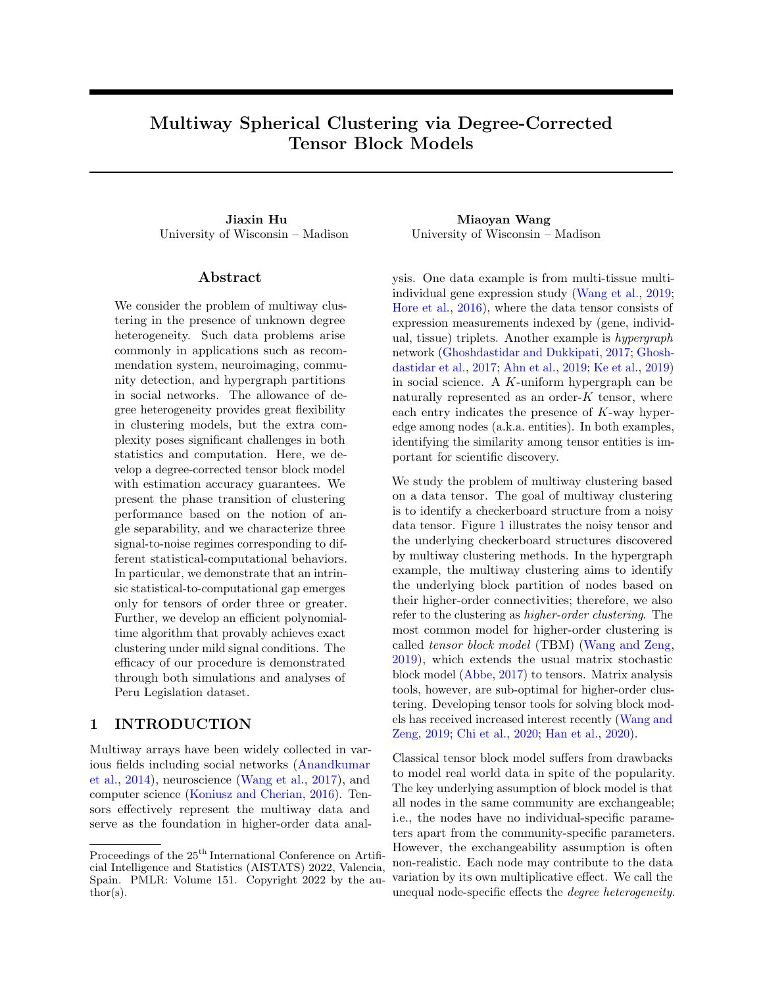where  $\xi$  is the oracle loss such that

$$
\xi = \frac{1}{p} \sum_{i \geq [p]} \theta(i) \sum_{b \geq [r]/z(i)} A_{ib} k[\mathbf{S}_{z(i)}]^{s} \quad [\mathbf{S}_{b:}]^{s} k^{2}.
$$
 (49)

Similarly to  $\xi$  in [\(49\)](#page-28-0), we define

<span id="page-28-0"></span>
$$
\zeta_{ib}^{(t)} = \theta(i) B_{ib} k[\mathbf{S}_{z(i):}]^s \quad [\mathbf{S}_{b:}]^s k^2.
$$

Step 3 (Derivation of contraction inequality). In this step we derive the upper bound of  $\zeta_{ib}$  and obtain the contraction inequality. Choose the constant  $\tilde{C}$  in the condition SNR  $\tilde{C}p^{-K/2}\log p$  that satisfies the condition of Lemma [10,](#page-31-1) inequalities [\(73\)](#page-34-0) and [\(77\)](#page-34-1). Note that

$$
\zeta_{ib}^{(t)} = \theta(i)k[\mathbf{S}_{z(i)}]^{s} \quad [\mathbf{S}_{b:}]^{s} k^{2} \mathbf{1} \left\{ z^{(t+1)}(i) = b, \frac{1}{2}k[\mathbf{S}_{z(i)}]^{s} \quad [\mathbf{S}_{b:}]^{s} k^{2} \quad (\theta(i)m) \quad {}^{1}F_{ib}^{(t)} + G_{ib}^{(t)} + H_{ib}^{(t)} \right\}
$$
\n
$$
\theta(i)k[\mathbf{S}_{z(i)}]^{s} \quad [\mathbf{S}_{b:}]^{s} k^{2} \mathbf{1} \left\{ z^{(t+1)}(i) = b, \frac{1}{4}k[\mathbf{S}_{z(i)}]^{s} \quad [\mathbf{S}_{b:}]^{s} k^{2} \quad (\theta(i)m) \quad {}^{1}F_{ib}^{(t)} + G_{ib}^{(t)} \right\}
$$
\n
$$
641 \left\{ z^{(t+1)}(i) = b \right\} \left( \frac{(F_{ib}^{(t)})^{2}}{cm^{2}k[\mathbf{S}_{z(i)}]^{s} \quad [\mathbf{S}_{b:}]^{s} k^{2}} + \frac{\theta(i)(G_{ib}^{(t)})^{2}}{k[\mathbf{S}_{z(i)}]^{s} \quad [\mathbf{S}_{b:}]^{s} k^{2}} \right)
$$

where the first inequality follows from the inequality [\(64\)](#page-31-2) in Lemma [10,](#page-31-1) and the last inequality follows from the assumption that  $\min_{i\geq [p]} \theta(i)$  c > 0. Following [Han et al.](#page-9-12) [\(2020,](#page-9-12) Step 4, Proof of Theorem 2) and Lemma [10,](#page-31-1) we have

$$
\frac{1}{p} \sum_{i \geq [p]}\sum_{b \geq [r]/z(i)} 1 \left\{ z^{(t+1)}(i) = b \right\} \frac{(F_{ib}^{(t)})^2}{cm^2 k [\mathbf{S}_{z(i)}]^s [\mathbf{S}_{b:}]^s k^2} \frac{C_0 \bar{C}}{cm^2 \tilde{C}^2} L^{(t)},
$$

for a positive universal constant C and

$$
\frac{1}{p} \sum_{i \ge [p]}\sum_{b \ge [r]/z(i)} \mathbf{1} \left\{ z^{(t+1)}(i) = b \right\} \frac{\theta(i)(G_{ib}^{(t)})^2}{k[\mathbf{S}_{z(i)}]^s [\mathbf{S}_{b:}]^s k^2} \quad \frac{1}{512} \frac{1}{p} \sum_{i \ge [p]} \theta(i) \sum_{b \ge [r]/z(i)} \mathbf{1} \left\{ z^{(t+1)}(i) = b \right\} (\Delta_{\min}^2 + L^{(t)})
$$
\n
$$
\frac{1}{512} (L^{(t+1)} + L^{(t)}),
$$

where the last inequality follows from the definition of  $L^{(t)}$  and the constraint of in parameter space [\(2\)](#page-3-1). For  $C$  also satisfies

<span id="page-28-2"></span><span id="page-28-1"></span>
$$
\frac{C_0\bar{C}}{cm^2\tilde{C}^2} \qquad \frac{1}{512},\tag{50}
$$

we have

$$
\frac{1}{p} \sum_{i \ge [p]} \sum_{b \ge [r]/z(i)} \zeta_{ib}^{(t)} \quad \frac{1}{8} L^{(t+1)} + \frac{1}{4} L^{(t)}.
$$
\n
$$
(51)
$$

Plugging the inequality  $(51)$  into the decomposition  $(49)$ , we obtain the contraction inequality

<span id="page-28-3"></span>
$$
L^{(t+1)} \quad \frac{3}{2}\xi + \frac{1}{2}L^{(t)},\tag{52}
$$

where  $\frac{1}{2}$  is the contraction parameter.

Therefore, with  $\tilde{C}$  satisfying inequalities [\(50\)](#page-28-2), [\(73\)](#page-34-0) and [\(77\)](#page-34-1), we obtain the conclusion in Theorem [5](#page-6-2) via inequality [\(52\)](#page-28-3) combining the inequality [\(43\)](#page-26-2) in Condition [1](#page-26-3) and Lemma [8.](#page-31-3)

Step 4 (Verification of Condition [1\)](#page-26-3). Last, we verify the Condition [1](#page-26-3) under high probability to finish the proof. Note that the inequalities [\(40\)](#page-26-0), [\(41\)](#page-26-4), and [\(42\)](#page-26-5) describe the property of the sub-Gaussian noise tensor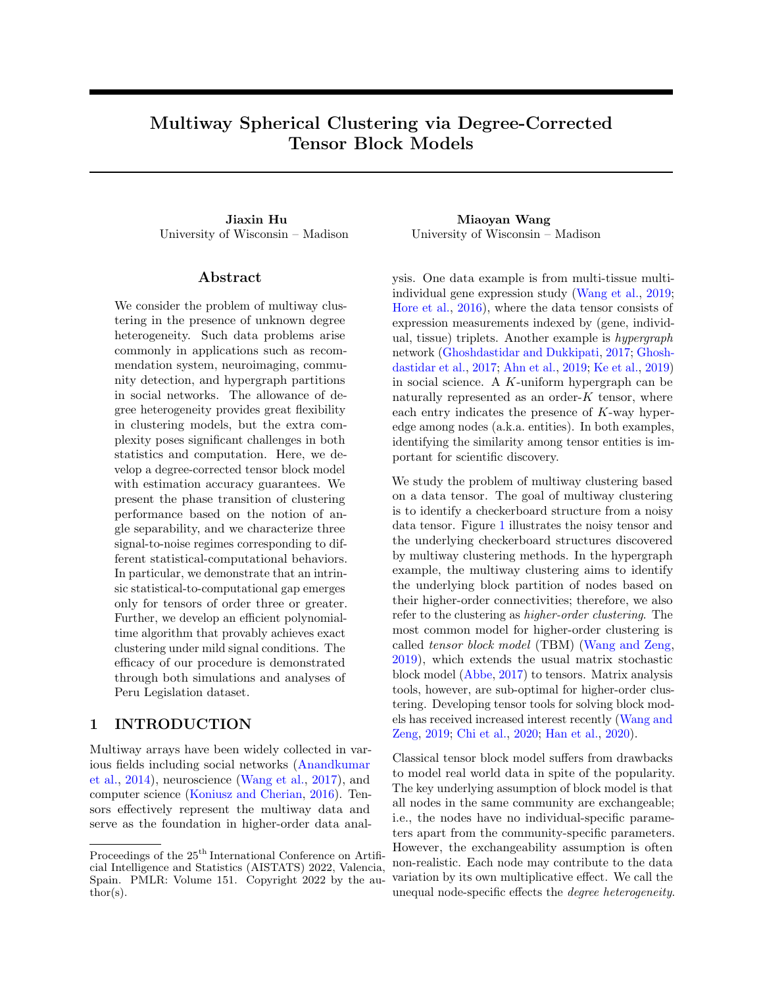E, and the readers can find the proof directly in [Han et al.](#page-9-12) [\(2020,](#page-9-12) Step 5, Proof of Theorem 2). Here, we include only the verification of inequalities [\(43\)](#page-26-2) and [\(44\)](#page-26-1).

Now, we verify the oracle loss condition [\(43\)](#page-26-2). Recall the definition of  $\xi$ ,

$$
\xi = \frac{1}{p} \sum_{i \geq [p]} \theta(i) \sum_{b \geq [r]} \mathbf{1} \left\{ \left\langle \mathbf{E}_i \cdot \mathbf{V}, [\tilde{\mathbf{S}}_{z(i):}]^s \quad [\tilde{\mathbf{S}}_{b:}]^s \right\rangle \qquad \frac{\theta(i)m}{4} \mathcal{K}[\mathbf{S}_{z(i):}]^s \quad [\mathbf{S}_{b:}]^s \mathcal{K}^2 \right\} \mathcal{K}[\mathbf{S}_{z(i):}]^s \quad [\mathbf{S}_{b:}]^s \mathcal{K}^2,
$$

Let  $e_i = \mathbf{E}_i$  V denote the aggregated noise vector for all  $i \geq [p]$ , and  $e_i$ 's are independent zero-mean sub-Gaussian vector in  $R^{r^{K-1}}$ . The entries in  $e_i$  are independent zero-mean sub-Gaussian variables with sub-Gaussian norm upper bounded by  $m_1\sqrt{r^{K-1}/p^{K-1}}$  with some positive constant  $m_1$ . We have the probability inequality

$$
\mathsf{P}\left(\left\langle e_i, [\tilde{\mathbf{S}}_{z(i)}]^s \quad [\tilde{\mathbf{S}}_{b\cdot}]^s \right\rangle \qquad \frac{\theta(i)m}{4} \langle [\mathbf{S}_{z(i)}]^{s} \quad [\mathbf{S}_{b\cdot}]^s \langle k^2 \rangle \right) \quad P_1 + P_2 + P_3,
$$

where

$$
P_1 = \mathbb{P}\left(\langle e_i, [\mathbf{S}_{z(i)}]^{s} \quad [\mathbf{S}_{b:}]^{s}\rangle \quad \frac{\theta(i)m}{8} \langle [\mathbf{S}_{z(i)}]^{s} \quad [\mathbf{S}_{b:}]^{s} \langle^{2}\rangle \right),
$$
  
\n
$$
P_2 = \mathbb{P}\left(\langle e_i, [\tilde{\mathbf{S}}_{z(i)}]^{s} \quad [\mathbf{S}_{z(i)}]^{s}\rangle \quad \frac{\theta(i)m}{16} \langle [\mathbf{S}_{z(i)}]^{s} \quad [\mathbf{S}_{b:}]^{s} \langle^{2}\rangle \right),
$$
  
\n
$$
P_3 = \mathbb{P}\left(\langle e_i, [\mathbf{S}_{b:}]^{s} \quad [\tilde{\mathbf{S}}_{b:}]^{s}\rangle \quad \frac{\theta(i)m}{16} \langle [\mathbf{S}_{z(i)}]^{s} \quad [\mathbf{S}_{b:}]^{s} \langle^{2}\rangle \right).
$$

For  $P_1$ , notice that the inner product  $\langle e_j, S_{z(j)}^s, \quad S_{b}^s \rangle$  is a sub-Gaussian variable with sub-Gaussian norm bounded by  $m_2\sqrt{r^{K-1}/p^{K-1}}\mathcal{K}\mathbf{S}_{z(i):}^s$   $\mathbf{S}_{b}^s k$  with some positive constant  $m_2$ . Then, by Chernoff bound, we have

$$
P_1 \cdot \exp\left(-\frac{p^{K-1}}{r^{K-1}}k[\mathbf{S}_{z(j)}]^{s} - [\mathbf{S}_{b:}]^{s}k^2\right).
$$
\n(53)

For  $P_2$  and  $P_3$ , we only need to derive the upper bound of  $P_2$  due to the symmetry. By the law of total probability, we have

<span id="page-29-2"></span><span id="page-29-1"></span><span id="page-29-0"></span>
$$
P_2 \t P_{21} + P_{22}, \t (54)
$$

where with some positive constant  $t > 0$ ,

$$
P_{21} = \mathsf{P}\left(t \quad k[\tilde{\mathbf{S}}_{z(i)}]^{s} \quad [\mathbf{S}_{z(i)}]^{s} \right),
$$
  
\n
$$
P_{22} = \mathsf{P}\left(\left\langle e_{i}, [\tilde{\mathbf{S}}_{z(i)}]^{s} \quad [\mathbf{S}_{z(i)}]^{s}\right\rangle \quad \frac{\theta(i)m}{16} \left\langle [\mathbf{S}_{z(i)}]^{s} \quad [\mathbf{S}_{b:}]^{s} \left\langle k[\tilde{\mathbf{S}}_{z(i)}]^{s} \quad [\mathbf{S}_{z(i)}]^{s} \left\langle k[\mathbf{S}_{z(i)}]^{s}\right\rangle \right\rangle\right).
$$

For  $P_{21}$ , note that the term  $\mathcal{W}_{z(i)}^T \mathcal{L} \mathcal{V} = \frac{\sum_{j \in i,j \ge [p]} \mathbb{1} f(z(j) = z(i)ge_j}{\sum_{j \ge [p]} \mathbb{1} f(z(j) = z(i)g)}$  is a sub-Gaussian vector with sub-Gaussian norm bounded by  $m_3\sqrt{r^K/p^K}$  with some positive constant  $m_3$ . This implies

$$
P_{21} \quad \mathsf{P}\left(t \mathcal{K} \mathbf{S}_{z(i)} \mathcal{K} \quad \mathcal{K} \tilde{\mathbf{S}}_{z(i)} \quad \mathbf{S}_{z(i)} \mathcal{K}\right) \quad \mathsf{P}\left(c_3 t \quad \mathcal{K} \mathbf{W}_{:z(i)}^T \mathbf{E} \mathbf{V} \mathcal{K}\right) \quad \exp\left(-\frac{p^K t^2}{r^K}\right),\tag{55}
$$

where the first inequality follows from the basic inequality in Lemma [2,](#page-21-0) the second inequality follows from the assumption that  $\min_{a\geq r} kS_{z(i)}k$   $c_3 > 0$  in [\(2\)](#page-3-1), and the last inequality follows from the Bernstein inequality.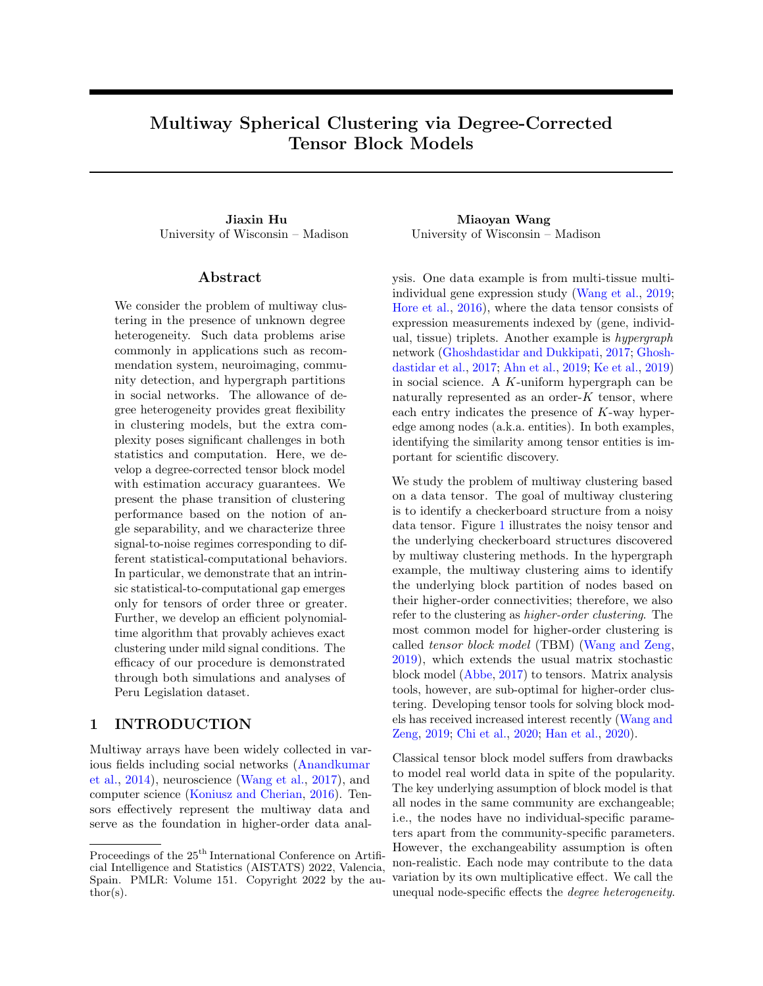For  $P_{22}$ , the inner product  $\langle e_i, [\tilde{\mathsf{S}}_{z(i)}]^s \mid [\mathsf{S}_{z(i)}]^s \rangle$  is also a sub-Gaussian variable with sub-Gaussian norm  $m_4\sqrt{r^{K-1}/p^{K-1}}t$ , conditioned on  $k[\tilde{\mathbf{S}}_{z(i)}]^{s}$   $[\mathbf{S}_{z(i)}]^{s} k < t$  with some positive constant  $m_4$ . Then, by Chernoff bound, we have

<span id="page-30-1"></span>
$$
P_{22} \cdot \exp\left(-\frac{p^{K-1}}{r^{K-1}t^2}k[\mathbf{S}_{z(j)}]^{s} - [\mathbf{S}_{b:}]^{s}k^{4}\right).
$$
 (56)

We take  $t = k[\mathbf{S}_{z(i)}]^s$   $[\mathbf{S}_{b_i}]^s k$  in  $P_{21}$  and  $P_{22}$ , and plug the inequalities [\(55\)](#page-29-0) and [\(56\)](#page-30-1) into to the upper bound for  $P_2$  in  $(54)$ . We obtain that

<span id="page-30-3"></span><span id="page-30-2"></span><span id="page-30-0"></span>
$$
P_2 \cdot \exp\left(-\frac{p^{K-1}}{r^{K-1}}k[\mathbf{S}_{z(i)}]^s - [\mathbf{S}_{b:}]^s k^2\right). \tag{57}
$$

Combining the upper bounds [\(53\)](#page-29-2) and [\(57\)](#page-30-2) gives

$$
\mathsf{P}\left(\left\langle e_i,[\tilde{\mathbf{S}}_{z(i)}]^s \quad [\tilde{\mathbf{S}}_{b:}]^s\right\rangle \qquad \frac{\theta(i)m}{4} \mathsf{k}[\mathbf{S}_{z(i)}]^s \quad [\mathbf{S}_{b:}]^s \mathsf{k}^2\right) \quad \exp\left(\begin{array}{cc} \frac{p^{K-1}}{r^{K-1}} \mathsf{k}[\mathbf{S}_{z(i)}]^s & [\mathbf{S}_{b:}]^s \mathsf{k}^2\end{array}\right). \tag{58}
$$

Hence, we have

$$
\begin{split}\n\mathbf{E}\xi &= \frac{1}{p} \sum_{i \geq [p]} \theta(i) \sum_{b \geq [r]} \mathbf{P} \left\{ \left\langle \mathbf{E}_{i:} \mathbf{V}, [\tilde{\mathbf{S}}_{z(i):}]^{s} \quad [\tilde{\mathbf{S}}_{b:}]^{s} \right\rangle \right. \\
&\quad \frac{\theta(i)m}{4} k[\mathbf{S}_{z(i):}]^{s} \quad [\mathbf{S}_{b:}]^{s} k^{2} \right\} k[\mathbf{S}_{z(i):}]^{s} \quad [\mathbf{S}_{b:}]^{s} k^{2} \\
&\quad \frac{1}{p} \sum_{i \geq [p]} \theta(i) \max_{i \geq [p], b \geq [r]} k[\mathbf{S}_{z(i):}]^{s} \quad [\mathbf{S}_{b:}]^{s} k^{2} \exp \left( \frac{p^{K}}{r^{K-1}} k[\mathbf{S}_{z(i):}]^{s} \quad [\mathbf{S}_{b:}]^{s} k^{2} \right) \\
&\quad \exp \left( M \frac{p^{K-1}}{r^{K-1}} \Delta_{\min}^{2} \right),\n\end{split} \tag{59}
$$

where M is a positive constant, the first inequality follows from the constraint that  $\sum_{i\geq [p]} \theta(i) = p$ , and the last inequality follows from [\(58\)](#page-30-3).

By Markov's inequality, we have

$$
P\left(\xi \quad \mathbb{E}\xi + \exp\left(-M \frac{p^{K-1}}{r^{K-1}} \Delta_{\min}^2\right)\right) \quad 1 \quad C \exp\left(-M \frac{p^{K-1}}{r^{K-1}} \Delta_{\min}^2\right),
$$

and thus the condition [\(43\)](#page-26-2) holds with probability at least 1  $C \exp \left( M \frac{p^{K-1}}{r^{K-1}} \Delta^2_{min} \right)$  for some constant  $C > 0$ .

Finally, we verify the bounded loss condition [\(44\)](#page-26-1) by induction. With output  $z^{(0)}$  from Sub-algorithm [2](#page-6-0) and the assumption SNR  $\tilde{C}p^{-K/2}\log p$ , by Corollary [1,](#page-20-0) we have

$$
L^{(0)} \quad \frac{\bar{C}\Delta_{\min}^2}{\tilde{C}r\log p}, \quad \text{when } p \text{ is large enough.}
$$

Therefore, the condition [\(44\)](#page-26-1) holds for  $t = 0$ . Assume the condition (44) also holds for all  $t$  t<sub>0</sub>. Then, by the decomposition  $(52)$ , we have

$$
L^{(t_0+1)} \quad \frac{3}{2}\xi + \frac{1}{2}L^{(t_0)}\n \exp\left(M\frac{p^{K-1}}{r^{K-1}}\Delta_{\min}^2\right) + \frac{\Delta_{\min}^2}{r\log p}\n \frac{\bar{C}}{\bar{C}}\frac{\Delta_{\min}^2}{r\log p},
$$

where the second inequality follows from the condition [\(43\)](#page-26-2) and the last inequality follows from the assumption that  $\Delta_{\min}^2 \& p^{K/2} \log p$ . Thus, the condition [\(44\)](#page-26-1) holds for  $t_0 + 1$ , and the condition (44) is proved by induction.  $\Box$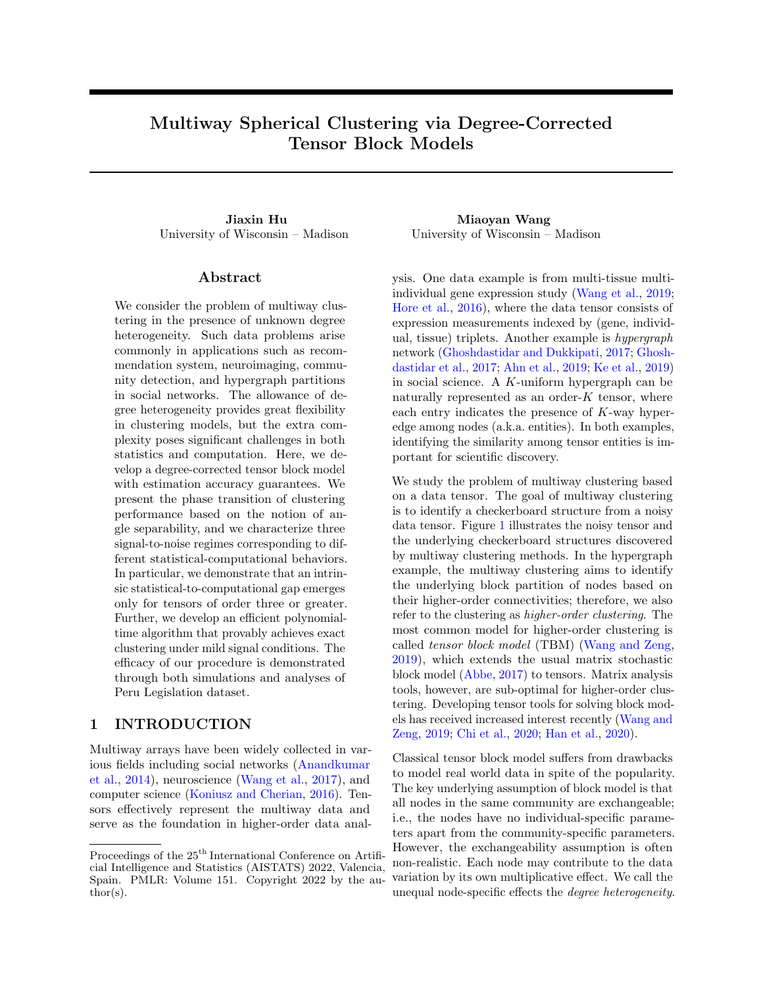### Useful Definitions and Lemmas for the Proof of Theorem [5](#page-6-2)

<span id="page-31-3"></span>**Lemma 8** (Misclustering error and loss). Define the misclustering error in the t-th iteration as  $\ell^{(t)} = \ell(z^{(t)}, z)$ . We have

$$
\ell^{(t)} \cdot \frac{1}{p} \sum_{i \geq [p]} \theta(i) \mathbf{1} \left\{ z^{(t)}(i) \triangleq z(i) \right\} \quad \frac{L^{(t)}}{\Delta_{\min}^2}
$$

Proof of Lemma [8.](#page-31-3) By the definition of minimal gap in Assumption [1,](#page-3-2) we have

$$
L^{(t)} = \frac{1}{p} \sum_{i \ge [p]} \theta(i) \sum_{b \ge [r]} \mathbf{1} \left\{ z^{(t)}(i) = b \right\} k[\mathbf{S}_{z(i)}]^s \quad [\mathbf{S}_{b:}]^s k^2 \quad \frac{1}{p} \sum_{i \ge [p]} \theta(i) \sum_{b \ge [r]} \mathbf{1} \left\{ z^{(t)}(i) = b \right\} \Delta_{\min}^2 \quad c\ell^{(t)} \Delta_{\min}^2,
$$
\nwhere the last inequality follows from the assumption  $\min_{i \ge [r]} \theta(i)$   $c > 0$ .

where the last inequality follows from the assumption  $\min_{i\geq [p]} \theta(i)$  c > 0.

<span id="page-31-0"></span>Lemma 9 (Singular-value property of membership matrices). Under the setup of Theorem [5,](#page-6-2) suppose the condition [\(44\)](#page-26-1) holds. Then, for all  $a \n\supseteq [r]$ , we have  $j(z^{(t)})^{-1}(a)j - p/r$ . Moreover, we have

$$
\lambda_r(\mathbf{M}) \quad k\mathbf{M}k_\sigma \quad \sqrt{p/r}, \quad \lambda_r(\mathbf{W}) \quad k\mathbf{W}k_\sigma \quad \sqrt{r/p}.\tag{60}
$$

The inequalities [\(60\)](#page-31-4) also hold by replacing M and W to  $\mathcal{M}^{(t)}$  and  $\mathcal{W}^{(t)}$  respectively. Further, we have

$$
\lambda_r(\mathbf{W}\mathbf{W}^T) \quad \left\| \mathbf{W}\mathbf{W}^T \right\|_{\sigma} \quad r/p,\tag{61}
$$

<span id="page-31-5"></span><span id="page-31-4"></span>.

which is also true for  $W^{(t)}W^{(t),T}$ .

Proof of Lemma [9.](#page-31-0) The proof for the inequality [\(60\)](#page-31-4) can be found in [Han et al.](#page-9-12) [\(2020,](#page-9-12) Proof of Lemma 4) For inequality [\(61\)](#page-31-5), note that for all  $k \n\geq [r]$ ,

$$
\lambda_k(\mathbf{W}\mathbf{W}^T) = \sqrt{\text{eigen}_k(\mathbf{W}\mathbf{W}^T\mathbf{W}\mathbf{W}^T)} \qquad \sqrt{\frac{r}{p}\text{eigen}_k(\mathbf{W}\mathbf{W}^T)} = \sqrt{\frac{r}{p}\lambda_k^2(\mathbf{W})} \qquad \frac{r}{p},
$$

where eigen $_k(A)$  denotes the k-th largest eigenvalue of the square matrix  $A$ , the first inequality follows the fact that  $W^T W$  is a diagonal matrix with elements of order  $r/p$ , and the second equation follows from the definition of singular value.  $\Box$ 

<span id="page-31-1"></span>**Lemma [1](#page-26-3)0** (Upper bound for  $F_{ib}^{(t)}$ ,  $G_{ib}^{(t)}$  and  $H_{ib}^{(t)}$ ). Under the Condition 1 and the setup of Theorem [5,](#page-6-2) assume the the constant  $\tilde{C}$  in the condition SNR  $\tilde{C}p^{-K/2}\log p$  is large enough to satisfy the inequalities [\(73\)](#page-34-0) and [\(77\)](#page-34-1). We have

$$
\max_{i \geq [p]}\max_{b \in z(i)} \frac{\left(F_{ib}^{(t)}\right)^2}{k[\mathbf{S}_{z(i)}]^s [\mathbf{S}_{b:}]^s k^2} \cdot \frac{rL^{(t)}}{\Delta_{\min}^2} k\mathbf{E}_{i:} \mathbf{V} k^2 + \left(1 + \frac{rL^{(t)}}{\Delta_{\min}^2}\right) k\mathbf{E}_{i:} (\mathbf{V} \mathbf{V}^{(t)}) k^2, \tag{62}
$$

$$
\max_{i \geq [p]}\max_{b \in z(i)} \frac{\left(G_{ib}^{(t)}\right)^2}{k[\mathbf{S}_{z(i)}]^s [\mathbf{S}_{b:}]^s k^2} \quad \frac{1}{512} \left(\Delta_{\min}^2 + L^{(t)}\right),\tag{63}
$$

<span id="page-31-7"></span><span id="page-31-6"></span><span id="page-31-2"></span>
$$
\max_{i \geq [p]} \max_{b \in z(i)} \frac{\left| H_{ib}^{(t)} \right|}{\mathcal{K}[\mathbf{S}_{z(i)}]^s \left[ \mathbf{S}_{b:} \right]^{s} \mathcal{K}^2} \quad \frac{1}{4}.
$$
\n(64)

Proof of Lemma [10.](#page-31-1) We prove the each of the inequalities in Lemma [10](#page-31-1) separately.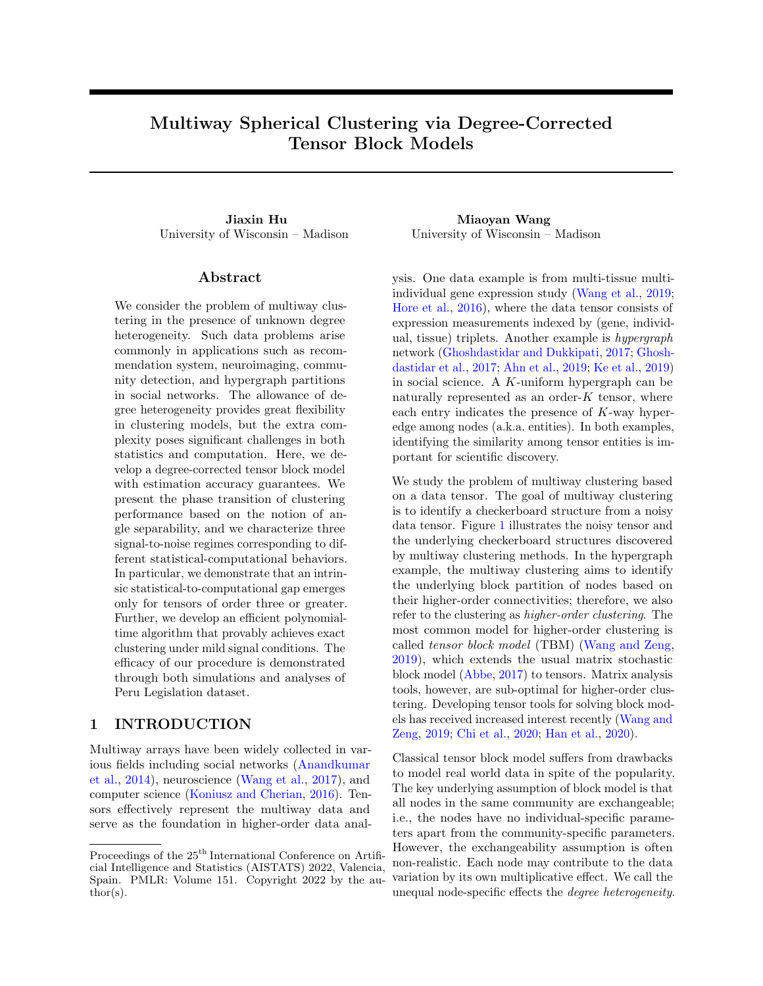1. Upper bound for  $F_{ib}^{(t)}$ , i.e., inequality [\(62\)](#page-31-6). Recall the definition of  $F_{ib}^{(t)}$ ,

$$
F_{ib}^{(t)}=2\left\langle \boldsymbol{E}_{i:}\boldsymbol{V}^{(t)},\left([\tilde{\boldsymbol{S}}_{z(i):}]^{s}-[\boldsymbol{S}_{z(i):}^{(t)}]^{s}\right)-\left([\tilde{\boldsymbol{S}}_{b:}]^{s}-[\boldsymbol{S}_{b:}^{(t)}]^{s}\right)\right\rangle+2\left\langle \boldsymbol{E}_{i:}(\boldsymbol{V}-\boldsymbol{V}^{(t)}),[\tilde{\boldsymbol{S}}_{z(i):}]^{s}-[\tilde{\boldsymbol{S}}_{b:}]^{s}\right\rangle.
$$

By Cauchy-Schwartz inequality, we have

<span id="page-32-2"></span>
$$
\left(F_{ib}^{(t)}\right)^2 \quad 8\left(\left\langle \mathbf{E}_i \cdot \mathbf{V}^{(t)}, \left( [\tilde{\mathbf{S}}_{z(i)}]^{s} \quad [\mathbf{S}_{z(i)}^{(t)}]^{s} \right) \left( [\tilde{\mathbf{S}}_{b:}]^{s} \quad [\mathbf{S}_{b:}]^{s} \right) \right\rangle\right)^2
$$

$$
+ 8\left(\left\langle \mathbf{E}_i \cdot (\mathbf{V} \quad \mathbf{V}^{(t)}), [\tilde{\mathbf{S}}_{z(i)}]^{s} \quad [\tilde{\mathbf{S}}_{b:}]^{s} \right\rangle\right)^2
$$

$$
8\left(k\mathbf{E}_i \cdot \mathbf{V} k^2 + k\mathbf{E}_{i:} (\mathbf{V} \quad \mathbf{V}^{(t)}) k^2\right) \max_{a \geq [r]^{s}} k[\tilde{\mathbf{S}}_{a:}]^{s} \quad [\mathbf{S}_{a:}]^{s} k
$$

$$
+ k\mathbf{E}_{i:} (\mathbf{V} \quad \mathbf{V}^{(t)}) k^2 k[\tilde{\mathbf{S}}_{z(i)}]^{s} \quad [\tilde{\mathbf{S}}_{b:}]^{s} k. \tag{65}
$$

Note that for all  $a \nightharpoonup [r],$ 

$$
k[\tilde{S}_{a:}]^{s} \quad [S_{a:}^{(t)}]^{s} k^{2} = k[W_{a}^{T} Y V]^{s} \quad [W_{a}^{(t), T} Y V^{(t)}]^{s} k^{2}
$$
\n
$$
2k[W_{a}^{T} Y V]^{s} \quad [W_{a}^{(t), T} Y V]^{s} k^{2} + 2k[W_{a}^{(t), T} Y V]^{s} \quad [W_{a}^{(t), T} Y V^{(t)}]^{s} k^{2}
$$
\n
$$
\frac{r^{2}(L^{(t)})^{2}}{\Delta_{\min}^{2}} + \frac{rr^{2K} + pr^{K+2}}{p^{K}} \frac{L^{(t)}}{\Delta_{\min}^{2}}
$$
\n
$$
rL^{(t)} + \frac{rr^{2K} + pr^{K+2}}{p^{K}} \frac{L^{(t)}}{\Delta_{\min}^{2}}
$$
\n
$$
rL^{(t)}, \qquad (66)
$$

where the second inequality follows from the inequalities  $(80)$  and  $(81)$  in Lemma [11,](#page-34-2) the third inequality follows from the condition  $(44)$  in Condition [1,](#page-26-3) and the last inequality follows from the assumption that  $\Delta_{\min}^2$   $\tilde{C}p^{-K/2}\log p$ .

Note that

<span id="page-32-1"></span><span id="page-32-0"></span>
$$
k[\tilde{S}_{z(i)}]^s \quad [\tilde{S}_{b:}]^s k^2 = k[\tilde{S}_{z(i)}]^s \quad [S_{z(i)}]^s + [S_{z(i)}]^s \quad [S_{b:}]^s + [S_{b:}]^s \quad [\tilde{S}_{b:}]^s k^2
$$

$$
k[S_{z(i)}]^s \quad [S_{b:}]^s k^2 + \max_{a \geq [r]} k[S_{a:}]^s \quad [\tilde{S}_{a:}]^s k^2
$$

$$
k[S_{z(i)}]^s \quad [S_{b:}]^s k^2 + \max_{a \geq [r]} \frac{1}{kS_{a:}k^2} kW_{:a}^T E V k^2
$$

$$
k[S_{z(i)}]^s \quad [S_{b:}]^s k^2, \tag{67}
$$

where the second inequality follows from Lemma [2,](#page-21-0) and the last inequality follows from the assumptions on  $kS_a$  k in the parameter space [\(2\)](#page-3-1), the inequality [\(40\)](#page-26-0) in Condition [1](#page-26-3) and the assumption  $\Delta_{\min}^2 \otimes p^{-K/2} \log p$ . Therefore, we finish the proof of inequality  $(62)$  by plugging the inequalities  $(66)$  and  $(67)$  into the upper bound  $(65)$ .

2. Upper bound for  $G_{ib}^{(t)}$ , i.e., inequality [\(63\)](#page-31-7). By definition of  $G_{ib}^{(t)}$ , we rearrange terms and obtain

$$
G_{ib}^{(t)} = (k[X_i, V^{(t)}]^{s} \t [S_{z(i)}^{(t)}]^{s} k^{2} \t k[X_i, V^{(t)}]^{s} \t [W_{z(i)}^{T} Y V^{(t)}]^{s} k^{2})
$$
  
\t
$$
(k[X_i, V^{(t)}]^{s} \t [S_{b}^{(t)}]^{s} k^{2} \t k[X_i, V^{(t)}]^{s} \t [W_{ib}^{T} Y V^{(t)}]^{s} k^{2})
$$
  
\t
$$
= 2 \left\langle [X_i, V^{(t)}]^{s}, ([W_{z(i)}^{T} Y V^{(t)}]^{s} \t [S_{z(i)}^{(t)}]^{s} \right) \t (W_{ib}^{T} Y V^{(t)}]^{s} \t [S_{b}^{(t)}]^{s} \right\rangle
$$
  
\t
$$
= G_1 + G_2 \t G_3,
$$
 (68)

where

<span id="page-32-3"></span>
$$
G_1 = k[\mathbf{W}_{:z(i)}^T \mathbf{Y} \mathbf{V}^{(t)}]^s \quad [\mathbf{S}_{z(i):}^{(t)}]^{s} k^2 \quad k[\mathbf{W}_{:b}^T \mathbf{Y} \mathbf{V}^{(t)}]^s \quad [\mathbf{S}_{b:}^{(t)}]^{s} k^2,
$$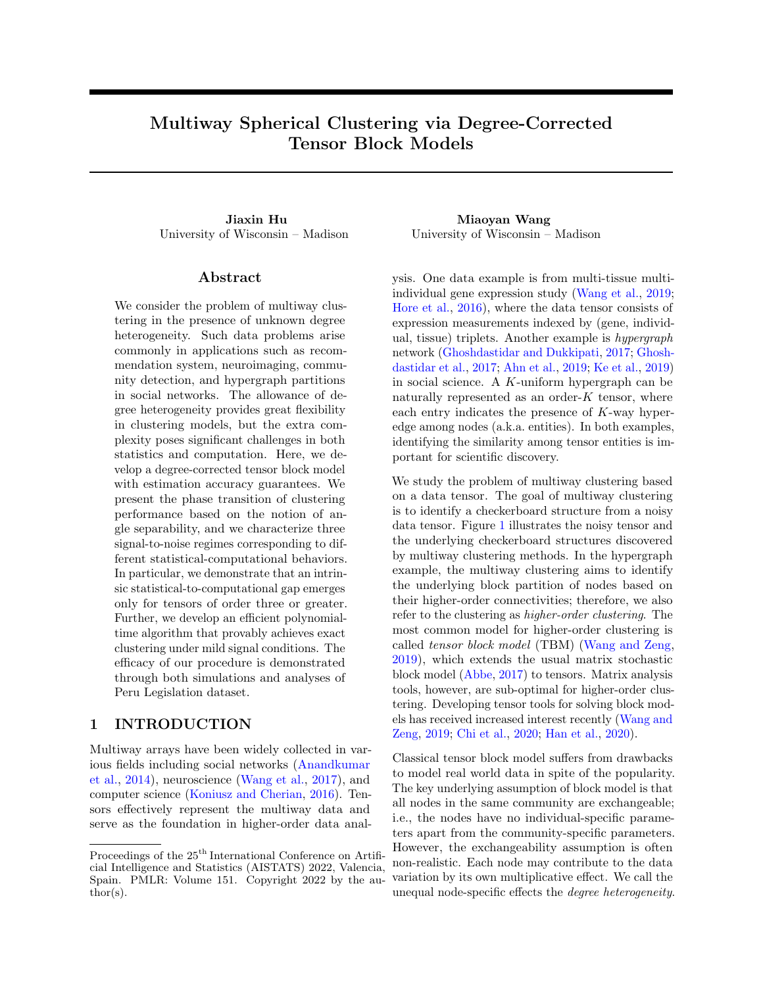$$
G_2 = 2 \left\langle [\mathbf{X}_{i:} \mathbf{V}^{(t)}]^s \quad [\mathbf{W}_{:z(i)}^T \mathbf{Y} \mathbf{V}^{(t)}]^s, [\mathbf{W}_{:z(i)}^T \mathbf{Y} \mathbf{V}^{(t)}]^s \quad [\mathbf{S}_{z(i):}^{(t)}]^s \right\rangle,
$$
  

$$
G_3 = 2 \left\langle [\mathbf{X}_{i:} \mathbf{V}^{(t)}]^s \quad [\mathbf{W}_{:b}^T \mathbf{Y} \mathbf{V}^{(t)}]^s, [\mathbf{W}_{:b}^T \mathbf{Y} \mathbf{V}^{(t)}]^s \quad [\mathbf{S}_{b:}^{(t)}]^s \right\rangle.
$$

For  $G_1$ , we have

<span id="page-33-0"></span>
$$
jG_1)^2 \begin{vmatrix} k[W_{.z(i)}^T Y V^{(t)}]^s & [S_{z(i)}^{(t)}]^s k^2 & k[W_{.b}^T Y V^{(t)}]^s & [S_{b:}^{(t)}]^s k^2 \\ \max k[W_{.a}^T Y V^{(t)}]^s & [W_{.a}^{(t),T} Y V^{(t)}]^s k^4 \\ C^4 \frac{r^4}{\Delta_{\min}^4} (L^{(t)})^4 + \frac{r^2 r^{4K} + p^2 r^{2K+4}}{p^{2K}} \frac{(L^{(t)})^2}{\Delta_{\min}^4} \\ C^4 \frac{\bar{C}}{\bar{C}^3} \left( \Delta_{\min}^4 + \Delta_{\min}^2 L^{(t)} \right), \end{vmatrix}
$$
(69)

where the third inequality follows from the inequality [\(82\)](#page-35-2) in Lemma [9](#page-31-0) and the last inequality follows from the assumption that  $\Delta_{\min}^2 \quad \tilde{C}p^{-K/2}\log p$  and inequality [\(44\)](#page-26-1) in Condition [1.](#page-26-3)

For  $G_2$ , noticing that  $[\mathcal{X}_{i:} V^{(t)}]^s = [\mathcal{W}_{z(i):}^T \mathcal{X} V^{(t)}]^s$ , we have

<span id="page-33-1"></span>
$$
jG_{2}f^{2} = 2k[\mathbf{X}_{i:}V^{(t)}]^{s} = [\mathbf{W}_{:z(i)}^{T}YV^{(t)}]^{s}k^{2}k[\mathbf{W}_{:z(i)}^{T}YV^{(t)}]^{s} = [\mathbf{S}_{z(i)}^{(t)}]^{s}k^{2}
$$
  
\n
$$
\frac{2}{k\mathbf{W}_{z(i)}^{T}XV^{(t)}k^{2}} \max_{a2[r]}k\mathbf{W}_{:a}^{T}EV^{(t)}k^{2} \max_{a2[r]}k[\mathbf{W}_{:a}^{T}YV^{(t)}]^{s} = [\mathbf{W}_{:a}^{(t),T}YV^{(t)}]^{s}k^{2}
$$
  
\n
$$
C^{0}\frac{r^{2K} + Kpr^{K+1}}{p^{K}}\left(\frac{r^{2}}{\Delta_{\min}^{2}}(L^{(t)})^{2} + \frac{rr^{2K} + pr^{K+2}}{p^{K}}\frac{L^{(t)}}{\Delta_{\min}^{2}}\right)
$$
  
\n
$$
\frac{C^{0}}{\tilde{C}^{2}}\Delta_{\min}^{2}L^{(t)},
$$
\n(70)

where  $C^{\ell}$  is a positive universal constant, the second inequality follows from Lemma [2,](#page-21-0) the third inequality follows from the inequality  $(41)$  in Condition [1,](#page-26-3) the inequalities  $(82)$  and  $(101)$  in the proof of Lemma [11,](#page-34-2) and the last inequality follows from the assumption  $\Delta_{\min}^2$   $\tilde{C}p^{-K/2} \log p$  and inequality [\(44\)](#page-26-1) in Condition [1.](#page-26-3)

For  $G_3$ , note that by triangle inequality

<span id="page-33-3"></span>
$$
k[\mathbf{X}_{i:} \mathbf{V}^{(t)}]^{s} \quad [\mathbf{W}_{:b}^{T} \mathbf{X} \mathbf{V}^{(t)}]^{s} k^{2} \quad k\mathbf{S}_{z(i):}^{s} \quad \mathbf{S}_{b:}^{s} k^{2} + 2 \max_{a \geq [r]} \{ \mathbf{W}_{:a}^{T} \mathbf{X} \mathbf{V}^{(t)} \}^{s} \quad [\mathbf{W}_{:a}^{T} \mathbf{X} \mathbf{V}]^{s} k^{2} \quad \text{for } \mathbf{S}_{z(i):}^{s} \quad \mathbf{S}_{b:}^{s} k^{2} + C \frac{r^{2} (L^{(t)})^{2}}{\Delta_{\min}^{2}}, \tag{71}
$$

where the last inequality follows from the inequality  $(100)$  in the proof of Lemma [11](#page-34-2) and C is a positive constant. Then we have

<span id="page-33-2"></span>
$$
jG_{3}f^{2} = 2k[\mathbf{X}_{i:}V^{(t)}]^{s} = [\mathbf{W}_{:b}^{T}\mathbf{Y}V^{(t)}]^{s}k^{2} \max_{a \in [r]} \{ \mathbf{W}_{:a}^{T}\mathbf{Y}V^{(t)}]^{s} = [\mathbf{W}_{:a}^{(t),T}\mathbf{Y}V^{(t)}]^{s}k^{2}
$$
  
\n
$$
2\left(k[\mathbf{X}_{i:}V^{(t)}]^{s} - [\mathbf{W}_{:b}^{T}\mathbf{X}V^{(t)}]^{s}k^{2} + k[\mathbf{W}_{:b}^{T}\mathbf{Y}V^{(t)}]^{s} - [\mathbf{W}_{:b}^{T}\mathbf{X}V^{(t)}]^{s}k^{2}\right)
$$
  
\n
$$
\max_{a \in [r]} \left\| [\mathbf{W}_{:a}^{T}\mathbf{Y}V^{(t)}]^{s} - [\mathbf{W}_{:a}^{(t),T}\mathbf{Y}V^{(t)}]^{s} \right\|^{2}
$$
  
\n
$$
C^{2}\left(k\mathbf{S}_{z(i):}^{s} - \mathbf{S}_{i:}^{s}k^{2} + C\frac{r^{2}(L^{(t)})^{2}}{\Delta_{\min}^{2}}\right) \left(\frac{r^{2}(L^{(t)})^{2}}{\Delta_{\min}^{2}} + \frac{rr^{2K} + pr^{K+2}}{p^{K}}\frac{L^{(t)}}{\Delta_{\min}^{2}}\right) + \frac{C^{0}}{\tilde{C}^{2}}\Delta_{\min}^{2}L^{(t)}
$$
  
\n
$$
\frac{C^{2}\bar{C}^{2}}{\tilde{C}}k\mathbf{S}_{z(i):}^{s} - \mathbf{S}_{i:}^{s}k^{2}(\Delta_{\min}^{2} + L^{(t)}) + \frac{C^{3}C^{0}\bar{C}^{2}}{\tilde{C}^{2}}\left(\Delta_{\min}^{4} + \Delta_{\min}^{2}L^{(t)}\right), \qquad (72)
$$

where the third inequality follows from the same procedure to derive  $(69)$  and  $(70)$ , and the last inequality follows from the assumption  $\Delta_{\min}^2$   $\tilde{C}p^{-K/2}\log p$  and inequality [\(44\)](#page-26-1) in Condition [1.](#page-26-3)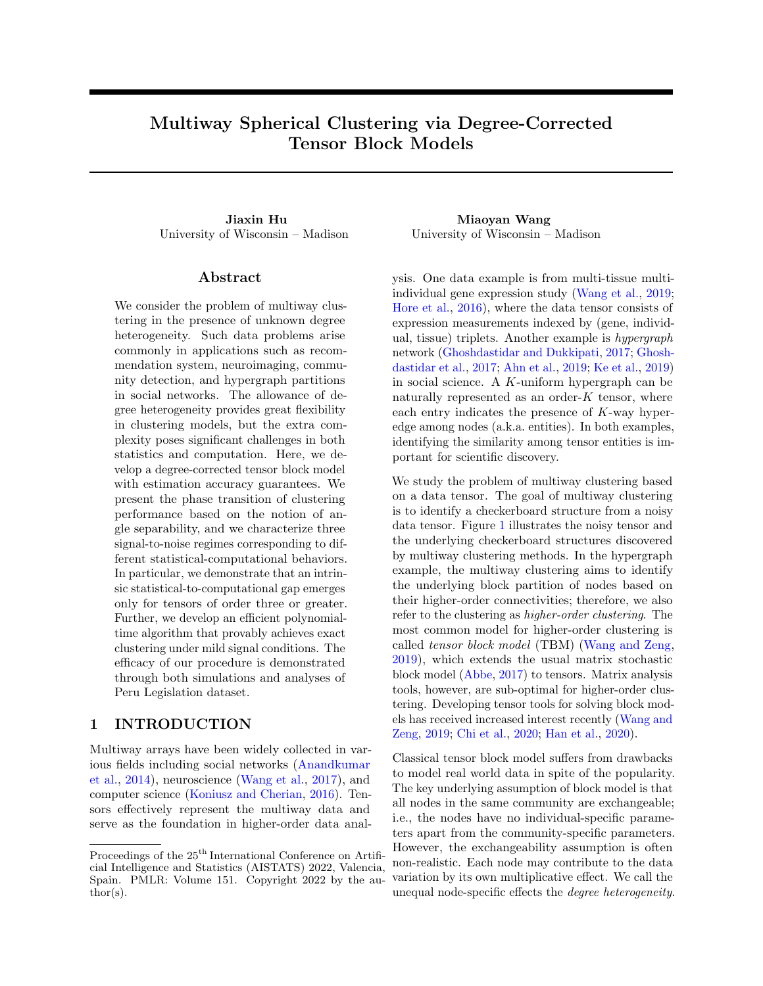Choose the  $\tilde{C}$  such that

<span id="page-34-0"></span>
$$
3\left(C^4\frac{\bar{C}}{\tilde{C}^3} + \frac{C^{\theta}}{\tilde{C}^2} + \frac{C^2\bar{C}^2}{\tilde{C}} + \frac{C^3C^{\theta}\bar{C}^2}{\tilde{C}^2}\right) \frac{1}{512}.
$$
\n(73)

Then, we finish the proof of inequality  $(63)$  by plugging the inequalities  $(69)$ ,  $(70)$ , and  $(72)$  into the upper bound [\(68\)](#page-32-3).

3. Upper bound for  $H_{ib}^{(t)}$ , i.e., the inequality [\(64\)](#page-31-2). By definition of  $H_{ib}$ , we rearrange terms and obtain

$$
H_{ib} = k[\mathbf{X}_{i:} \mathbf{V}^{(t)}]^{s} \quad [\mathbf{W}_{:z(i)}^{T} \mathbf{Y} \mathbf{V}^{(t)}]^{s} k^{2} \quad k[\mathbf{X}_{i:} \mathbf{V}^{(t)}]^{s} \quad [\mathbf{W}_{:b}^{T} \mathbf{Y} \mathbf{V}^{(t)}]^{s} k^{2} + k[\mathbf{S}_{z(i):}]^{s} \quad [\mathbf{S}_{b:}]^{s} k^{2} = k[\mathbf{X}_{i:} \mathbf{V}^{(t)}]^{s} \quad [\mathbf{W}_{:z(i)}^{T} \mathbf{Y} \mathbf{V}^{(t)}]^{s} k^{2} + (k[\mathbf{S}_{z(i):}]^{s} \quad [\mathbf{S}_{b:}]^{s} k^{2} \quad k[\mathbf{X}_{i:} \mathbf{V}^{(t)}]^{s} \quad [\mathbf{W}_{:b}^{T} \mathbf{X} \mathbf{V}^{(t)}]^{s} k \right) = H_{1} + H_{2} + H_{3},
$$

where

$$
H_1 = k[\mathbf{X}_i, \mathbf{V}^{(t)}]^s \quad [\mathbf{W}_{:z(i)}^T \mathbf{Y} \mathbf{V}^{(t)}]^s k^2 \quad k[\mathbf{W}_{:b}^T \mathbf{X} \mathbf{V}^{(t)}]^s \quad [\mathbf{W}_{:b}^T \mathbf{Y} \mathbf{V}^{(t)}]^s k^2,
$$
  
\n
$$
H_2 = k[\mathbf{S}_{z(i)}]^s \quad [\mathbf{S}_{b:}]^s k^2 \quad k[\mathbf{X}_i, \mathbf{V}^{(t)}]^s \quad [\mathbf{W}_{:b}^T \mathbf{X} \mathbf{V}^{(t)}]^s k^2,
$$
  
\n
$$
H_3 = 2 \langle [\mathbf{X}_i, \mathbf{V}^{(t)}]^s \quad [\mathbf{W}_{:b}^T \mathbf{X} \mathbf{V}^{(t)}]^s, [\mathbf{W}_{:b}^T \mathbf{Y} \mathbf{V}^{(t)}]^s \quad [\mathbf{W}_{:b}^T \mathbf{X} \mathbf{V}^{(t)}]^s \rangle.
$$

For  $H_1$ , we have

$$
jH_1 j \quad \frac{4 \max_{a \ge [r]} \mathcal{K} \mathcal{W}_{a}^T E \mathcal{V}^{(t)} \mathcal{K}^2}{\mathcal{K} \mathcal{W}_{z(i)}^T \mathcal{K} \mathcal{V}^{(t)} \mathcal{K}^2} \quad \frac{r^{2K} \quad 1 + Kpr^{K+1}}{p^K} \quad \tilde{C} \quad {}^2 \mathcal{K} [\mathcal{S}_{z(i)}]^s \quad [\mathcal{S}_{b:}]^s \mathcal{K}^2, \tag{74}
$$

following the derivation of  $G_2$  in inequality [\(70\)](#page-33-1) and the assumption that  $\Delta_{\min}^2 \quad \tilde{C}p^{-K/2} \log p$ . For  $H_2$ , by the inequality  $(71)$ , we have

$$
jH_2j \t 2 \max_{a \geq [r]} \{ [W_{:a}^T X V^{(t)}]^s \t [W_{:a}^T X V]^s \}^2 \t 2 \t \frac{r^2 (L^{(t)})^2}{\Delta_{\min}^2} \t C \frac{\bar{C}^2}{\tilde{C}^2} \langle [S_{z(i)}]^s \t [S_{a:}]^s \rangle^2, \t (75)
$$

where the last inequality follows from the condition [\(44\)](#page-26-1) in Condition [1.](#page-26-3)

For  $H_3$ , by Cauchy-Schwartz inequality, we have

$$
jH_3j
$$
.  $k[\mathbf{X}_i \cdot \mathbf{V}^{(t)}]^s$   $[\mathbf{W}_{i}^T \mathbf{X} \mathbf{V}^{(t)}]^s k j H_1 j^{1/2}$   $2\tilde{C}^{-1} k [\mathbf{S}_{z(i)}]^s$   $[\mathbf{S}_{a:}]^s k^2$ , (76)

following the inequalities [\(71\)](#page-33-3) and [\(74\)](#page-34-3).

Choose  $\tilde{C}$  such that

$$
\tilde{C}^{-2} + C \frac{\bar{C}^2}{\tilde{C}^2} + \tilde{C}^{-1} - \frac{1}{4}.
$$
\n(77)

Therefore, we finish the proof of inequality  $(64)$  combining inequalities  $(74)$ ,  $(75)$ , and  $(76)$ .

<span id="page-34-6"></span><span id="page-34-5"></span><span id="page-34-4"></span><span id="page-34-3"></span><span id="page-34-1"></span> $\Box$ 

<span id="page-34-2"></span>Lemma 11 (Relationship between misclustering loss and intermediate parameters). Under the Condition [1](#page-26-3) and the setup of Theorem [5,](#page-6-2) we have

$$
kV \t V^{(t)}\kappa_{\sigma} \t \frac{\sqrt{r^{K-1}}}{35} \frac{r}{\Delta_{\min}^2} L^{(t)}, \t (78)
$$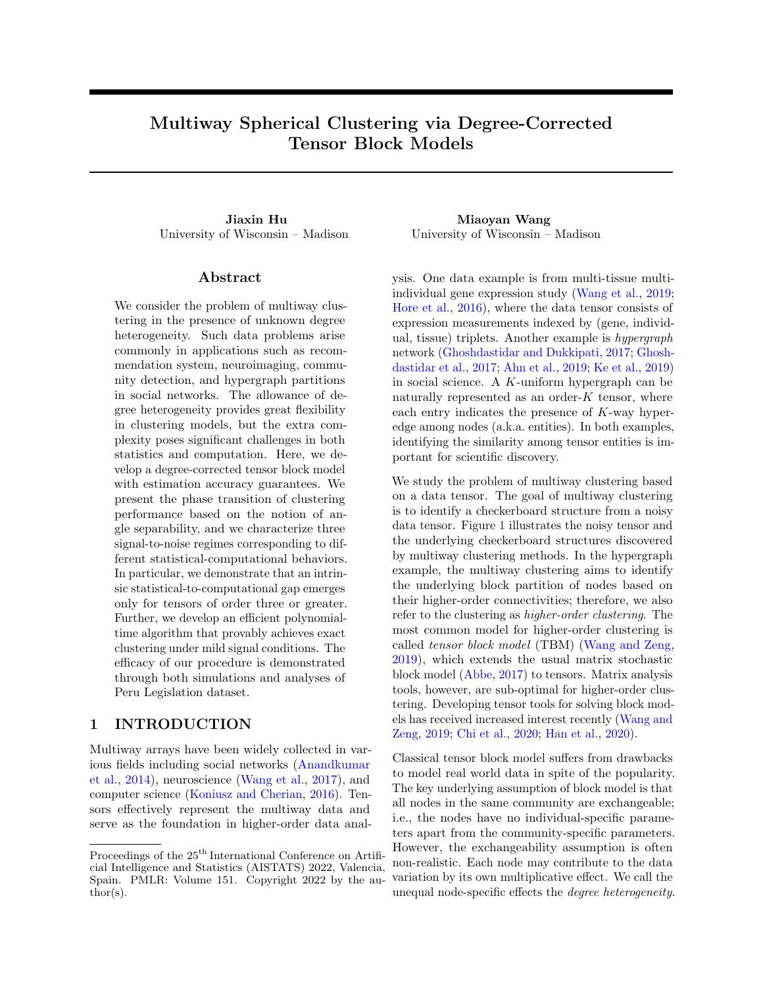<span id="page-35-3"></span><span id="page-35-0"></span>
$$
kE(V - V^{(t)})k_{\sigma} \cdot \sqrt{\frac{r^{K-1}(pr^{K-1} + pr)}{p^{K-1}}} \frac{r}{\Delta_{\min}^2} L^{(t)},
$$
 (79)

$$
\max_{b\,2[r]} \langle \mathbf{W}_{:b}^T \mathbf{Y} \mathbf{V} \rangle^s \quad [\mathbf{W}_{:b}^{(t),T} \mathbf{Y} \mathbf{V}]^s \langle C \left( \frac{r L^{(t)}}{\Delta_{\min}} + \sqrt{\frac{r^{2K} + pr^{K+1}}{p^K} \frac{\rho}{\Delta_{\min}}} \right), \tag{80}
$$

$$
\max_{b\mathcal{Z}[r]} \langle [\mathbf{W}_{ib}^{(t),T} \mathbf{Y} \mathbf{V}]^s \quad [\mathbf{W}_{ib}^{(t),T} \mathbf{Y} \mathbf{V}^{(t)}]^s \rangle \langle C \left( \sqrt{\frac{rr^{2K} + pr^{K+2}}{p^K} \frac{\rho}{\Delta_{\min}}} + \frac{rL^{(t)}}{\Delta_{\min}} \right), \tag{81}
$$

$$
\max_{b \, 2[r]} k[\boldsymbol{W}_{:b}^T \boldsymbol{Y} \boldsymbol{V}^{(t)}]^s \quad [\boldsymbol{W}_{:b}^{(t),T} \boldsymbol{Y} \boldsymbol{V}^{(t)}]^s k \quad C\left(\frac{rL^{(t)}}{\Delta_{\min}} + \sqrt{\frac{rr^{2K} + pr^{K+2}}{p^K}} \frac{\rho_{\overline{L^{(t)}}}}{\Delta_{\min}}\right),\tag{82}
$$

for some positive universal constant C. In addition, the inequality [\(81\)](#page-35-1) also holds by replacing  $W_{b}^{(t)}$  to  $W_{b}$ .

Proof of Lemma [11.](#page-34-2) We follow and use several intermediate conclusions in [Han et al.](#page-9-12) [\(2020,](#page-9-12) Proof of Lemma 5). We prove each inequality separately.

1. Inequality [\(78\)](#page-34-6). By [Han et al.](#page-9-12) [\(2020,](#page-9-12) Proof of Lemma 5), we have

<span id="page-35-2"></span><span id="page-35-1"></span>
$$
k{\boldsymbol{V}}-{\boldsymbol{V}}^{(t)}k_{\sigma} \ . \quad \sqrt{\frac{r^{K-1}}{p^{K-1}}}r\ell^{(t)}.
$$

Then, we complete the proof of inequality [\(78\)](#page-34-6) by applying Lemma [8](#page-31-3) to the above inequality.

2. Inequality [\(79\)](#page-35-3). By [Han et al.](#page-9-12) [\(2020,](#page-9-12) Proof of Lemma 5), we have

$$
k\mathbf{E}(\mathbf{V}-\mathbf{V}^{(t)})k_{\sigma} \cdot \sqrt{\frac{r^{K-1}(pr^{K-1}+pr)}{p^{K-1}}}r\ell^{(t)}.
$$

Also, we complete the proof of inequality [\(78\)](#page-34-6) by applying Lemma [8](#page-31-3) to the above inequality. 3. Inequality [\(80\)](#page-35-0). We upper bound the desired quantity by triangle inequality,

$$
k[\boldsymbol{W}_{:b}^T \boldsymbol{Y} \boldsymbol{V}]^s \quad [\boldsymbol{W}_{:b}^{(t),T} \boldsymbol{Y} \boldsymbol{V}]^s k \quad I_1 + I_2 + I_3,
$$

where

$$
I_1 = \begin{Vmatrix} \begin{matrix} \mathbf{W}_{:b}^T \mathbf{Y} \mathbf{V} & \mathbf{W}_{:b}^{(t), T} \mathbf{Y} \mathbf{V} \\ \hline k \mathbf{W}_{:b}^T \mathbf{X} \mathbf{V} k & k \mathbf{W}_{:b}^{(t), T} \mathbf{X} \mathbf{V} k \end{matrix} \end{Vmatrix},
$$
  
\n
$$
I_2 = \left\| \begin{pmatrix} \frac{1}{k \mathbf{W}_{:b}^T \mathbf{Y} \mathbf{V} k} & \frac{1}{k \mathbf{W}_{:b}^T \mathbf{X} \mathbf{V} k} \end{pmatrix} \mathbf{W}_{:b}^T \mathbf{Y} \mathbf{V} \right\|,
$$
  
\n
$$
I_3 = \left\| \begin{pmatrix} \frac{1}{k \mathbf{W}_{:b}^{(t), T} \mathbf{Y} \mathbf{V} k} & \frac{1}{k \mathbf{W}_{:b}^{(t), T} \mathbf{X} \mathbf{V} k} \end{pmatrix} \mathbf{W}_{:b}^{(t), T} \mathbf{Y} \mathbf{V} \right\|.
$$

Next, we upper bound the quantities  $I_1, I_2, I_3$  separately.

For  $I_1$ , we further bound  $I_1$  by triangle inequality,

$$
I_1
$$
  $I_{11} + I_{12}$ ,

where

$$
I_{11} = \left\| \frac{\mathbf{W}_{:b}^T \mathbf{X} \mathbf{V}}{K \mathbf{W}_{:b}^T \mathbf{X} \mathbf{V} K} - \frac{\mathbf{W}_{:b}^{(t),T} \mathbf{X} \mathbf{V}}{K \mathbf{W}_{:b}^{(t),T} \mathbf{X} \mathbf{V} K} \right\|, \text{ and } I_{12} = \left\| \frac{\mathbf{W}_{:b}^T \mathbf{E} \mathbf{V}}{K \mathbf{W}_{:b}^T \mathbf{X} \mathbf{V} K} - \frac{\mathbf{W}_{:b}^{(t),T} \mathbf{E} \mathbf{V}}{K \mathbf{W}_{:b}^{(t),T} \mathbf{X} \mathbf{V} K} \right\|
$$

.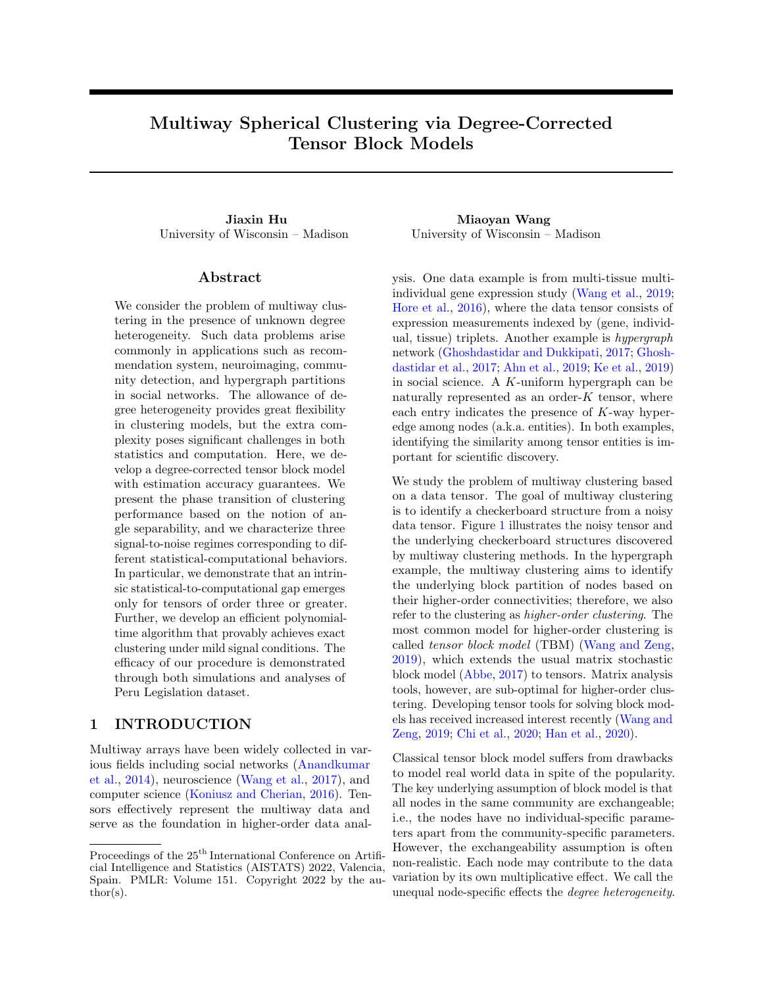We first consider  $I_{11}$ . Define the confusion matrix  $\mathbf{D} = \mathbf{M}^T \mathbf{\Theta}^T \mathbf{W}^{(t)} = J D_{ab} K \mathbf{Q} R^{r-r}$  where

$$
D_{ab} = \frac{\sum_{i\geq [p]} \theta(i) \mathbf{1} \{z(i) = a, z^{(t)}(i) = b\}}{\sum_{i\geq [p]} \mathbf{1} \{z^{(t)}(i) = b\}}, \text{ for all } a, b \geq [r].
$$

By Lemma [9,](#page-31-0) we have  $\sum_{i\geq [p]} \mathbf{1} \{z^{(t)}(i) = b\}$  &  $p/r$ . Then, we have

<span id="page-36-1"></span><span id="page-36-0"></span>
$$
\sum_{a \in b, a, b \geq [r]} D_{ab} \cdot \frac{r}{p} \sum_{i \colon z^{(t)}(i) \in z(i)} \theta(i) \cdot \frac{L^{(t)}}{\Delta_{\min}^2} \cdot \frac{1}{\log p},\tag{83}
$$

and for all  $b \nightharpoonup [r],$ 

$$
D_{bb} = \frac{\sum_{i\,2[p]} \theta(i) \, \mathbf{1} \left\{ z(i) = z^{(t)}(i) = b \right\}}{\sum_{i\,2[p]} \mathbf{1} \left\{ z^{(t)}(i) = b \right\}} \quad \frac{c(\sum_{i\,2[p]} \mathbf{1} \left\{ z^{(t)}(i) = b \right\} \quad p\ell^{(t)})}{\sum_{i\,2[p]} \mathbf{1} \left\{ z^{(t)}(i) = b \right\}} \quad \& 1 \quad \frac{1}{\log p},\tag{84}
$$

under the inequality [\(44\)](#page-26-1) in Condition [1.](#page-26-3) By the definition of  $W, W^{(t)}, V$ , we have

$$
\frac{\boldsymbol{W}_{:b}^T \boldsymbol{X} \boldsymbol{V}}{k \boldsymbol{W}_{:b}^T \boldsymbol{X} \boldsymbol{V} k} = \left[\boldsymbol{\mathcal{S}}_{b:}\right]^s, \quad \frac{\boldsymbol{W}_{:b}^{(t),T} \boldsymbol{X} \boldsymbol{V}}{k \boldsymbol{W}_{:b}^{(t),T} \boldsymbol{X} \boldsymbol{V} k} = [D_{bb} \boldsymbol{\mathcal{S}}_{b:} + \sum_{a \neq b, a \geq [r]} D_{ab} \boldsymbol{\mathcal{S}}_{a:}]^s.
$$

Let  $\alpha$  denote the angle between  $S_{b}$ : and  $D_{bb}S_{b}$ :  $+\sum_{a\neq b,a\geq [r]} D_{ab}S_{a}$ . To roughly estimate the range of  $\alpha$ , we consider the inner product

$$
\left\langle \mathbf{S}_{b:}, D_{bb} \mathbf{S}_{b:} + \sum_{a \notin b, a \geq [r]} D_{ab} \mathbf{S}_{a:} \right\rangle = D_{bb} \, k \mathbf{S}_{b:} k^2 + \sum_{a \notin b} D_{ab} \, h \mathbf{S}_{b:}, \mathbf{S}_{a:} i
$$
\n
$$
D_{bb} \, k \mathbf{S}_{b:} k^2 \sum_{a \notin b, a \geq [r]} D_{ab} \, k \mathbf{S}_{b:} k \max_{a \geq [r]} k \mathbf{S}_{a:} k
$$
\n
$$
C,
$$

where  $C$  is a positive constant, and the last inequality holds when  $p$  is large enough following the constraint of  $kS_b$ : k in parameter space [\(2\)](#page-3-1) and the bounds of  $D$  in [\(83\)](#page-36-0) and [\(84\)](#page-36-1).

The positive inner product between  $S_{b}$ : and  $D_{bb}S_{b}$ :  $+\sum_{a\neq b,a}\sum_{p\mid n}D_{ab}S_{a}$ : indicates  $\alpha \geq [0,\pi/2)$ , and thus  $2\sin\frac{\alpha}{2}$   $\frac{D}{2}\sin\alpha$ . Then, by the geometry property of trigonometric function, we have

$$
k[D_{bb}S_{b:} + \sum_{a \in b, a \geq [r]} D_{ab}S_{a:}] \sin \alpha k = k(I_d \text{ Proj}(S_{b:})) \sum_{a \in b, a \geq [r]} D_{ab}S_{a:}k
$$

$$
= \sum_{a \in b, a \geq [r]} D_{ab} k(I_d \text{ Proj}(S_{b:})) S_{a:}k
$$

$$
= \sum_{a \in b, a \geq [r]} D_{ab} kS_{a:} \sin(S_{b:}, S_{a:})k
$$

$$
\sum_{a \in b, a \geq [r]} D_{ab} kS_{a:}kkS_{b:} S_{a:} k,
$$
(85)

where the first inequality follows from the triangle inequality, and the last inequality follows from Lemma [2.](#page-21-0) Note that with bounds  $(83)$  and  $(84)$ , when p is large enough, we have

$$
k\mathbf{W}_{:b}^{(t),T}\mathbf{X}\mathbf{V}k=kD_{bb}\mathbf{S}_{b:}+\sum_{a\neq b,a\geq [r]}D_{ab}\mathbf{S}_{a:}k\quad D_{bb}k\mathbf{S}_{b:}k\quad\sum_{a\neq b,a\geq [r]}D_{ab}k\mathbf{S}_{a:}k\quad C_1,\tag{86}
$$

for some positive constant  $C_1$ . Notice that  $I_{11} = \frac{D}{1 - \cos \alpha} = 2 \sin \frac{\alpha}{2}$ . Therefore, we obtain

<span id="page-36-3"></span><span id="page-36-2"></span>
$$
I_{11} \quad \frac{D_{\overline{2}}}{2} \sin \alpha
$$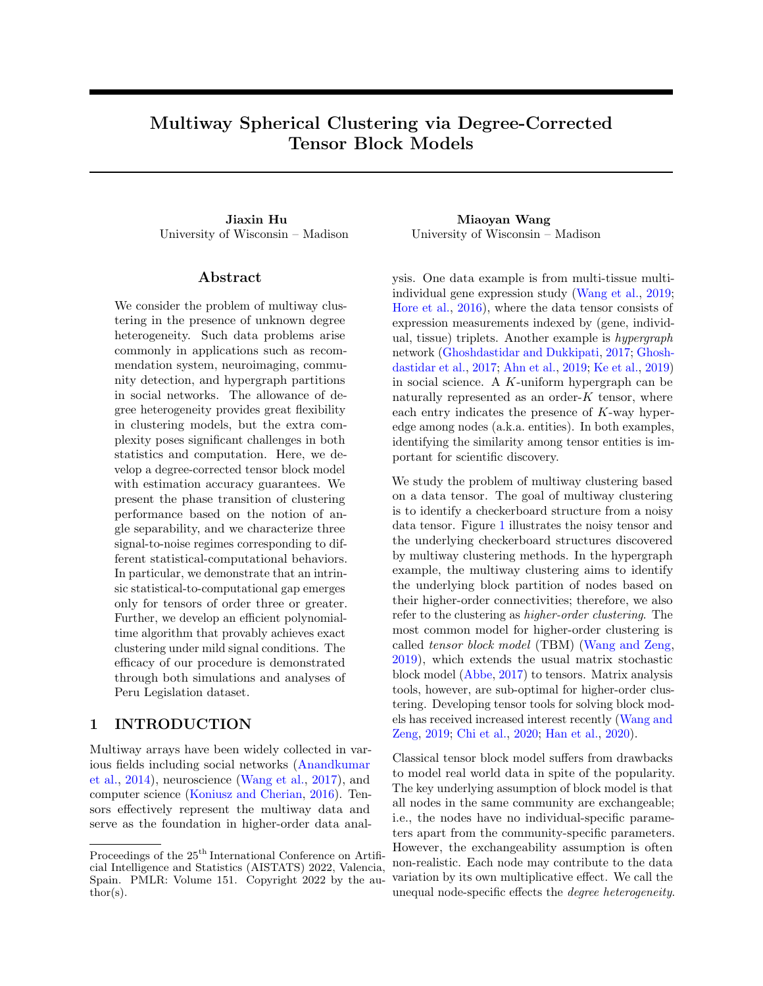<span id="page-37-2"></span>
$$
= \frac{k[D_{bb}\mathbf{S}_{b:} + \sum_{a\neq b,a} D_{ab}\mathbf{S}_{a:}] \sin \alpha k}{kD_{bb}\mathbf{S}_{b:} + \sum_{a\neq b,a} D_{ab} k \mathbf{S}_{a:} k}
$$

$$
\frac{1}{C_1} \sum_{a\neq b,a} D_{ab} k \mathbf{S}_{a:} k k \mathbf{S}_{b:}^s \quad \mathbf{S}_{a:}^s k
$$

$$
\frac{r}{p} \sum_{i \geq [p]} \theta(i) \sum_{b \geq [r]} 1 \left\{ z^{(t)}(i) = b \right\} k \mathbf{S}_{b:}^s \quad \mathbf{S}_{a:}^s k
$$

$$
\frac{rL^{(t)}}{\Delta_{\min}}, \tag{87}
$$

where the second inequality follows from  $(85)$  and  $(86)$ , and the last two inequalities follow by the definition of  $D_a$  and  $L^{(t)}$ , and the constraint of  $\mathcal{S}_{b}:$  k in parameter space [\(2\)](#page-3-1).

We now consider  $I_{12}$ . By triangle inequality, we have

$$
I_{12} \quad \frac{1}{k\mathbf{W}_{:b}^T\mathbf{X}\mathbf{V}k}k(\mathbf{W}_{:b}^T \quad \mathbf{W}_{:b}^{(t),T})\mathbf{E}\mathbf{V}k + \frac{k(\mathbf{W}_{:b}^T \quad \mathbf{W}_{:b}^{(t),T})\mathbf{X}\mathbf{V}k}{k\mathbf{W}_{:b}^T\mathbf{X}\mathbf{V}k\mathbf{W}_{:b}^{(t),T}\mathbf{X}\mathbf{V}k}k\mathbf{W}_{:b}^{(t),T}\mathbf{E}\mathbf{V}k.
$$

By [Han et al.](#page-9-12) [\(2020,](#page-9-12) Proof of Lemma 5), we have

<span id="page-37-1"></span><span id="page-37-0"></span>
$$
k(\boldsymbol{W}_{:b}^T \quad \boldsymbol{W}_{:b}^{(t),T}) \boldsymbol{E} \boldsymbol{V} k \quad \sqrt{\frac{r^{2K} + pr^{K+1}}{p^K}} \frac{\rho_{\overline{L}(t)}}{\Delta_{\text{min}}}.
$$
\n(88)

Notice that

$$
k(\boldsymbol{W}_{\cdot b}^T \quad \boldsymbol{W}_{\cdot b}^{(t),T}) \boldsymbol{X} \boldsymbol{V} k \quad k \boldsymbol{W}_{\cdot b}^T \quad \boldsymbol{W}_{\cdot b}^{(t),T} k \boldsymbol{X} \boldsymbol{V} k_F \quad \stackrel{r^{3/2} L^{(t)}}{\overline{p} \Delta_{\min}^2} k \boldsymbol{S} k \boldsymbol{k} \boldsymbol{\Theta} \boldsymbol{M} k_{\sigma} \quad \stackrel{D}{\overbrace{\phantom{D_{\overline{p}} L^{(t)}}_{\Delta_{\min}}}} (89)
$$

where the second inequality follows from [Han et al.](#page-9-12) [\(2020,](#page-9-12) Inequality (121), Proof of Lemma 5) and the last inequality follows from Lemma [5](#page-24-1) and [\(44\)](#page-26-1) in Condition [1.](#page-26-3) Note that  $\left\| W_{.b}^T X V \right\| = kS_{b}$ :  $k \text{ a}$  and  $kW_{b}^{(t),T}$   $XVk$   $C_1$  by inequality [\(86\)](#page-36-3). Therefore, we have

$$
I_{12} \t\t k(W_{\cdot b}^T \t W_{\cdot b}^{(t),T}) E V k + k(W_{\cdot b}^T \t W_{\cdot b}^{(t),T}) X V k k W_{\cdot b}^{(t),T} E V k \n\sqrt{\frac{r^{2K} + pr^{K+1}}{p^{K}} \frac{\rho}{\Delta_{\text{min}}} + \frac{\rho}{\Delta_{\text{min}}} \sqrt{\frac{r^{2K}}{p^{K}}}} \sqrt{\frac{r^{2K}}{p^{K}}}
$$
\n
$$
\sqrt{\frac{r^{2K} + pr^{K+1}}{p^{K}} \frac{\rho}{\Delta_{\text{min}}} \frac{\rho}{\Delta_{\text{min}}}},
$$
\n(90)

where second inequality follows from the inequalities  $(88)$ ,  $(89)$ , and  $(40)$  in Condition [1.](#page-26-3)

Hence, combining inequalities [\(87\)](#page-37-2) and [\(90\)](#page-37-3) yields

<span id="page-37-4"></span><span id="page-37-3"></span>
$$
I_{1} \t \frac{rL^{(t)}}{\Delta_{\min}} + \sqrt{\frac{r^{2K} + pr^{K+1}}{p^{K}} \frac{D_{\overline{L}^{(t)}}}{\Delta_{\min}}}.
$$
\n(91)

For  $I_2$  and  $I_3$ , recall that  $||\mathbf{W}_{b}^T \mathbf{X} \mathbf{V}|| = k\mathbf{S}_{b} k$  c<sub>3</sub> and  $k\mathbf{W}_{b}^{(t),T} \mathbf{X} \mathbf{V} k$  C<sub>1</sub> by inequality [\(86\)](#page-36-3). By triangle inequality and [\(40\)](#page-26-0) in Condition [1,](#page-26-3) we have

<span id="page-37-6"></span><span id="page-37-5"></span>
$$
I_2 \quad \frac{kW_{:b}^T \mathbf{E} V k}{kW_{:b}^T \mathbf{X} V k} \quad kW_{:b}^T \mathbf{E} V k \quad \frac{r^K}{p^{K/2}},
$$
\n
$$
(92)
$$

and

$$
I_3 \quad \frac{k \mathcal{W}_{\cdot b}^{(t), T} \mathbf{E} \mathcal{V} k}{k \mathcal{W}_{\cdot b}^{(t), T} \mathbf{X} \mathcal{V} k} \quad k \mathcal{W}_{\cdot b}^{(t), T} \mathbf{E} \mathcal{V} k \quad \frac{r^K}{p^{K/2}}.
$$
\n
$$
(93)
$$

Therefore, combining the inequalities [\(91\)](#page-37-4), [\(92\)](#page-37-5), and [\(93\)](#page-37-6), we finish the proof of inequality [\(80\)](#page-35-0).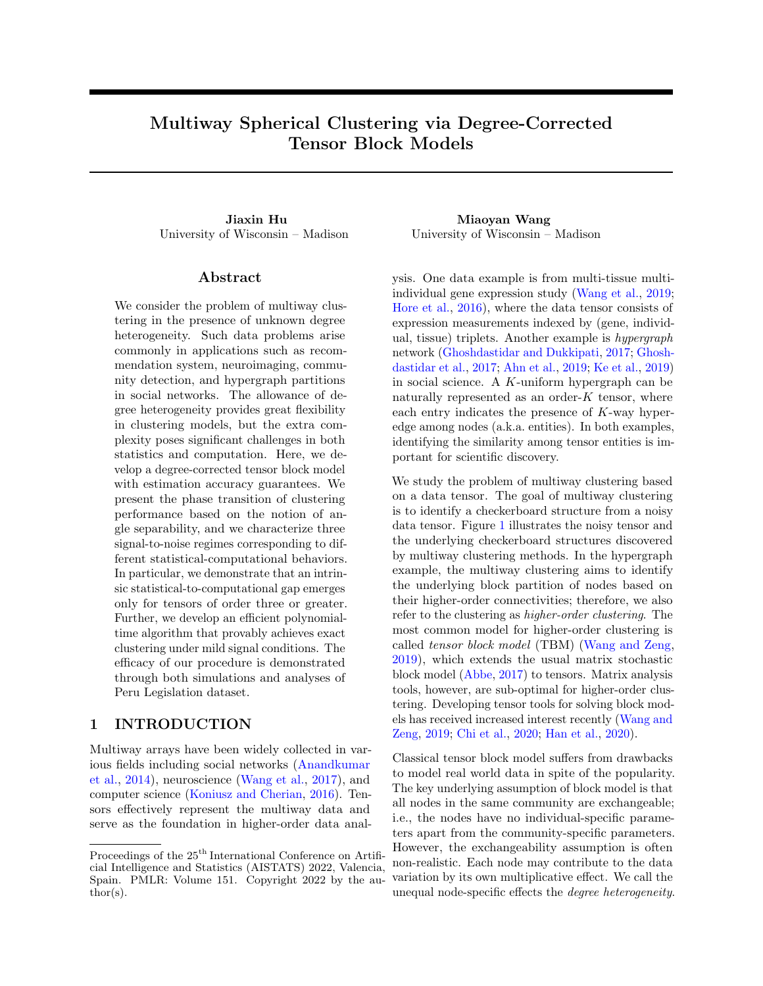4. Inequality [\(81\)](#page-35-1). Here we only show the proof of inequality (81) with  $W_{b}^{(t)}$ . The proof also holds by replacing  $W_{b}^{(t)}$  to  $W_{b}$ , and we omit the repeated procedures.

We upper bound the desired quantity by triangle inequality

$$
k[\mathbf{W}_{:b}^{(t),T} \mathbf{Y} \mathbf{V}]^{s} \quad [\mathbf{W}_{:b}^{(t),T} \mathbf{Y} \mathbf{V}^{(t)}]^{s} k \quad J_1 + J_2 + J_3,
$$

where

$$
J_1 = \left\| \frac{\mathbf{W}_{:b}^{(t),T} \mathbf{Y} \mathbf{V}}{k \mathbf{W}_{:b}^{(t),T} \mathbf{X} \mathbf{V} k} - \frac{\mathbf{W}_{:b}^{(t),T} \mathbf{Y} \mathbf{V}^{(t)}}{k \mathbf{W}_{:b}^{(t),T} \mathbf{X} \mathbf{V}^{(t)} k} \right\|,
$$
  

$$
J_2 = \left\| \left( \frac{1}{k \mathbf{W}_{:b}^{(t),T} \mathbf{Y} \mathbf{V} k} - \frac{1}{k \mathbf{W}_{:b}^{(t),T} \mathbf{X} \mathbf{V} k} \right) \mathbf{W}_{:b}^{(t),T} \mathbf{Y} \mathbf{V} \right\|,
$$
  

$$
J_3 = \left\| \left( \frac{1}{k \mathbf{W}_{:b}^{(t),T} \mathbf{Y} \mathbf{V}^{(t)} k} - \frac{1}{k \mathbf{W}_{:b}^{(t),T} \mathbf{X} \mathbf{V}^{(t)} k} \right) \mathbf{W}_{:b}^{(t),T} \mathbf{Y} \mathbf{V}^{(t)} \right\|.
$$

Next, we upper bound the quantities  $J_1, J_2, J_3$  separately.

For  $J_1$ , by triangle inequality, we have

$$
J_1 \quad J_{11} + J_{12},
$$

where

$$
J_{11} = \left\| \frac{\mathbf{W}_{\cdot b}^{(t),T} \mathbf{X} \mathbf{V}}{k \mathbf{W}_{\cdot b}^{(t),T} \mathbf{X} \mathbf{V} k} - \frac{\mathbf{W}_{\cdot b}^{(t),T} \mathbf{X} \mathbf{V}^{(t)}}{k \mathbf{W}_{\cdot b}^{(t),T} \mathbf{X} \mathbf{V}^{(t)} k} \right\| \quad \text{and} \quad J_{12} = \left\| \frac{\mathbf{W}_{\cdot b}^{(t),T} \mathbf{E} \mathbf{V}}{k \mathbf{W}_{\cdot b}^{(t),T} \mathbf{X} \mathbf{V} k} - \frac{\mathbf{W}_{\cdot b}^{(t),T} \mathbf{E} \mathbf{V}^{(t)}}{k \mathbf{W}_{\cdot b}^{(t),T} \mathbf{X} \mathbf{V}^{(t)} k} \right\|.
$$

We first consider  $J_{11}$ . Define the matrix  $V^k := W^{(k-1)} \quad W^{(t)}$ ,  $(K^k)$  for  $k = 2, ..., K-1$ , and denote  $V^1 = V^{(t)}$ ,  $V^K = V$ . Also, define the quantity

$$
J_{11}^k = k[\mathbf{W}_{.b}^{(t),T} \mathbf{X} \mathbf{V}^k]^s \quad [\mathbf{W}_{.b}^{(t),T} \mathbf{X} \mathbf{V}^{k+1}]^s k,
$$

for  $k = 1, \ldots, K$  1. Let  $\beta_k$  denote the angle between  $\mathcal{W}_{:b}^{(t), T} \mathbf{X} \mathbf{V}^k$  and  $\mathbf{W}_{:b}^{(t), T} \mathbf{X} \mathbf{V}^{k+1}$ . With the same idea to prove  $I_{11}$  in inequality [\(87\)](#page-37-2), we bound  $J_{11}^k$  by the trigonometric function of  $\beta_k$ .

To roughly estimate the range of  $\beta_k$ , we consider the inner product between  $\mathcal{W}_{:b}^{(t),T} X V^k$  and  $\mathcal{W}_{:b}^{(t),T} X V^{k+1}$ . Before the specific derivation of the inner product, note that

<span id="page-38-0"></span>
$$
\mathbf{W}_{:b}^{(t),T} \mathbf{X} \mathbf{V}^k = \text{Mat}_1(T_k), \quad \mathbf{W}_{:b}^{(t),T} \mathbf{X} \mathbf{V}^{k+1} = \text{Mat}_1(T_{k+1}),
$$

where

$$
T_k = X + W_{\cdot b}^{(t),T} + 2 W^T + 3 + 2 W^T + k + 1 W^{(t),T} + k + 1 + K W^{(t),T}
$$
  

$$
T_{k+1} = X + W_{\cdot b}^{(t),T} + 2 W^T + 3 + K W^T + k + 1 + K W^{(t),T}
$$

Recall the definition of confusion matrix  $\mathbf{D} = \mathbf{M}^T \mathbf{\Theta}^T \mathbf{W}^{(t)} = J D_{ab} k \mathcal{Z} R^{r-r}$ . We have

$$
\langle W_{\cdot b}^{(t),T} X V^k, W_{\cdot b}^{(t),T} X V^{k+1} \rangle = \hbar \text{Mat}_{k+1}(\mathcal{T}_k), \text{Mat}_{k+1}(\mathcal{T}_{k+1})i
$$
  
\n
$$
= \langle D^T S Z^k, S Z^k \rangle
$$
  
\n
$$
= \sum_{b \geq [r]} \left( D_{bb} k S_{b:} Z^k k^2 + \sum_{a \neq b, a \geq [r]} D_{ab} \langle S_{a:} Z^k, S_{b:} Z^k \rangle \right)
$$
  
\n& (1 log p<sup>-1</sup>) min kS<sub>a:</sub> Z<sup>k</sup> k<sup>2</sup> log p<sup>-1</sup> max kS<sub>a:</sub> Z<sup>k</sup> k<sup>2</sup>, (94)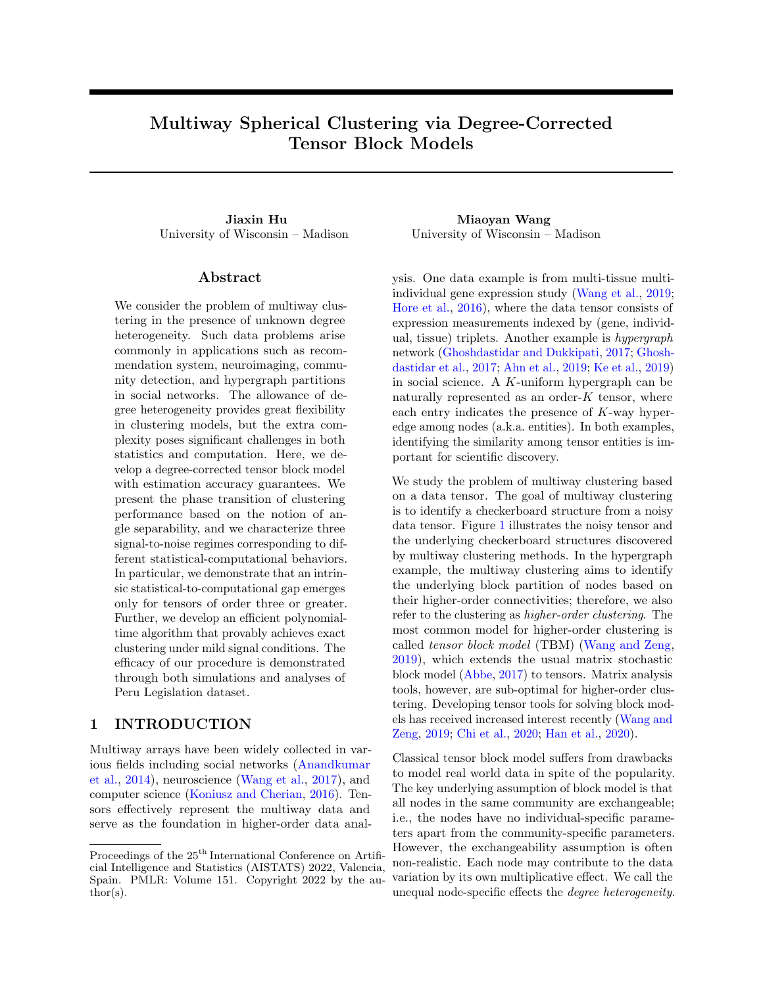where  $Z^k = D_{:b}$   $I_r^{(k-1)}$   $D^{(K-k-1)}$ , the equations follow by the tensor algebra and definitions, and the last inequality follows from the bounds of  $D$  in [\(83\)](#page-36-0) and [\(84\)](#page-36-1).

Note that

$$
kDk_{\sigma} \quad kDk_{F} \quad \sqrt{\sum_{b2[r]} D_{bb}^{2} + (\sum_{a \in b, a, b2[r]} D_{ab})^{2}} \quad \sqrt{r + \log^{2} p^{-1}} \quad 1,
$$
\n(95)

where the second inequality follows from inequality [\(83\)](#page-36-0), and the fact that for all  $b \, \mathcal{Q}[r]$ ,

<span id="page-39-2"></span><span id="page-39-1"></span><span id="page-39-0"></span>
$$
D_{bb} \cdot \frac{r}{p} \sum_{i \colon z(i) = b} \theta(i) \cdot 1.
$$

Also, we have

$$
\lambda_r(\mathbf{D}) \quad \lambda_r(\mathbf{W}^{(t)}) \lambda_r(\boldsymbol{\Theta M}) \& 1,\tag{96}
$$

following the Lemma [5](#page-24-1) and Lemma [9.](#page-31-0) Then, for all  $k \n\geq |K|$ , we have

1. 
$$
kD_{:b}k\lambda_r(D)^{K-k-1}
$$
  $\lambda_{r^{K-2}}(Z^k)$   $kZ^k k_{\sigma}$   $kD_{:b}k kDk_{\sigma}^{K-k-1}$ . 1. (97)

Thus, we have bounds

$$
\max_{a\,2[r]} kS_a \cdot \mathbf{Z}^k k \quad \max_{a\,2[r]} kS_a \cdot k \cdot \mathbf{Z}^k k_{\sigma} \quad 1, \quad \min_{a\,2[r]} kS_a \cdot \mathbf{Z}^k k \quad \min_{a\,2[r]} kS_a \cdot k\lambda_{r} \cdot k \cdot \mathbf{Z}(\mathbf{Z}^k) \otimes 1.
$$

Hence, when p is large enough, the inner product [\(94\)](#page-38-0) is positive, which implies  $\beta_k \neq [0, \pi/2)$  and thus  $2 \sin \beta_k$  $2\sin\frac{\beta_k}{2}$  $\overline{2} \sin \beta_k$ .

Next, we upper bound the trigonometric function  $\sin \beta_k$ . Note that

$$
\sin \beta_k = \sin(\mathbf{D}_{\cdot b}^T \mathbf{S} \mathbf{I}_r^{-k-1} \quad \mathbf{D}^{-K-k}, \mathbf{D}_{\cdot b}^T \mathbf{S} \mathbf{I}_r^{-k} \quad \mathbf{D}^{-K-k-1})
$$
  

$$
\sin \beta_{k1} + \sin \beta_{k2},
$$

where

$$
\sin \beta_{k1} = \sin(D_{\cdot b}^T \mathbf{S} \mathbf{I}_r^{-k-1} \quad \mathbf{D}^{-K-k}, \mathbf{D}_{\cdot b}^T \mathbf{S} \mathbf{I}_r^{-k-1} \quad \tilde{\mathbf{D}} \quad \mathbf{D}^{-K-k-1}),
$$
  
\n
$$
\sin \beta_{k2} = \sin(D_{\cdot b}^T \mathbf{S} \mathbf{I}_r^{-k-1} \quad \tilde{\mathbf{D}} \quad \mathbf{D}^{-K-k-1}, \mathbf{D}_{\cdot b}^T \mathbf{S} \mathbf{I}_r^{-k} \quad \mathbf{D}^{-K-k-1}),
$$

and  $\tilde{D}$  is the normalized confusion matrix with entries  $\tilde{D}_{ab} = \frac{\sum_{i\geq [p]} \theta(i) 1 f_z^{(t)} = b, z(i) = ag}{\sum_{i\geq [p]} \theta(i) 1 f_z^{(t)} = bg}$ .

To bound  $\sin \beta_{k1}$  $\sin \beta_{k1}$  $\sin \beta_{k1}$ , recall Definition 1 that for any cluster assignment  $\bar{z}$  in the  $\varepsilon$ -neighborhood of true z,

$$
\boldsymbol{p}(\bar{z}) = (j\bar{z}^{-1}(1)j, \ldots, j\bar{z}^{-1}(r)j)^T, \quad \boldsymbol{p}(\bar{z}) = (k_{z^{-1}(1)}k_1, \ldots, k_{z^{-1}(r)}k_1)^T.
$$

Note that we have  $\ell^{(t)}$   $\frac{L^{(t)}}{2}$ 2 min  $\frac{C}{C}r \log^{-1}(p)$  $\frac{C}{C}r \log^{-1}(p)$  $\frac{C}{C}r \log^{-1}(p)$  by Condition 1 and Lemma [8.](#page-31-3) Then, with the locally linear stability assumption, the is  $\ell^{(t)}$ -locally linearly stable; i.e.,

$$
\sin(\bm{p}(z^{(t)}), \bm{p} (z^{(t)})) \cdot \frac{L^{(t)}}{\Delta_{\min}}
$$

.

Note that  $diag(\mathbf{p}(z^{(t)}))\mathbf{D} = diag(\mathbf{p} (z^{(t)}))\tilde{\mathbf{D}},$  and  $sin(\mathbf{a}, \mathbf{b}) = min_{c2R} \frac{k a c b k}{k a k}$  $\frac{d}{kak}$  for vectors **a**, **b** of same dimension. Let  $c_0 = \arg \min_{c \ge R} \frac{k \rho(z^{(t)}) - c \rho_{\theta}(z^{(t)}) k}{k \rho(z^{(t)}) k}$  $\frac{\partial P}{\partial p(z^{(t)})k}$ . Then, we have

$$
\min_{c \ge R} kD \quad c\tilde{D}k_F \quad kI_r \quad c_0 \text{diag}(\mathbf{p}(z^{(t)})) \text{diag}^{-1}(\mathbf{p} (z^{(t)}))k_F kDk_F
$$
\n
$$
\frac{k\mathbf{p}(z^{(t)})}{\min_{a \ge [r]} k} \sum_{\substack{z^{(t)}, \ 1(a) \ne \mathbf{1} \\ 40}}^{c(\mathbf{p} z^{(t)})} \mathbf{p}(z^{(t)})
$$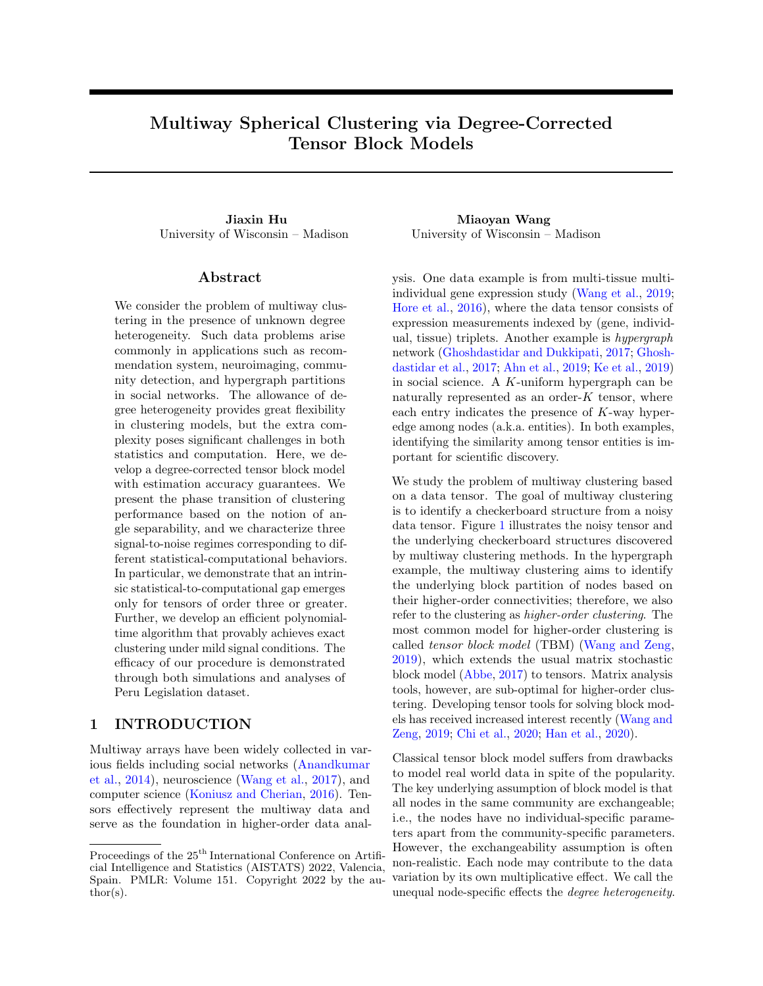$$
= \frac{k \mathbf{p}(z^{(t)}) k}{\min_{a \geq [r]} k_{z^{(t)}, 1(a)} k_1} \sin(\mathbf{p}(z^{(t)}), \mathbf{p}(z^{(t)}))
$$

$$
\frac{L^{(t)}}{\Delta_{\min}},
$$

where the last inequality follows from Lemma [9,](#page-31-0) the constraint  $\min_{i\geq [p]} \theta(i)$   $c > 0$ ,  $k\mathbf{p}(z^{(t)})k$ . p and  $\min_{a \geq [r]} k_{z^{(t)}, 1(a)} k_1 \& p.$  By the geometry property of trigonometric function, we have

$$
\sin \beta_{k1} = \min_{c2R} \frac{k \mathbf{D}_{:b}^T \mathbf{S} \mathbf{I}_r^{k-1} (\mathbf{D} - c\tilde{\mathbf{D}}) \mathbf{D}^{K-k-1} k}{k \mathbf{D}_{:b}^T \mathbf{S} \mathbf{I}_r^{k-1} \mathbf{D}^{K-k} k}
$$
\n
$$
\frac{k \mathbf{D}_{:b}^T \mathbf{S} k k \mathbf{D} - c_0 \tilde{\mathbf{D}} k_\sigma k \mathbf{D} k_\sigma^{K-k-1}}{k \mathbf{D}_{:b}^T \mathbf{S} k \lambda_r^{K-k} (\mathbf{D})}
$$
\n
$$
k \mathbf{D} - c_0 \tilde{\mathbf{D}} k_F
$$
\n
$$
\frac{L^{(t)}}{\Delta_{\min}},
$$
\n(98)

where the second inequality follows from the singular property of  $\bm{D}$  in [\(95\)](#page-39-0), [\(96\)](#page-39-1) and the constraint of  $\bm{S}$  in  $(2).$  $(2).$ 

To bound  $\sin \beta_{k2}$ , let  $C = \text{diag}(f \kappa S_{a:} \kappa g_{a,2[r]})$ . We have

$$
\sin \beta_{k2} \cdot \frac{\left\|D_{\cdot b}^T S I_r \right\|^k (I_r - \tilde{D}) - D^{-K-k-1}\right\|}{k D_{\cdot b}^T S I_r \left\| D^{-K-k-1} K \right\|}
$$
\n
$$
\frac{k(I_r - \tilde{D}^T) S Z^k k_F}{k D_{\cdot b}^T S k \lambda_r^{K-k-1}(D)}
$$
\n
$$
\frac{k(I_r - \tilde{D}^T) S C^{-1} k_F k C Z^k k_\sigma}{\frac{r}{p} \sum_{i \geq [p]} \theta(i) \sum_{b \geq [r]} k S_{b}^s \cdot S_{z(i)}^s k}
$$
\n
$$
\frac{L^{(t)}}{\Delta_{\min}},
$$
\n(99)

<span id="page-40-3"></span><span id="page-40-2"></span><span id="page-40-1"></span> $\mathbf{r}$ 

where the third inequality follows from the singular property of  $D$  and the boundedness of  $S$ , and the fourth inequality follows from the definition of  $D$ , boundedness of  $S$ , the lower bound of , and the singular property of  $\mathsf{Z}^k$  in inequality [\(97\)](#page-39-2).

Combining [\(98\)](#page-40-2) and [\(99\)](#page-40-3) yields

$$
\sin \beta_k
$$
  $\sin \beta_{k1} + \sin \beta_{k2}$ .  $\frac{L^{(t)}}{\Delta_{\min}}$ .

Finally, by triangle inequality, we obtain

<span id="page-40-0"></span>
$$
J_{11} \sum_{k=1}^{K-1} J_{11}^k \cdot \sum_{k=1}^{K-1} \sin \beta_k \cdot (K-1) \frac{r L^{(t)}}{\Delta_{\min}}.
$$
 (100)

We now consider  $J_{12}$ . By triangle inequality, we have

$$
J_{12} \frac{1}{kW_{:b}^{(t),T}XVK}kW_{:b}^{(t),T}E(V-V^{(t)})k + \frac{kW_{:b}^{(t),T}X(V-V^{(t)})k}{kW_{:b}^{(t),T}XVkW_{:b}^{(t),T}XV^{(t)}k}kW_{:b}^{(t),T}EV^{(t)}k.
$$

Note that

$$
kW_{:b}^{(t),T}XV^{(t)}k = kD^TSZ^1k \quad \lambda_r(D) kSk\lambda_{r^{K-2}}(Z^1) \& 1,
$$
\n(101)